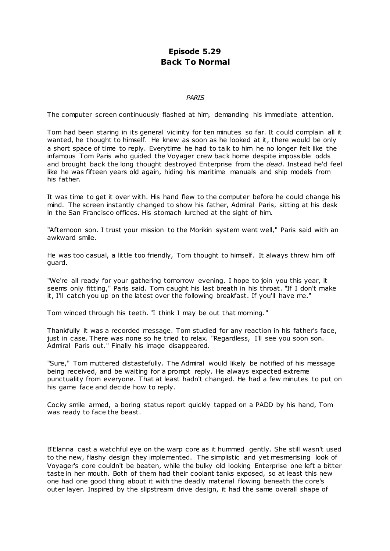# **Episode 5.29 Back To Normal**

## *PARIS*

The computer screen continuously flashed at him, demanding his immediate attention.

Tom had been staring in its general vicinity for ten minutes so far. It could complain all it wanted, he thought to himself. He knew as soon as he looked at it, there would be only a short space of time to reply. Everytime he had to talk to him he no longer felt like the infamous Tom Paris who guided the Voyager crew back home despite impossible odds and brought back the long thought destroyed Enterprise from the *dead*. Instead he'd feel like he was fifteen years old again, hiding his maritime manuals and ship models from his father.

It was time to get it over with. His hand flew to the computer before he could change his mind. The screen instantly changed to show his father, Admiral Paris, sitting at his desk in the San Francisco offices. His stomach lurched at the sight of him.

"Afternoon son. I trust your mission to the Morikin system went well," Paris said with an awkward smile.

He was too casual, a little too friendly, Tom thought to himself. It always threw him off guard.

"We're all ready for your gathering tomorrow evening. I hope to join you this year, it seems only fitting," Paris said. Tom caught his last breath in his throat. "If I don't make it, I'll catch you up on the latest over the following breakfast. If you'll have me."

Tom winced through his teeth. "I think I may be out that morning."

Thankfully it was a recorded message. Tom studied for any reaction in his father's face, just in case. There was none so he tried to relax. "Regardless, I'll see you soon son. Admiral Paris out." Finally his image disappeared.

"Sure," Tom muttered distastefully. The Admiral would likely be notified of his message being received, and be waiting for a prompt reply. He always expected extreme punctuality from everyone. That at least hadn't changed. He had a few minutes to put on his game face and decide how to reply.

Cocky smile armed, a boring status report quickly tapped on a PADD by his hand, Tom was ready to face the beast.

B'Elanna cast a watchful eye on the warp core as it hummed gently. She still wasn't used to the new, flashy design they implemented. The simplistic and yet mesmerising look of Voyager's core couldn't be beaten, while the bulky old looking Enterprise one left a bitter taste in her mouth. Both of them had their coolant tanks exposed, so at least this new one had one good thing about it with the deadly material flowing beneath the core's outer layer. Inspired by the slipstream drive design, it had the same overall shape of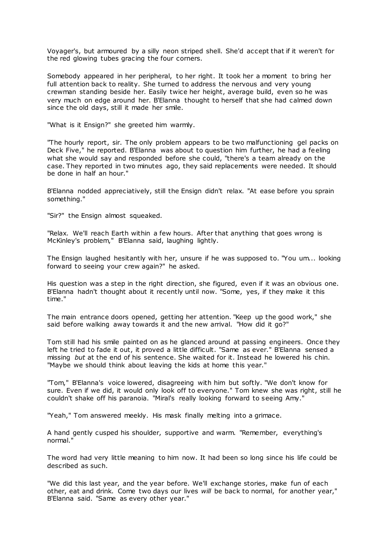Voyager's, but armoured by a silly neon striped shell. She'd accept that if it weren't for the red glowing tubes gracing the four corners.

Somebody appeared in her peripheral, to her right. It took her a moment to bring her full attention back to reality. She turned to address the nervous and very young crewman standing beside her. Easily twice her height, average build, even so he was very much on edge around her. B'Elanna thought to herself that she had calmed down since the old days, still it made her smile.

"What is it Ensign?" she greeted him warmly.

"The hourly report, sir. The only problem appears to be two malfunctioning gel packs on Deck Five," he reported. B'Elanna was about to question him further, he had a feeling what she would say and responded before she could, "there's a team already on the case. They reported in two minutes ago, they said replacements were needed. It should be done in half an hour."

B'Elanna nodded appreciatively, still the Ensign didn't relax. "At ease before you sprain something."

"Sir?" the Ensign almost squeaked.

"Relax. We'll reach Earth within a few hours. After that anything that goes wrong is McKinley's problem," B'Elanna said, laughing lightly.

The Ensign laughed hesitantly with her, unsure if he was supposed to. "You um... looking forward to seeing your crew again?" he asked.

His question was a step in the right direction, she figured, even if it was an obvious one. B'Elanna hadn't thought about it recently until now. "Some, yes, if they make it this time."

The main entrance doors opened, getting her attention. "Keep up the good work," she said before walking away towards it and the new arrival. "How did it go?"

Tom still had his smile painted on as he glanced around at passing engineers. Once they left he tried to fade it out, it proved a little difficult. "Same as ever." B'Elanna sensed a missing *but* at the end of his sentence. She waited for it. Instead he lowered his chin. "Maybe we should think about leaving the kids at home this year."

"Tom," B'Elanna's voice lowered, disagreeing with him but softly. "We don't know for sure. Even if we did, it would only look off to everyone." Tom knew she was right, still he couldn't shake off his paranoia. "Miral's really looking forward to seeing Amy."

"Yeah," Tom answered meekly. His mask finally melting into a grimace.

A hand gently cusped his shoulder, supportive and warm. "Remember, everything's normal."

The word had very little meaning to him now. It had been so long since his life could be described as such.

"We did this last year, and the year before. We'll exchange stories, make fun of each other, eat and drink. Come two days our lives *will* be back to normal, for another year," B'Elanna said. "Same as every other year."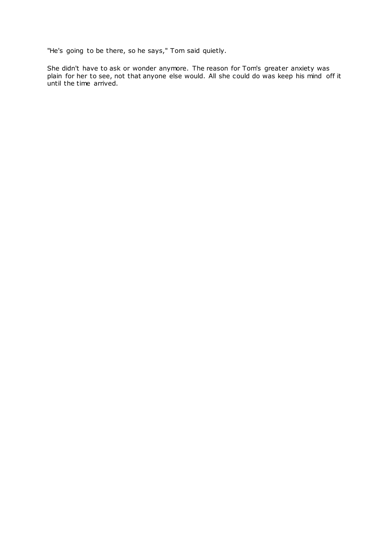"He's going to be there, so he says," Tom said quietly.

She didn't have to ask or wonder anymore. The reason for Tom's greater anxiety was plain for her to see, not that anyone else would. All she could do was keep his mind off it until the time arrived.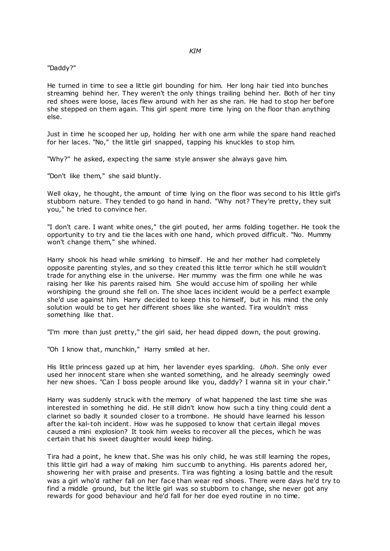#### "Daddy?"

He turned in time to see a little girl bounding for him. Her long hair tied into bunches streaming behind her. They weren't the only things trailing behind her. Both of her tiny red shoes were loose, laces flew around with her as she ran. He had to stop her before she stepped on them again. This girl spent more time lying on the floor than anything else.

Just in time he scooped her up, holding her with one arm while the spare hand reached for her laces. "No," the little girl snapped, tapping his knuckles to stop him.

"Why?" he asked, expecting the same style answer she always gave him.

"Don't like them," she said bluntly.

Well okay, he thought, the amount of time lying on the floor was second to his little girl's stubborn nature. They tended to go hand in hand. "Why not? They're pretty, they suit you," he tried to convince her.

"I don't care. I want white ones," the girl pouted, her arms folding together. He took the opportunity to try and tie the laces with one hand, which proved difficult. "No. Mummy won't change them," she whined.

Harry shook his head while smirking to himself. He and her mother had completely opposite parenting styles, and so they created this little terror which he still wouldn't trade for anything else in the universe. Her mummy was the firm one while he was raising her like his parents raised him. She would accuse him of spoiling her while worshiping the ground she fell on. The shoe laces incident would be a perfect example she'd use against him. Harry decided to keep this to himself, but in his mind the only solution would be to get her different shoes like she wanted. Tira wouldn't miss something like that.

"I'm more than just pretty," the girl said, her head dipped down, the pout growing.

"Oh I know that, munchkin," Harry smiled at her.

His little princess gazed up at him, her lavender eyes sparkling. *Uhoh*. She only ever used her innocent stare when she wanted something, and he already seemingly owed her new shoes. "Can I boss people around like you, daddy? I wanna sit in your chair."

Harry was suddenly struck with the memory of what happened the last time she was interested in something he did. He still didn't know how such a tiny thing could dent a clarinet so badly it sounded closer to a trombone. He should have learned his lesson after the kal-toh incident. How was he supposed to know that certain illegal moves caused a mini explosion? It took him weeks to recover all the pieces, which he was certain that his sweet daughter would keep hiding.

Tira had a point, he knew that. She was his only child, he was still learning the ropes, this little girl had a way of making him succumb to anything. His parents adored her, showering her with praise and presents. Tira was fighting a losing battle and the result was a girl who'd rather fall on her face than wear red shoes. There were days he'd try to find a middle ground, but the little girl was so stubborn to change, she never got any rewards for good behaviour and he'd fall for her doe eyed routine in no time.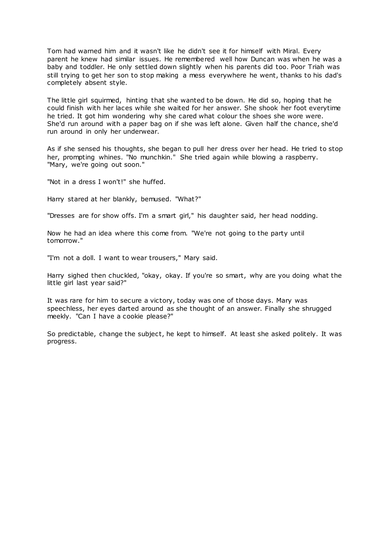Tom had warned him and it wasn't like he didn't see it for himself with Miral. Every parent he knew had similar issues. He remembered well how Duncan was when he was a baby and toddler. He only settled down slightly when his parents did too. Poor Triah was still trying to get her son to stop making a mess everywhere he went, thanks to his dad's completely absent style.

The little girl squirmed, hinting that she wanted to be down. He did so, hoping that he could finish with her laces while she waited for her answer. She shook her foot everytime he tried. It got him wondering why she cared what colour the shoes she wore were. She'd run around with a paper bag on if she was left alone. Given half the chance, she'd run around in only her underwear.

As if she sensed his thoughts, she began to pull her dress over her head. He tried to stop her, prompting whines. "No munchkin." She tried again while blowing a raspberry. "Mary, we're going out soon."

"Not in a dress I won't!" she huffed.

Harry stared at her blankly, bemused. "What?"

"Dresses are for show offs. I'm a smart girl," his daughter said, her head nodding.

Now he had an idea where this come from. "We're not going to the party until tomorrow."

"I'm not a doll. I want to wear trousers," Mary said.

Harry sighed then chuckled, "okay, okay. If you're so smart, why are you doing what the little girl last year said?"

It was rare for him to secure a victory, today was one of those days. Mary was speechless, her eyes darted around as she thought of an answer. Finally she shrugged meekly. "Can I have a cookie please?"

So predictable, change the subject, he kept to himself. At least she asked politely. It was progress.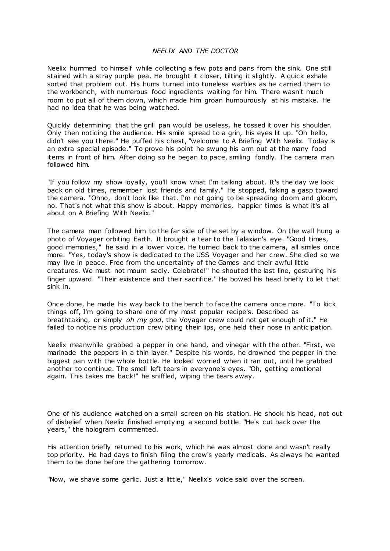# *NEELIX AND THE DOCTOR*

Neelix hummed to himself while collecting a few pots and pans from the sink. One still stained with a stray purple pea. He brought it closer, tilting it slightly. A quick exhale sorted that problem out. His hums turned into tuneless warbles as he carried them to the workbench, with numerous food ingredients waiting for him. There wasn't much room to put all of them down, which made him groan humourously at his mistake. He had no idea that he was being watched.

Quickly determining that the grill pan would be useless, he tossed it over his shoulder. Only then noticing the audience. His smile spread to a grin, his eyes lit up. "Oh hello, didn't see you there." He puffed his chest, "welcome to A Briefing With Neelix. Today is an extra special episode." To prove his point he swung his arm out at the many food items in front of him. After doing so he began to pace, smiling fondly. The camera man followed him.

"If you follow my show loyally, you'll know what I'm talking about. It's the day we look back on old times, remember lost friends and family." He stopped, faking a gasp toward the camera. "Ohno, don't look like that. I'm not going to be spreading doom and gloom, no. That's not what this show is about. Happy memories, happier times is what it's all about on A Briefing With Neelix."

The camera man followed him to the far side of the set by a window. On the wall hung a photo of Voyager orbiting Earth. It brought a tear to the Talaxian's eye. "Good times, good memories," he said in a lower voice. He turned back to the camera, all smiles once more. "Yes, today's show is dedicated to the USS Voyager and her crew. She died so we may live in peace. Free from the uncertainty of the Games and their awful little creatures. We must not mourn sadly. Celebrate!" he shouted the last line, gesturing his finger upward. "Their existence and their sacrifice." He bowed his head briefly to let that sink in.

Once done, he made his way back to the bench to face the camera once more. "To kick things off, I'm going to share one of my most popular recipe's. Described as breathtaking, or simply *oh my god*, the Voyager crew could not get enough of it." He failed to notice his production crew biting their lips, one held their nose in anticipation.

Neelix meanwhile grabbed a pepper in one hand, and vinegar with the other. "First, we marinade the peppers in a thin layer." Despite his words, he drowned the pepper in the biggest pan with the whole bottle. He looked worried when it ran out, until he grabbed another to continue. The smell left tears in everyone's eyes. "Oh, getting emotional again. This takes me back!" he sniffled, wiping the tears away.

One of his audience watched on a small screen on his station. He shook his head, not out of disbelief when Neelix finished emptying a second bottle. "He's cut back over the years," the hologram commented.

His attention briefly returned to his work, which he was almost done and wasn't really top priority. He had days to finish filing the crew's yearly medicals. As always he wanted them to be done before the gathering tomorrow.

"Now, we shave some garlic. Just a little," Neelix's voice said over the screen.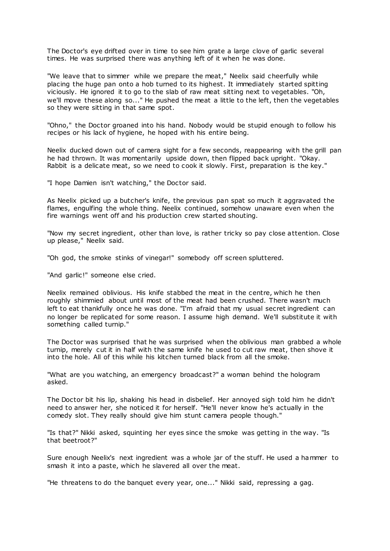The Doctor's eye drifted over in time to see him grate a large clove of garlic several times. He was surprised there was anything left of it when he was done.

"We leave that to simmer while we prepare the meat," Neelix said cheerfully while placing the huge pan onto a hob turned to its highest. It immediately started spitting viciously. He ignored it to go to the slab of raw meat sitting next to vegetables. "Oh, we'll move these along so..." He pushed the meat a little to the left, then the vegetables so they were sitting in that same spot.

"Ohno," the Doctor groaned into his hand. Nobody would be stupid enough to follow his recipes or his lack of hygiene, he hoped with his entire being.

Neelix ducked down out of camera sight for a few seconds, reappearing with the grill pan he had thrown. It was momentarily upside down, then flipped back upright. "Okay. Rabbit is a delicate meat, so we need to cook it slowly. First, preparation is the key."

"I hope Damien isn't watching," the Doctor said.

As Neelix picked up a butcher's knife, the previous pan spat so much it aggravated the flames, engulfing the whole thing. Neelix continued, somehow unaware even when the fire warnings went off and his production crew started shouting.

"Now my secret ingredient, other than love, is rather tricky so pay close attention. Close up please," Neelix said.

"Oh god, the smoke stinks of vinegar!" somebody off screen spluttered.

"And garlic!" someone else cried.

Neelix remained oblivious. His knife stabbed the meat in the centre, which he then roughly shimmied about until most of the meat had been crushed. There wasn't much left to eat thankfully once he was done. "I'm afraid that my usual secret ingredient can no longer be replicated for some reason. I assume high demand. We'll substitute it with something called turnip."

The Doctor was surprised that he was surprised when the oblivious man grabbed a whole turnip, merely cut it in half with the same knife he used to cut raw meat, then shove it into the hole. All of this while his kitchen turned black from all the smoke.

"What are you watching, an emergency broadcast?" a woman behind the hologram asked.

The Doctor bit his lip, shaking his head in disbelief. Her annoyed sigh told him he didn't need to answer her, she noticed it for herself. "He'll never know he's actually in the comedy slot. They really should give him stunt camera people though."

"Is that?" Nikki asked, squinting her eyes since the smoke was getting in the way. "Is that beetroot?"

Sure enough Neelix's next ingredient was a whole jar of the stuff. He used a hammer to smash it into a paste, which he slavered all over the meat.

"He threatens to do the banquet every year, one..." Nikki said, repressing a gag.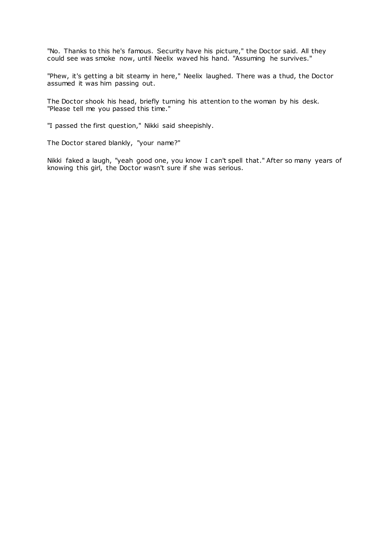"No. Thanks to this he's famous. Security have his picture," the Doctor said. All they could see was smoke now, until Neelix waved his hand. "Assuming he survives."

"Phew, it's getting a bit steamy in here," Neelix laughed. There was a thud, the Doctor assumed it was him passing out.

The Doctor shook his head, briefly turning his attention to the woman by his desk. "Please tell me you passed this time."

"I passed the first question," Nikki said sheepishly.

The Doctor stared blankly, "your name?"

Nikki faked a laugh, "yeah good one, you know I can't spell that." After so many years of knowing this girl, the Doctor wasn't sure if she was serious.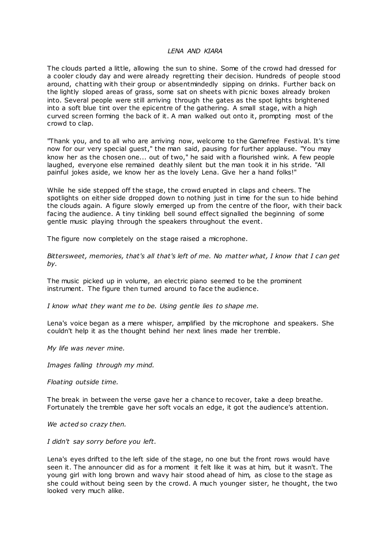## *LENA AND KIARA*

The clouds parted a little, allowing the sun to shine. Some of the crowd had dressed for a cooler cloudy day and were already regretting their decision. Hundreds of people stood around, chatting with their group or absentmindedly sipping on drinks. Further back on the lightly sloped areas of grass, some sat on sheets with picnic boxes already broken into. Several people were still arriving through the gates as the spot lights brightened into a soft blue tint over the epicentre of the gathering. A small stage, with a high curved screen forming the back of it. A man walked out onto it, prompting most of the crowd to clap.

"Thank you, and to all who are arriving now, welcome to the Gamefree Festival. It's time now for our very special guest," the man said, pausing for further applause. "You may know her as the chosen one... out of two," he said with a flourished wink. A few people laughed, everyone else remained deathly silent but the man took it in his stride. "All painful jokes aside, we know her as the lovely Lena. Give her a hand folks!"

While he side stepped off the stage, the crowd erupted in claps and cheers. The spotlights on either side dropped down to nothing just in time for the sun to hide behind the clouds again. A figure slowly emerged up from the centre of the floor, with their back facing the audience. A tiny tinkling bell sound effect signalled the beginning of some gentle music playing through the speakers throughout the event.

The figure now completely on the stage raised a microphone.

*Bittersweet, memories, that's all that's left of me. No matter what, I know that I can get by.*

The music picked up in volume, an electric piano seemed to be the prominent instrument. The figure then turned around to face the audience.

*I know what they want me to be. Using gentle lies to shape me.*

Lena's voice began as a mere whisper, amplified by the microphone and speakers. She couldn't help it as the thought behind her next lines made her tremble.

*My life was never mine.*

*Images falling through my mind.*

*Floating outside time.*

The break in between the verse gave her a chance to recover, take a deep breathe. Fortunately the tremble gave her soft vocals an edge, it got the audience's attention.

*We acted so crazy then.*

*I didn't say sorry before you left.*

Lena's eyes drifted to the left side of the stage, no one but the front rows would have seen it. The announcer did as for a moment it felt like it was at him, but it wasn't. The young girl with long brown and wavy hair stood ahead of him, as close to the stage as she could without being seen by the crowd. A much younger sister, he thought, the two looked very much alike.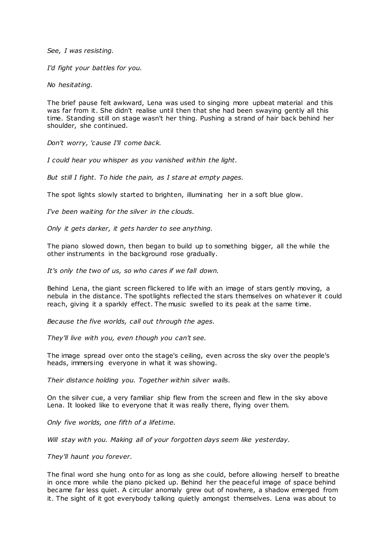*See, I was resisting.*

*I'd fight your battles for you.*

*No hesitating.*

The brief pause felt awkward, Lena was used to singing more upbeat material and this was far from it. She didn't realise until then that she had been swaying gently all this time. Standing still on stage wasn't her thing. Pushing a strand of hair back behind her shoulder, she continued.

*Don't worry, 'cause I'll come back.*

*I could hear you whisper as you vanished within the light.*

*But still I fight. To hide the pain, as I stare at empty pages.*

The spot lights slowly started to brighten, illuminating her in a soft blue glow.

*I've been waiting for the silver in the clouds.*

*Only it gets darker, it gets harder to see anything.*

The piano slowed down, then began to build up to something bigger, all the while the other instruments in the background rose gradually.

*It's only the two of us, so who cares if we fall down.*

Behind Lena, the giant screen flickered to life with an image of stars gently moving, a nebula in the distance. The spotlights reflected the stars themselves on whatever it could reach, giving it a sparkly effect. The music swelled to its peak at the same time.

*Because the five worlds, call out through the ages.*

*They'll live with you, even though you can't see.*

The image spread over onto the stage's ceiling, even across the sky over the people's heads, immersing everyone in what it was showing.

*Their distance holding you. Together within silver walls.*

On the silver cue, a very familiar ship flew from the screen and flew in the sky above Lena. It looked like to everyone that it was really there, flying over them.

*Only five worlds, one fifth of a lifetime.*

*Will stay with you. Making all of your forgotten days seem like yesterday.*

*They'll haunt you forever.*

The final word she hung onto for as long as she could, before allowing herself to breathe in once more while the piano picked up. Behind her the peaceful image of space behind became far less quiet. A circular anomaly grew out of nowhere, a shadow emerged from it. The sight of it got everybody talking quietly amongst themselves. Lena was about to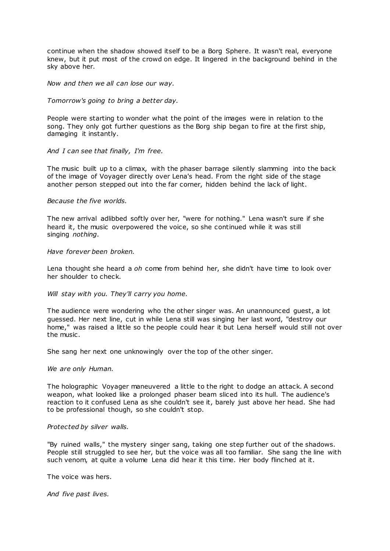continue when the shadow showed itself to be a Borg Sphere. It wasn't real, everyone knew, but it put most of the crowd on edge. It lingered in the background behind in the sky above her.

## *Now and then we all can lose our way.*

#### *Tomorrow's going to bring a better day.*

People were starting to wonder what the point of the images were in relation to the song. They only got further questions as the Borg ship began to fire at the first ship, damaging it instantly.

# *And I can see that finally, I'm free.*

The music built up to a climax, with the phaser barrage silently slamming into the back of the image of Voyager directly over Lena's head. From the right side of the stage another person stepped out into the far corner, hidden behind the lack of light.

#### *Because the five worlds.*

The new arrival adlibbed softly over her, "were for nothing." Lena wasn't sure if she heard it, the music overpowered the voice, so she continued while it was still singing *nothing*.

#### *Have forever been broken.*

Lena thought she heard a *oh* come from behind her, she didn't have time to look over her shoulder to check.

# *Will stay with you. They'll carry you home.*

The audience were wondering who the other singer was. An unannounced guest, a lot guessed. Her next line, cut in while Lena still was singing her last word, "destroy our home," was raised a little so the people could hear it but Lena herself would still not over the music .

She sang her next one unknowingly over the top of the other singer.

#### *We are only Human.*

The holographic Voyager maneuvered a little to the right to dodge an attack. A second weapon, what looked like a prolonged phaser beam sliced into its hull. The audience's reaction to it confused Lena as she couldn't see it, barely just above her head. She had to be professional though, so she couldn't stop.

# *Protected by silver walls.*

"By ruined walls," the mystery singer sang, taking one step further out of the shadows. People still struggled to see her, but the voice was all too familiar. She sang the line with such venom, at quite a volume Lena did hear it this time. Her body flinched at it.

The voice was hers.

*And five past lives.*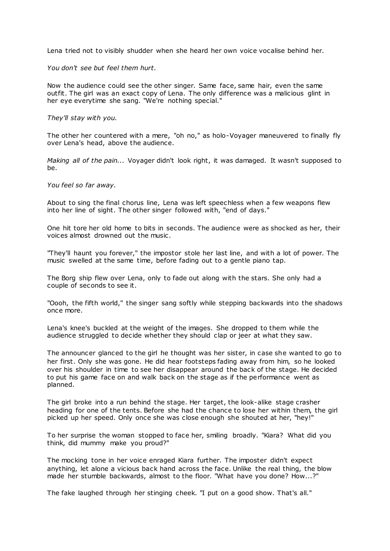Lena tried not to visibly shudder when she heard her own voice vocalise behind her.

*You don't see but feel them hurt.*

Now the audience could see the other singer. Same face, same hair, even the same outfit. The girl was an exact copy of Lena. The only difference was a malicious glint in her eye everytime she sang. "We're nothing special."

*They'll stay with you.*

The other her countered with a mere, "oh no," as holo-Voyager maneuvered to finally fly over Lena's head, above the audience.

*Making all of the pain...* Voyager didn't look right, it was damaged. It wasn't supposed to be.

*You feel so far away.*

About to sing the final chorus line, Lena was left speechless when a few weapons flew into her line of sight. The other singer followed with, "end of days."

One hit tore her old home to bits in seconds. The audience were as shocked as her, their voices almost drowned out the music .

"They'll haunt you forever," the impostor stole her last line, and with a lot of power. The music swelled at the same time, before fading out to a gentle piano tap.

The Borg ship flew over Lena, only to fade out along with the stars. She only had a couple of seconds to see it.

"Oooh, the fifth world," the singer sang softly while stepping backwards into the shadows once more.

Lena's knee's buckled at the weight of the images. She dropped to them while the audience struggled to decide whether they should clap or jeer at what they saw.

The announcer glanced to the girl he thought was her sister, in case she wanted to go to her first. Only she was gone. He did hear footsteps fading away from him, so he looked over his shoulder in time to see her disappear around the back of the stage. He decided to put his game face on and walk back on the stage as if the performance went as planned.

The girl broke into a run behind the stage. Her target, the look-alike stage crasher heading for one of the tents. Before she had the chance to lose her within them, the girl picked up her speed. Only once she was close enough she shouted at her, "hey!"

To her surprise the woman stopped to face her, smiling broadly. "Kiara? What did you think, did mummy make you proud?"

The mocking tone in her voice enraged Kiara further. The imposter didn't expect anything, let alone a vicious back hand across the face. Unlike the real thing, the blow made her stumble backwards, almost to the floor. "What have you done? How...?"

The fake laughed through her stinging cheek. "I put on a good show. That's all."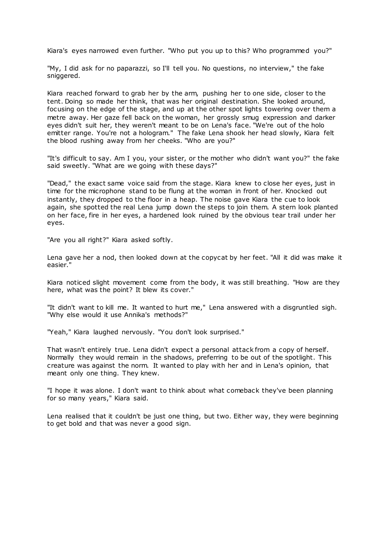Kiara's eyes narrowed even further. "Who put you up to this? Who programmed you?"

"My, I did ask for no paparazzi, so I'll tell you. No questions, no interview," the fake sniggered.

Kiara reached forward to grab her by the arm, pushing her to one side, closer to the tent. Doing so made her think, that was her original destination. She looked around, focusing on the edge of the stage, and up at the other spot lights towering over them a metre away. Her gaze fell back on the woman, her grossly smug expression and darker eyes didn't suit her, they weren't meant to be on Lena's face. "We're out of the holo emitter range. You're not a hologram." The fake Lena shook her head slowly, Kiara felt the blood rushing away from her cheeks. "Who are you?"

"It's difficult to say. Am I you, your sister, or the mother who didn't want you?" the fake said sweetly. "What are we going with these days?"

"Dead," the exact same voice said from the stage. Kiara knew to close her eyes, just in time for the microphone stand to be flung at the woman in front of her. Knocked out instantly, they dropped to the floor in a heap. The noise gave Kiara the cue to look again, she spotted the real Lena jump down the steps to join them. A stern look planted on her face, fire in her eyes, a hardened look ruined by the obvious tear trail under her eyes.

"Are you all right?" Kiara asked softly.

Lena gave her a nod, then looked down at the copycat by her feet. "All it did was make it easier."

Kiara noticed slight movement come from the body, it was still breathing. "How are they here, what was the point? It blew its cover."

"It didn't want to kill me. It wanted to hurt me," Lena answered with a disgruntled sigh. "Why else would it use Annika's methods?"

"Yeah," Kiara laughed nervously. "You don't look surprised."

That wasn't entirely true. Lena didn't expect a personal attack from a copy of herself. Normally they would remain in the shadows, preferring to be out of the spotlight. This creature was against the norm. It wanted to play with her and in Lena's opinion, that meant only one thing. They knew.

"I hope it was alone. I don't want to think about what comeback they've been planning for so many years," Kiara said.

Lena realised that it couldn't be just one thing, but two. Either way, they were beginning to get bold and that was never a good sign.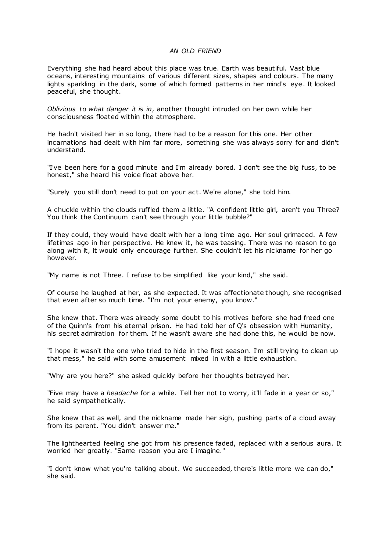# *AN OLD FRIEND*

Everything she had heard about this place was true. Earth was beautiful. Vast blue oceans, interesting mountains of various different sizes, shapes and colours. The many lights sparkling in the dark, some of which formed patterns in her mind's eye. It looked peaceful, she thought.

*Oblivious to what danger it is in*, another thought intruded on her own while her consciousness floated within the atmosphere.

He hadn't visited her in so long, there had to be a reason for this one. Her other incarnations had dealt with him far more, something she was always sorry for and didn't understand.

"I've been here for a good minute and I'm already bored. I don't see the big fuss, to be honest," she heard his voice float above her.

"Surely you still don't need to put on your act. We're alone," she told him.

A chuckle within the clouds ruffled them a little. "A confident little girl, aren't you Three? You think the Continuum can't see through your little bubble?"

If they could, they would have dealt with her a long time ago. Her soul grimaced. A few lifetimes ago in her perspective. He knew it, he was teasing. There was no reason to go along with it, it would only encourage further. She couldn't let his nickname for her go however.

"My name is not Three. I refuse to be simplified like your kind," she said.

Of course he laughed at her, as she expected. It was affectionate though, she recognised that even after so much time. "I'm not your enemy, you know."

She knew that. There was already some doubt to his motives before she had freed one of the Quinn's from his eternal prison. He had told her of Q's obsession with Humanity, his secret admiration for them. If he wasn't aware she had done this, he would be now.

"I hope it wasn't the one who tried to hide in the first season. I'm still trying to clean up that mess," he said with some amusement mixed in with a little exhaustion.

"Why are you here?" she asked quickly before her thoughts betrayed her.

"Five may have a *headache* for a while. Tell her not to worry, it'll fade in a year or so," he said sympathetically.

She knew that as well, and the nickname made her sigh, pushing parts of a cloud away from its parent. "You didn't answer me."

The lighthearted feeling she got from his presence faded, replaced with a serious aura. It worried her greatly. "Same reason you are I imagine."

"I don't know what you're talking about. We succeeded, there's little more we can do," she said.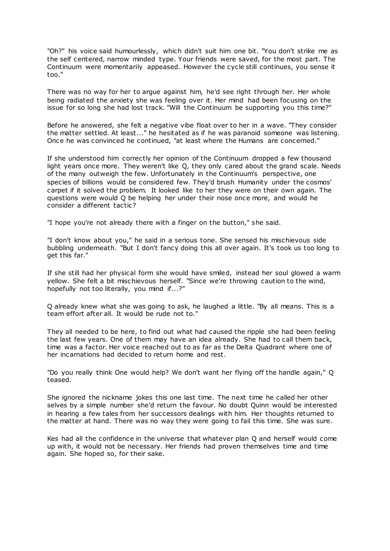"Oh?" his voice said humourlessly, which didn't suit him one bit. "You don't strike me as the self centered, narrow minded type. Your friends were saved, for the most part. The Continuum were momentarily appeased. However the cycle still continues, you sense it too."

There was no way for her to argue against him, he'd see right through her. Her whole being radiated the anxiety she was feeling over it. Her mind had been focusing on the issue for so long she had lost track. "Will the Continuum be supporting you this time?"

Before he answered, she felt a negative vibe float over to her in a wave. "They consider the matter settled. At least..." he hesitated as if he was paranoid someone was listening. Once he was convinced he continued, "at least where the Humans are concerned."

If she understood him correctly her opinion of the Continuum dropped a few thousand light years once more. They weren't like Q, they only cared about the grand scale. Needs of the many outweigh the few. Unfortunately in the Continuum's perspective, one species of billions would be considered few. They'd brush Humanity under the cosmos' carpet if it solved the problem. It looked like to her they were on their own again. The questions were would Q be helping her under their nose once more, and would he consider a different tactic?

"I hope you're not already there with a finger on the button," she said.

"I don't know about you," he said in a serious tone. She sensed his mischievous side bubbling underneath. "But I don't fancy doing this all over again. It's took us too long to get this far."

If she still had her physical form she would have smiled, instead her soul glowed a warm yellow. She felt a bit mischievous herself. "Since we're throwing caution to the wind, hopefully not too literally, you mind if...?"

Q already knew what she was going to ask, he laughed a little. "By all means. This is a team effort after all. It would be rude not to."

They all needed to be here, to find out what had caused the ripple she had been feeling the last few years. One of them may have an idea already. She had to call them back, time was a factor. Her voice reached out to as far as the Delta Quadrant where one of her incarnations had decided to return home and rest.

"Do you really think One would help? We don't want her flying off the handle again," Q teased.

She ignored the nickname jokes this one last time. The next time he called her other selves by a simple number she'd return the favour. No doubt Quinn would be interested in hearing a few tales from her successors dealings with him. Her thoughts returned to the matter at hand. There was no way they were going to fail this time. She was sure.

Kes had all the confidence in the universe that whatever plan Q and herself would come up with, it would not be necessary. Her friends had proven themselves time and time again. She hoped so, for their sake.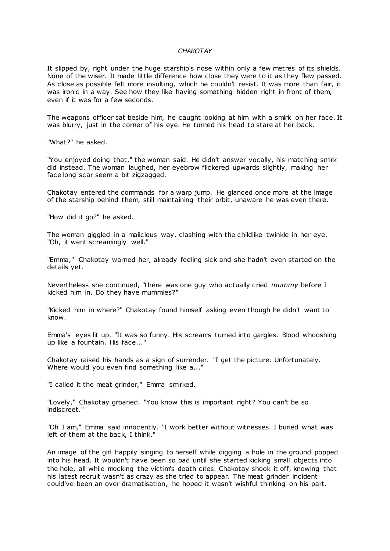#### *CHAKOTAY*

It slipped by, right under the huge starship's nose within only a few metres of its shields. None of the wiser. It made little difference how close they were to it as they flew passed. As close as possible felt more insulting, which he couldn't resist. It was more than fair, it was ironic in a way. See how they like having something hidden right in front of them, even if it was for a few seconds.

The weapons officer sat beside him, he caught looking at him with a smirk on her face. It was blurry, just in the corner of his eye. He turned his head to stare at her back.

"What?" he asked.

"You enjoyed doing that," the woman said. He didn't answer vocally, his matching smirk did instead. The woman laughed, her eyebrow flickered upwards slightly, making her face long scar seem a bit zigzagged.

Chakotay entered the commands for a warp jump. He glanced once more at the image of the starship behind them, still maintaining their orbit, unaware he was even there.

"How did it go?" he asked.

The woman giggled in a malicious way, clashing with the childlike twinkle in her eye. "Oh, it went screamingly well."

"Emma," Chakotay warned her, already feeling sick and she hadn't even started on the details yet.

Nevertheless she continued, "there was one guy who actually cried *mummy* before I kicked him in. Do they have mummies?"

"Kicked him in where?" Chakotay found himself asking even though he didn't want to know.

Emma's eyes lit up. "It was so funny. His screams turned into gargles. Blood whooshing up like a fountain. His face..."

Chakotay raised his hands as a sign of surrender. "I get the picture. Unfortunately. Where would you even find something like a..."

"I called it the meat grinder," Emma smirked.

"Lovely," Chakotay groaned. "You know this is important right? You can't be so indiscreet."

"Oh I am," Emma said innocently. "I work better without witnesses. I buried what was left of them at the back, I think."

An image of the girl happily singing to herself while digging a hole in the ground popped into his head. It wouldn't have been so bad until she started kicking small objects into the hole, all while mocking the victim's death cries. Chakotay shook it off, knowing that his latest recruit wasn't as crazy as she tried to appear. The meat grinder incident could've been an over dramatisation, he hoped it wasn't wishful thinking on his part.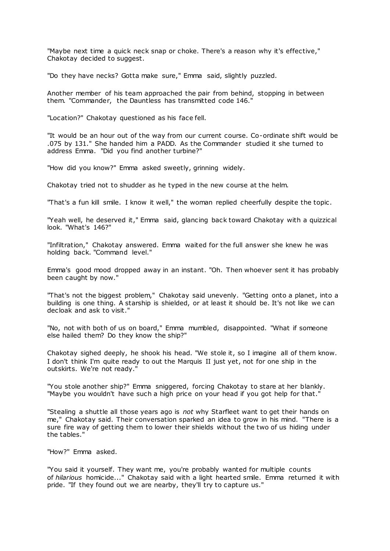"Maybe next time a quick neck snap or choke. There's a reason why it's effective," Chakotay decided to suggest.

"Do they have necks? Gotta make sure," Emma said, slightly puzzled.

Another member of his team approached the pair from behind, stopping in between them. "Commander, the Dauntless has transmitted code 146."

"Location?" Chakotay questioned as his face fell.

"It would be an hour out of the way from our current course. Co-ordinate shift would be .075 by 131." She handed him a PADD. As the Commander studied it she turned to address Emma. "Did you find another turbine?"

"How did you know?" Emma asked sweetly, grinning widely.

Chakotay tried not to shudder as he typed in the new course at the helm.

"That's a fun kill smile. I know it well," the woman replied cheerfully despite the topic .

"Yeah well, he deserved it," Emma said, glancing back toward Chakotay with a quizzical look. "What's 146?"

"Infiltration," Chakotay answered. Emma waited for the full answer she knew he was holding back. "Command level."

Emma's good mood dropped away in an instant. "Oh. Then whoever sent it has probably been caught by now."

"That's not the biggest problem," Chakotay said unevenly. "Getting onto a planet, into a building is one thing. A starship is shielded, or at least it should be. It's not like we can decloak and ask to visit."

"No, not with both of us on board," Emma mumbled, disappointed. "What if someone else hailed them? Do they know the ship?"

Chakotay sighed deeply, he shook his head. "We stole it, so I imagine all of them know. I don't think I'm quite ready to out the Marquis II just yet, not for one ship in the outskirts. We're not ready."

"You stole another ship?" Emma sniggered, forcing Chakotay to stare at her blankly. "Maybe you wouldn't have such a high price on your head if you got help for that."

"Stealing a shuttle all those years ago is *not* why Starfleet want to get their hands on me," Chakotay said. Their conversation sparked an idea to grow in his mind. "There is a sure fire way of getting them to lower their shields without the two of us hiding under the tables."

"How?" Emma asked.

"You said it yourself. They want me, you're probably wanted for multiple counts of *hilarious* homicide..." Chakotay said with a light hearted smile. Emma returned it with pride. "If they found out we are nearby, they'll try to capture us."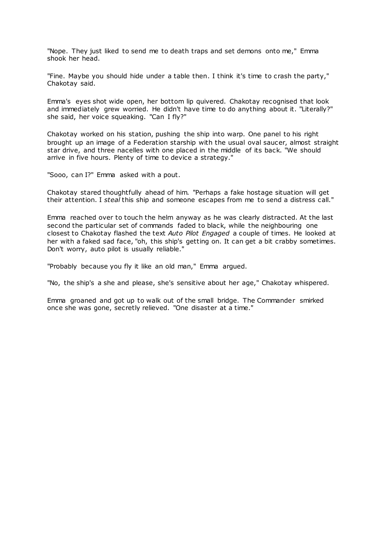"Nope. They just liked to send me to death traps and set demons onto me," Emma shook her head.

"Fine. Maybe you should hide under a table then. I think it's time to crash the party," Chakotay said.

Emma's eyes shot wide open, her bottom lip quivered. Chakotay recognised that look and immediately grew worried. He didn't have time to do anything about it. "Literally?" she said, her voice squeaking. "Can I fly?"

Chakotay worked on his station, pushing the ship into warp. One panel to his right brought up an image of a Federation starship with the usual oval saucer, almost straight star drive, and three nacelles with one placed in the middle of its back. "We should arrive in five hours. Plenty of time to device a strategy."

"Sooo, can I?" Emma asked with a pout.

Chakotay stared thoughtfully ahead of him. "Perhaps a fake hostage situation will get their attention. I *steal* this ship and someone escapes from me to send a distress call."

Emma reached over to touch the helm anyway as he was clearly distracted. At the last second the particular set of commands faded to black, while the neighbouring one closest to Chakotay flashed the text *Auto Pilot Engaged* a couple of times. He looked at her with a faked sad face, "oh, this ship's getting on. It can get a bit crabby sometimes. Don't worry, auto pilot is usually reliable."

"Probably because you fly it like an old man," Emma argued.

"No, the ship's a she and please, she's sensitive about her age," Chakotay whispered.

Emma groaned and got up to walk out of the small bridge. The Commander smirked once she was gone, secretly relieved. "One disaster at a time."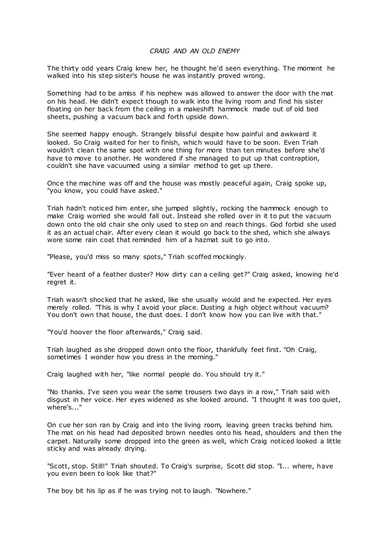# *CRAIG AND AN OLD ENEMY*

The thirty odd years Craig knew her, he thought he'd seen everything. The moment he walked into his step sister's house he was instantly proved wrong.

Something had to be amiss if his nephew was allowed to answer the door with the mat on his head. He didn't expect though to walk into the living room and find his sister floating on her back from the ceiling in a makeshift hammock made out of old bed sheets, pushing a vacuum back and forth upside down.

She seemed happy enough. Strangely blissful despite how painful and awkward it looked. So Craig waited for her to finish, which would have to be soon. Even Triah wouldn't clean the same spot with one thing for more than ten minutes before she'd have to move to another. He wondered if she managed to put up that contraption, couldn't she have vacuumed using a similar method to get up there.

Once the machine was off and the house was mostly peaceful again, Craig spoke up, "you know, you could have asked."

Triah hadn't noticed him enter, she jumped slightly, rocking the hammock enough to make Craig worried she would fall out. Instead she rolled over in it to put the vacuum down onto the old chair she only used to step on and reach things. God forbid she used it as an actual chair. After every clean it would go back to the shed, which she always wore some rain coat that reminded him of a hazmat suit to go into.

"Please, you'd miss so many spots," Triah scoffed mockingly.

"Ever heard of a feather duster? How dirty can a ceiling get?" Craig asked, knowing he'd regret it.

Triah wasn't shocked that he asked, like she usually would and he expected. Her eyes merely rolled. "This is why I avoid your place. Dusting a high object without vacuum? You don't own that house, the dust does. I don't know how you can live with that."

"You'd hoover the floor afterwards," Craig said.

Triah laughed as she dropped down onto the floor, thankfully feet first. "Oh Craig, sometimes I wonder how you dress in the morning."

Craig laughed with her, "like normal people do. You should try it."

"No thanks. I've seen you wear the same trousers two days in a row," Triah said with disgust in her voice. Her eyes widened as she looked around. "I thought it was too quiet, where's..."

On cue her son ran by Craig and into the living room, leaving green tracks behind him. The mat on his head had deposited brown needles onto his head, shoulders and then the carpet. Naturally some dropped into the green as well, which Craig noticed looked a little sticky and was already drying.

"Scott, stop. Still!" Triah shouted. To Craig's surprise, Scott did stop. "I... where, have you even been to look like that?"

The boy bit his lip as if he was trying not to laugh. "Nowhere."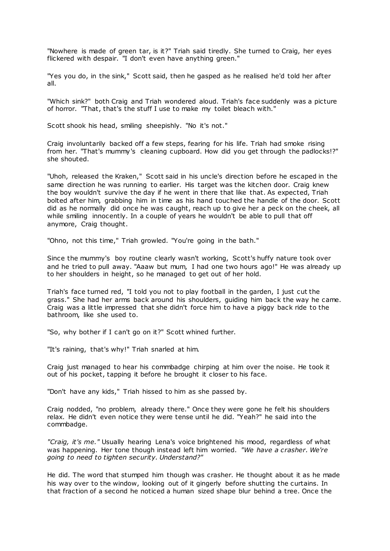"Nowhere is made of green tar, is it?" Triah said tiredly. She turned to Craig, her eyes flickered with despair. "I don't even have anything green."

"Yes you do, in the sink," Scott said, then he gasped as he realised he'd told her after all.

"Which sink?" both Craig and Triah wondered aloud. Triah's face suddenly was a picture of horror. "That, that's the stuff I use to make my toilet bleach with."

Scott shook his head, smiling sheepishly. "No it's not."

Craig involuntarily backed off a few steps, fearing for his life. Triah had smoke rising from her. "That's mummy's cleaning cupboard. How did you get through the padlocks!?" she shouted.

"Uhoh, released the Kraken," Scott said in his uncle's direction before he escaped in the same direction he was running to earlier. His target was the kitchen door. Craig knew the boy wouldn't survive the day if he went in there that like that. As expected, Triah bolted after him, grabbing him in time as his hand touched the handle of the door. Scott did as he normally did once he was caught, reach up to give her a peck on the cheek, all while smiling innocently. In a couple of years he wouldn't be able to pull that off anymore, Craig thought.

"Ohno, not this time," Triah growled. "You're going in the bath."

Since the mummy's boy routine clearly wasn't working, Scott's huffy nature took over and he tried to pull away. "Aaaw but mum, I had one two hours ago!" He was already up to her shoulders in height, so he managed to get out of her hold.

Triah's face turned red, "I told you not to play football in the garden, I just cut the grass." She had her arms back around his shoulders, guiding him back the way he came. Craig was a little impressed that she didn't force him to have a piggy back ride to the bathroom, like she used to.

"So, why bother if I can't go on it?" Scott whined further.

"It's raining, that's why!" Triah snarled at him.

Craig just managed to hear his commbadge chirping at him over the noise. He took it out of his pocket, tapping it before he brought it closer to his face.

"Don't have any kids," Triah hissed to him as she passed by.

Craig nodded, "no problem, already there." Once they were gone he felt his shoulders relax. He didn't even notice they were tense until he did. "Yeah?" he said into the commbadge.

*"Craig, it's me."* Usually hearing Lena's voice brightened his mood, regardless of what was happening. Her tone though instead left him worried. *"We have a crasher. We're going to need to tighten security. Understand?"*

He did. The word that stumped him though was crasher. He thought about it as he made his way over to the window, looking out of it gingerly before shutting the curtains. In that fraction of a second he noticed a human sized shape blur behind a tree. Once the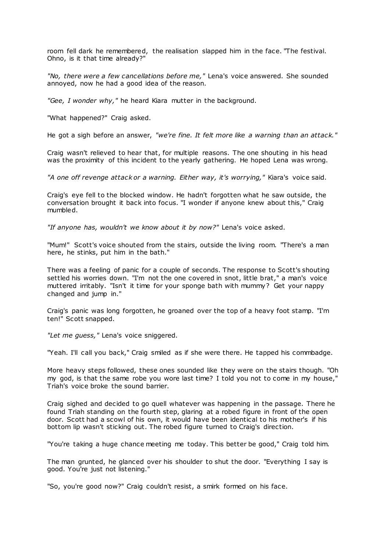room fell dark he remembered, the realisation slapped him in the face. "The festival. Ohno, is it that time already?"

*"No, there were a few cancellations before me,"* Lena's voice answered. She sounded annoyed, now he had a good idea of the reason.

*"Gee, I wonder why,"* he heard Kiara mutter in the background.

"What happened?" Craig asked.

He got a sigh before an answer, *"we're fine. It felt more like a warning than an attack."*

Craig wasn't relieved to hear that, for multiple reasons. The one shouting in his head was the proximity of this incident to the yearly gathering. He hoped Lena was wrong.

*"A one off revenge attack or a warning. Either way, it's worrying,"* Kiara's voice said.

Craig's eye fell to the blocked window. He hadn't forgotten what he saw outside, the conversation brought it back into focus. "I wonder if anyone knew about this," Craig mumbled.

*"If anyone has, wouldn't we know about it by now?"* Lena's voice asked.

"Mum!" Scott's voice shouted from the stairs, outside the living room. "There's a man here, he stinks, put him in the bath."

There was a feeling of panic for a couple of seconds. The response to Scott's shouting settled his worries down. "I'm not the one covered in snot, little brat," a man's voice muttered irritably. "Isn't it time for your sponge bath with mummy? Get your nappy changed and jump in."

Craig's panic was long forgotten, he groaned over the top of a heavy foot stamp. "I'm ten!" Scott snapped.

*"Let me guess,"* Lena's voice sniggered.

"Yeah. I'll call you back," Craig smiled as if she were there. He tapped his commbadge.

More heavy steps followed, these ones sounded like they were on the stairs though. "Oh my god, is that the same robe you wore last time? I told you not to come in my house," Triah's voice broke the sound barrier.

Craig sighed and decided to go quell whatever was happening in the passage. There he found Triah standing on the fourth step, glaring at a robed figure in front of the open door. Scott had a scowl of his own, it would have been identical to his mother's if his bottom lip wasn't sticking out. The robed figure turned to Craig's direction.

"You're taking a huge chance meeting me today. This better be good," Craig told him.

The man grunted, he glanced over his shoulder to shut the door. "Everything I say is good. You're just not listening."

"So, you're good now?" Craig couldn't resist, a smirk formed on his face.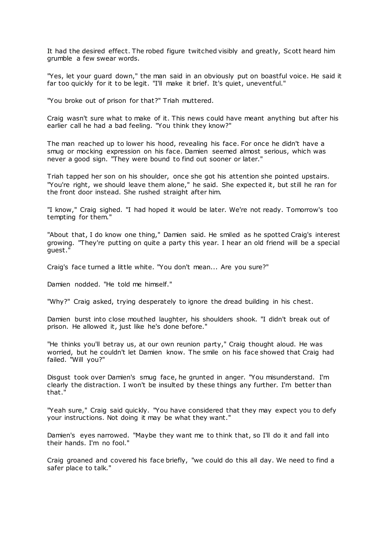It had the desired effect. The robed figure twitched visibly and greatly, Scott heard him grumble a few swear words.

"Yes, let your guard down," the man said in an obviously put on boastful voice. He said it far too quickly for it to be legit. "I'll make it brief. It's quiet, uneventful."

"You broke out of prison for that?" Triah muttered.

Craig wasn't sure what to make of it. This news could have meant anything but after his earlier call he had a bad feeling. "You think they know?"

The man reached up to lower his hood, revealing his face. For once he didn't have a smug or mocking expression on his face. Damien seemed almost serious, which was never a good sign. "They were bound to find out sooner or later."

Triah tapped her son on his shoulder, once she got his attention she pointed upstairs. "You're right, we should leave them alone," he said. She expected it, but still he ran for the front door instead. She rushed straight after him.

"I know," Craig sighed. "I had hoped it would be later. We're not ready. Tomorrow's too tempting for them."

"About that, I do know one thing," Damien said. He smiled as he spotted Craig's interest growing. "They're putting on quite a party this year. I hear an old friend will be a special guest."

Craig's face turned a little white. "You don't mean... Are you sure?"

Damien nodded. "He told me himself."

"Why?" Craig asked, trying desperately to ignore the dread building in his chest.

Damien burst into close mouthed laughter, his shoulders shook. "I didn't break out of prison. He allowed it, just like he's done before."

"He thinks you'll betray us, at our own reunion party," Craig thought aloud. He was worried, but he couldn't let Damien know. The smile on his face showed that Craig had failed. "Will you?"

Disgust took over Damien's smug face, he grunted in anger. "You misunderstand. I'm clearly the distraction. I won't be insulted by these things any further. I'm better than that."

"Yeah sure," Craig said quickly. "You have considered that they may expect you to defy your instructions. Not doing it may be what they want."

Damien's eyes narrowed. "Maybe they want me to think that, so I'll do it and fall into their hands. I'm no fool."

Craig groaned and covered his face briefly, "we could do this all day. We need to find a safer place to talk."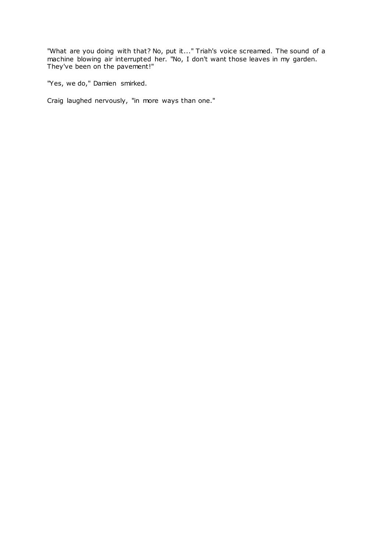"What are you doing with that? No, put it..." Triah's voice screamed. The sound of a machine blowing air interrupted her. "No, I don't want those leaves in my garden. They've been on the pavement!"

"Yes, we do," Damien smirked.

Craig laughed nervously, "in more ways than one."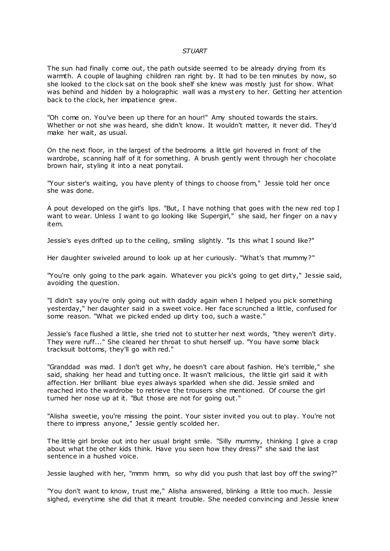#### *STUART*

The sun had finally come out, the path outside seemed to be already drying from its warmth. A couple of laughing children ran right by. It had to be ten minutes by now, so she looked to the clock sat on the book shelf she knew was mostly just for show. What was behind and hidden by a holographic wall was a mystery to her. Getting her attention back to the clock, her impatience grew.

"Oh come on. You've been up there for an hour!" Amy shouted towards the stairs. Whether or not she was heard, she didn't know. It wouldn't matter, it never did. They'd make her wait, as usual.

On the next floor, in the largest of the bedrooms a little girl hovered in front of the wardrobe, scanning half of it for something. A brush gently went through her chocolate brown hair, styling it into a neat ponytail.

"Your sister's waiting, you have plenty of things to choose from," Jessie told her once she was done.

A pout developed on the girl's lips. "But, I have nothing that goes with the new red top I want to wear. Unless I want to go looking like Supergirl," she said, her finger on a navy item.

Jessie's eyes drifted up to the ceiling, smiling slightly. "Is this what I sound like?"

Her daughter swiveled around to look up at her curiously. "What's that mummy?"

"You're only going to the park again. Whatever you pick's going to get dirty," Jessie said, avoiding the question.

"I didn't say you're only going out with daddy again when I helped you pick something yesterday," her daughter said in a sweet voice. Her face scrunched a little, confused for some reason. "What we picked ended up dirty too, such a waste."

Jessie's face flushed a little, she tried not to stutter her next words, "they weren't dirty. They were ruff..." She cleared her throat to shut herself up. "You have some black tracksuit bottoms, they'll go with red."

"Granddad was mad. I don't get why, he doesn't care about fashion. He's terrible," she said, shaking her head and tutting once. It wasn't malicious, the little girl said it with affection. Her brilliant blue eyes always sparkled when she did. Jessie smiled and reached into the wardrobe to retrieve the trousers she mentioned. Of course the girl turned her nose up at it. "But those are not for going out."

"Alisha sweetie, you're missing the point. Your sister invited you out to play. You're not there to impress anyone," Jessie gently scolded her.

The little girl broke out into her usual bright smile. "Silly mummy, thinking I give a crap about what the other kids think. Have you seen how they dress?" she said the last sentence in a hushed voice.

Jessie laughed with her, "mmm hmm, so why did you push that last boy off the swing?"

"You don't want to know, trust me," Alisha answered, blinking a little too much. Jessie sighed, everytime she did that it meant trouble. She needed convincing and Jessie knew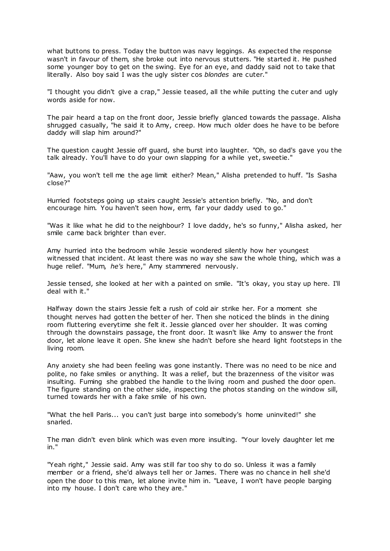what buttons to press. Today the button was navy leggings. As expected the response wasn't in favour of them, she broke out into nervous stutters. "He started it. He pushed some younger boy to get on the swing. Eye for an eye, and daddy said not to take that literally. Also boy said I was the ugly sister cos *blondes* are cuter."

"I thought you didn't give a crap," Jessie teased, all the while putting the cuter and ugly words aside for now.

The pair heard a tap on the front door, Jessie briefly glanced towards the passage. Alisha shrugged casually, "he said it to Amy, creep. How much older does he have to be before daddy will slap him around?"

The question caught Jessie off guard, she burst into laughter. "Oh, so dad's gave you the talk already. You'll have to do your own slapping for a while yet, sweetie."

"Aaw, you won't tell me the age limit either? Mean," Alisha pretended to huff. "Is Sasha close?"

Hurried footsteps going up stairs caught Jessie's attention briefly. "No, and don't encourage him. You haven't seen how, erm, far your daddy used to go."

"Was it like what he did to the neighbour? I love daddy, he's so funny," Alisha asked, her smile came back brighter than ever.

Amy hurried into the bedroom while Jessie wondered silently how her youngest witnessed that incident. At least there was no way she saw the whole thing, which was a huge relief. "Mum, *he's* here," Amy stammered nervously.

Jessie tensed, she looked at her with a painted on smile. "It's okay, you stay up here. I'll deal with it."

Halfway down the stairs Jessie felt a rush of cold air strike her. For a moment she thought nerves had gotten the better of her. Then she noticed the blinds in the dining room fluttering everytime she felt it. Jessie glanced over her shoulder. It was coming through the downstairs passage, the front door. It wasn't like Amy to answer the front door, let alone leave it open. She knew she hadn't before she heard light footsteps in the living room.

Any anxiety she had been feeling was gone instantly. There was no need to be nice and polite, no fake smiles or anything. It was a relief, but the brazenness of the visitor was insulting. Fuming she grabbed the handle to the living room and pushed the door open. The figure standing on the other side, inspecting the photos standing on the window sill, turned towards her with a fake smile of his own.

"What the hell Paris... you can't just barge into somebody's home uninvited!" she snarled.

The man didn't even blink which was even more insulting. "Your lovely daughter let me in."

"Yeah right," Jessie said. Amy was still far too shy to do so. Unless it was a family member or a friend, she'd always tell her or James. There was no chance in hell she'd open the door to this man, let alone invite him in. "Leave, I won't have people barging into my house. I don't care who they are."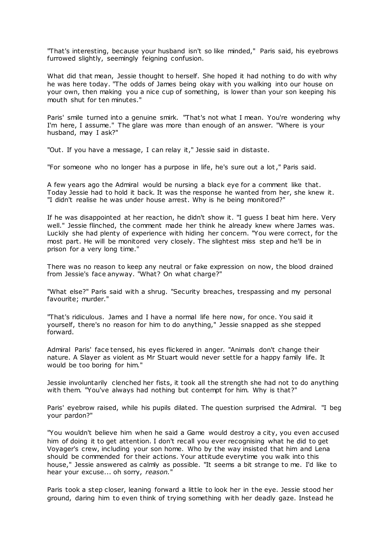"That's interesting, because your husband isn't so like minded," Paris said, his eyebrows furrowed slightly, seemingly feigning confusion.

What did that mean, Jessie thought to herself. She hoped it had nothing to do with why he was here today. "The odds of James being okay with you walking into our house on your own, then making you a nice cup of something, is lower than your son keeping his mouth shut for ten minutes."

Paris' smile turned into a genuine smirk. "That's not what I mean. You're wondering why I'm here, I assume." The glare was more than enough of an answer. "Where is your husband, may I ask?"

"Out. If you have a message, I can relay it," Jessie said in distaste.

"For someone who no longer has a purpose in life, he's sure out a lot," Paris said.

A few years ago the Admiral would be nursing a black eye for a comment like that. Today Jessie had to hold it back. It was the response he wanted from her, she knew it. "I didn't realise he was under house arrest. Why is he being monitored?"

If he was disappointed at her reaction, he didn't show it. "I guess I beat him here. Very well." Jessie flinched, the comment made her think he already knew where James was. Luckily she had plenty of experience with hiding her concern. "You were correct, for the most part. He will be monitored very closely. The slightest miss step and he'll be in prison for a very long time."

There was no reason to keep any neutral or fake expression on now, the blood drained from Jessie's face anyway. "What? On what charge?"

"What else?" Paris said with a shrug. "Security breaches, trespassing and my personal favourite; murder."

"That's ridiculous. James and I have a normal life here now, for once. You said it yourself, there's no reason for him to do anything," Jessie snapped as she stepped forward.

Admiral Paris' face tensed, his eyes flickered in anger. "Animals don't change their nature. A Slayer as violent as Mr Stuart would never settle for a happy family life. It would be too boring for him."

Jessie involuntarily clenched her fists, it took all the strength she had not to do anything with them. "You've always had nothing but contempt for him. Why is that?"

Paris' eyebrow raised, while his pupils dilated. The question surprised the Admiral. "I beg your pardon?"

"You wouldn't believe him when he said a Game would destroy a city, you even accused him of doing it to get attention. I don't recall you ever recognising what he did to get Voyager's crew, including your son home. Who by the way insisted that him and Lena should be commended for their actions. Your attitude everytime you walk into this house," Jessie answered as calmly as possible. "It seems a bit strange to me. I'd like to hear your excuse... oh sorry, *reason.*"

Paris took a step closer, leaning forward a little to look her in the eye. Jessie stood her ground, daring him to even think of trying something with her deadly gaze. Instead he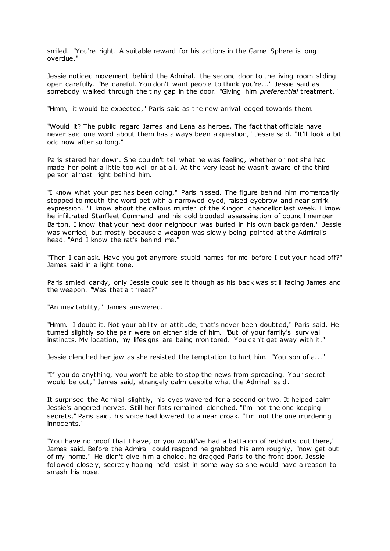smiled. "You're right. A suitable reward for his actions in the Game Sphere is long overdue."

Jessie noticed movement behind the Admiral, the second door to the living room sliding open carefully. "Be careful. You don't want people to think you're..." Jessie said as somebody walked through the tiny gap in the door. "Giving him *preferential* treatment."

"Hmm, it would be expected," Paris said as the new arrival edged towards them.

"Would it? The public regard James and Lena as heroes. The fact that officials have never said one word about them has always been a question," Jessie said. "It'll look a bit odd now after so long."

Paris stared her down. She couldn't tell what he was feeling, whether or not she had made her point a little too well or at all. At the very least he wasn't aware of the third person almost right behind him.

"I know what your pet has been doing," Paris hissed. The figure behind him momentarily stopped to mouth the word pet with a narrowed eyed, raised eyebrow and near smirk expression. "I know about the callous murder of the Klingon chancellor last week. I know he infiltrated Starfleet Command and his cold blooded assassination of council member Barton. I know that your next door neighbour was buried in his own back garden." Jessie was worried, but mostly because a weapon was slowly being pointed at the Admiral's head. "And I know the rat's behind me."

"Then I can ask. Have you got anymore stupid names for me before I cut your head off?" James said in a light tone.

Paris smiled darkly, only Jessie could see it though as his back was still facing James and the weapon. "Was that a threat?"

"An inevitability," James answered.

"Hmm. I doubt it. Not your ability or attitude, that's never been doubted," Paris said. He turned slightly so the pair were on either side of him. "But of your family's survival instincts. My location, my lifesigns are being monitored. You can't get away with it."

Jessie clenched her jaw as she resisted the temptation to hurt him. "You son of a..."

"If you do anything, you won't be able to stop the news from spreading. Your secret would be out," James said, strangely calm despite what the Admiral said.

It surprised the Admiral slightly, his eyes wavered for a second or two. It helped calm Jessie's angered nerves. Still her fists remained clenched. "I'm not the one keeping secrets," Paris said, his voice had lowered to a near croak. "I'm not the one murdering innocents."

"You have no proof that I have, or you would've had a battalion of redshirts out there," James said. Before the Admiral could respond he grabbed his arm roughly, "now get out of my home." He didn't give him a choice, he dragged Paris to the front door. Jessie followed closely, secretly hoping he'd resist in some way so she would have a reason to smash his nose.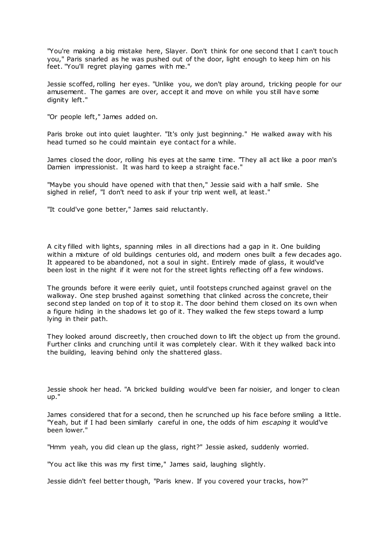"You're making a big mistake here, Slayer. Don't think for one second that I can't touch you," Paris snarled as he was pushed out of the door, light enough to keep him on his feet. "You'll regret playing games with me."

Jessie scoffed, rolling her eyes. "Unlike you, we don't play around, tricking people for our amusement. The games are over, accept it and move on while you still have some dignity left."

"Or people left," James added on.

Paris broke out into quiet laughter. "It's only just beginning." He walked away with his head turned so he could maintain eye contact for a while.

James closed the door, rolling his eyes at the same time. "They all act like a poor man's Damien impressionist. It was hard to keep a straight face."

"Maybe you should have opened with that then," Jessie said with a half smile. She sighed in relief, "I don't need to ask if your trip went well, at least."

"It could've gone better," James said reluctantly.

A city filled with lights, spanning miles in all directions had a gap in it. One building within a mixture of old buildings centuries old, and modern ones built a few decades ago. It appeared to be abandoned, not a soul in sight. Entirely made of glass, it would've been lost in the night if it were not for the street lights reflecting off a few windows.

The grounds before it were eerily quiet, until footsteps crunched against gravel on the walkway. One step brushed against something that clinked across the concrete, their second step landed on top of it to stop it. The door behind them closed on its own when a figure hiding in the shadows let go of it. They walked the few steps toward a lump lying in their path.

They looked around discreetly, then crouched down to lift the object up from the ground. Further clinks and crunching until it was completely clear. With it they walked back into the building, leaving behind only the shattered glass.

Jessie shook her head. "A bricked building would've been far noisier, and longer to clean up."

James considered that for a second, then he scrunched up his face before smiling a little. "Yeah, but if I had been similarly careful in one, the odds of him *escaping* it would've been lower."

"Hmm yeah, you did clean up the glass, right?" Jessie asked, suddenly worried.

"You act like this was my first time," James said, laughing slightly.

Jessie didn't feel better though, "Paris knew. If you covered your tracks, how?"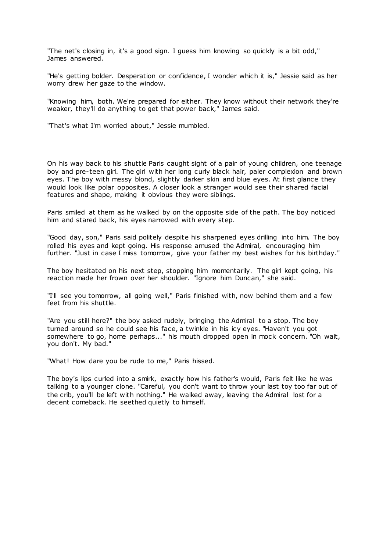"The net's closing in, it's a good sign. I guess him knowing so quickly is a bit odd," James answered.

"He's getting bolder. Desperation or confidence, I wonder which it is," Jessie said as her worry drew her gaze to the window.

"Knowing him, both. We're prepared for either. They know without their network they're weaker, they'll do anything to get that power back," James said.

"That's what I'm worried about," Jessie mumbled.

On his way back to his shuttle Paris caught sight of a pair of young children, one teenage boy and pre-teen girl. The girl with her long curly black hair, paler complexion and brown eyes. The boy with messy blond, slightly darker skin and blue eyes. At first glance they would look like polar opposites. A closer look a stranger would see their shared facial features and shape, making it obvious they were siblings.

Paris smiled at them as he walked by on the opposite side of the path. The boy noticed him and stared back, his eyes narrowed with every step.

"Good day, son," Paris said politely despite his sharpened eyes drilling into him. The boy rolled his eyes and kept going. His response amused the Admiral, encouraging him further. "Just in case I miss tomorrow, give your father my best wishes for his birthday."

The boy hesitated on his next step, stopping him momentarily. The girl kept going, his reaction made her frown over her shoulder. "Ignore him Duncan," she said.

"I'll see you tomorrow, all going well," Paris finished with, now behind them and a few feet from his shuttle.

"Are you still here?" the boy asked rudely, bringing the Admiral to a stop. The boy turned around so he could see his face, a twinkle in his icy eyes. "Haven't you got somewhere to go, home perhaps..." his mouth dropped open in mock concern. "Oh wait, you don't. My bad."

"What! How dare you be rude to me," Paris hissed.

The boy's lips curled into a smirk, exactly how his father's would, Paris felt like he was talking to a younger clone. "Careful, you don't want to throw your last toy too far out of the crib, you'll be left with nothing." He walked away, leaving the Admiral lost for a decent comeback. He seethed quietly to himself.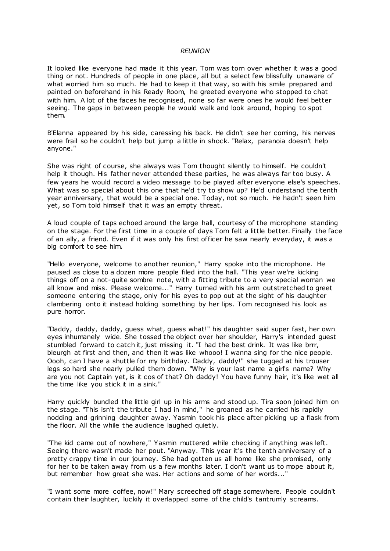#### *REUNION*

It looked like everyone had made it this year. Tom was torn over whether it was a good thing or not. Hundreds of people in one place, all but a select few blissfully unaware of what worried him so much. He had to keep it that way, so with his smile prepared and painted on beforehand in his Ready Room, he greeted everyone who stopped to chat with him. A lot of the faces he recognised, none so far were ones he would feel better seeing. The gaps in between people he would walk and look around, hoping to spot them.

B'Elanna appeared by his side, caressing his back. He didn't see her coming, his nerves were frail so he couldn't help but jump a little in shock. "Relax, paranoia doesn't help anyone."

She was right of course, she always was Tom thought silently to himself. He couldn't help it though. His father never attended these parties, he was always far too busy. A few years he would record a video message to be played after everyone else's speeches. What was so special about this one that he'd try to show up? He'd understand the tenth year anniversary, that would be a special one. Today, not so much. He hadn't seen him yet, so Tom told himself that it was an empty threat.

A loud couple of taps echoed around the large hall, courtesy of the microphone standing on the stage. For the first time in a couple of days Tom felt a little better. Finally the face of an ally, a friend. Even if it was only his first officer he saw nearly everyday, it was a big comfort to see him.

"Hello everyone, welcome to another reunion," Harry spoke into the microphone. He paused as close to a dozen more people filed into the hall. "This year we're kicking things off on a not-quite sombre note, with a fitting tribute to a very special woman we all know and miss. Please welcome..." Harry turned with his arm outstretched to greet someone entering the stage, only for his eyes to pop out at the sight of his daughter clambering onto it instead holding something by her lips. Tom recognised his look as pure horror.

"Daddy, daddy, daddy, guess what, guess what!" his daughter said super fast, her own eyes inhumanely wide. She tossed the object over her shoulder, Harry's intended guest stumbled forward to catch it, just missing it. "I had the best drink. It was like brrr, bleurgh at first and then, and then it was like whooo! I wanna sing for the nice people. Oooh, can I have a shuttle for my birthday. Daddy, daddy!" she tugged at his trouser legs so hard she nearly pulled them down. "Why is your last name a girl's name? Why are you not Captain yet, is it cos of that? Oh daddy! You have funny hair, it's like wet all the time like you stick it in a sink."

Harry quickly bundled the little girl up in his arms and stood up. Tira soon joined him on the stage. "This isn't the tribute I had in mind," he groaned as he carried his rapidly nodding and grinning daughter away. Yasmin took his place after picking up a flask from the floor. All the while the audience laughed quietly.

"The kid came out of nowhere," Yasmin muttered while checking if anything was left. Seeing there wasn't made her pout. "Anyway. This year it's the tenth anniversary of a pretty crappy time in our journey. She had gotten us all home like she promised, only for her to be taken away from us a few months later. I don't want us to mope about it, but remember how great she was. Her actions and some of her words..."

"I want some more coffee, now!" Mary screeched off stage somewhere. People couldn't contain their laughter, luckily it overlapped some of the child's tantrum'y screams.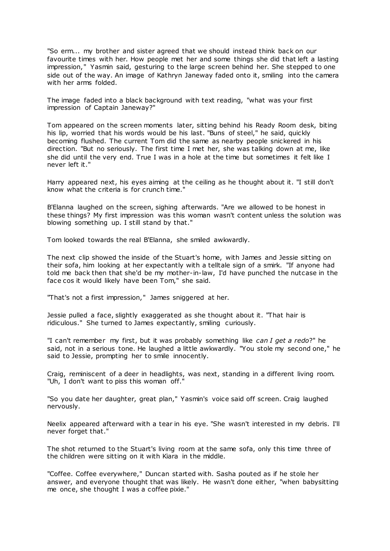"So erm... my brother and sister agreed that we should instead think back on our favourite times with her. How people met her and some things she did that left a lasting impression," Yasmin said, gesturing to the large screen behind her. She stepped to one side out of the way. An image of Kathryn Janeway faded onto it, smiling into the camera with her arms folded.

The image faded into a black background with text reading, "what was your first impression of Captain Janeway?"

Tom appeared on the screen moments later, sitting behind his Ready Room desk, biting his lip, worried that his words would be his last. "Buns of steel," he said, quickly becoming flushed. The current Tom did the same as nearby people snickered in his direction. "But no seriously. The first time I met her, she was talking down at me, like she did until the very end. True I was in a hole at the time but sometimes it felt like I never left it."

Harry appeared next, his eyes aiming at the ceiling as he thought about it. "I still don't know what the criteria is for crunch time."

B'Elanna laughed on the screen, sighing afterwards. "Are we allowed to be honest in these things? My first impression was this woman wasn't content unless the solution was blowing something up. I still stand by that."

Tom looked towards the real B'Elanna, she smiled awkwardly.

The next clip showed the inside of the Stuart's home, with James and Jessie sitting on their sofa, him looking at her expectantly with a telltale sign of a smirk. "If anyone had told me back then that she'd be my mother-in-law, I'd have punched the nutcase in the face cos it would likely have been Tom," she said.

"That's not a first impression," James sniggered at her.

Jessie pulled a face, slightly exaggerated as she thought about it. "That hair is ridiculous." She turned to James expectantly, smiling curiously.

"I can't remember my first, but it was probably something like *can I get a redo*?" he said, not in a serious tone. He laughed a little awkwardly. "You stole my second one," he said to Jessie, prompting her to smile innocently.

Craig, reminiscent of a deer in headlights, was next, standing in a different living room. "Uh, I don't want to piss this woman off."

"So you date her daughter, great plan," Yasmin's voice said off screen. Craig laughed nervously.

Neelix appeared afterward with a tear in his eye. "She wasn't interested in my debris. I'll never forget that."

The shot returned to the Stuart's living room at the same sofa, only this time three of the children were sitting on it with Kiara in the middle.

"Coffee. Coffee everywhere," Duncan started with. Sasha pouted as if he stole her answer, and everyone thought that was likely. He wasn't done either, "when babysitting me once, she thought I was a coffee pixie."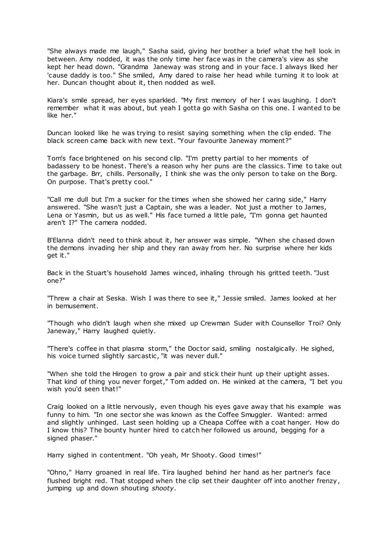"She always made me laugh," Sasha said, giving her brother a brief what the hell look in between. Amy nodded, it was the only time her face was in the camera's view as she kept her head down. "Grandma Janeway was strong and in your face. I always liked her 'cause daddy is too." She smiled, Amy dared to raise her head while turning it to look at her. Duncan thought about it, then nodded as well.

Kiara's smile spread, her eyes sparkled. "My first memory of her I was laughing. I don't remember what it was about, but yeah I gotta go with Sasha on this one. I wanted to be like her."

Duncan looked like he was trying to resist saying something when the clip ended. The black screen came back with new text. "Your favourite Janeway moment?"

Tom's face brightened on his second clip. "I'm pretty partial to her moments of badassery to be honest. There's a reason why her puns are the classics. Time to take out the garbage. Brr, chills. Personally, I think she was the only person to take on the Borg. On purpose. That's pretty cool."

"Call me dull but I'm a sucker for the times when she showed her caring side," Harry answered. "She wasn't just a Captain, she was a leader. Not just a mother to James, Lena or Yasmin, but us as well." His face turned a little pale, "I'm gonna get haunted aren't I?" The camera nodded.

B'Elanna didn't need to think about it, her answer was simple. "When she chased down the demons invading her ship and they ran away from her. No surprise where her kids get it."

Back in the Stuart's household James winced, inhaling through his gritted teeth. "Just one?"

"Threw a chair at Seska. Wish I was there to see it," Jessie smiled. James looked at her in bemusement.

"Though who didn't laugh when she mixed up Crewman Suder with Counsellor Troi? Only Janeway," Harry laughed quietly.

"There's coffee in that plasma storm," the Doctor said, smiling nostalgically. He sighed, his voice turned slightly sarcastic, "it was never dull."

"When she told the Hirogen to grow a pair and stick their hunt up their uptight asses. That kind of thing you never forget," Tom added on. He winked at the camera, "I bet you wish you'd seen that!"

Craig looked on a little nervously, even though his eyes gave away that his example was funny to him. "In one sector she was known as the Coffee Smuggler. Wanted: armed and slightly unhinged. Last seen holding up a Cheapa Coffee with a coat hanger. How do I know this? The bounty hunter hired to catch her followed us around, begging for a signed phaser."

Harry sighed in contentment. "Oh yeah, Mr Shooty. Good times!"

"Ohno," Harry groaned in real life. Tira laughed behind her hand as her partner's face flushed bright red. That stopped when the clip set their daughter off into another frenzy, jumping up and down shouting *shooty*.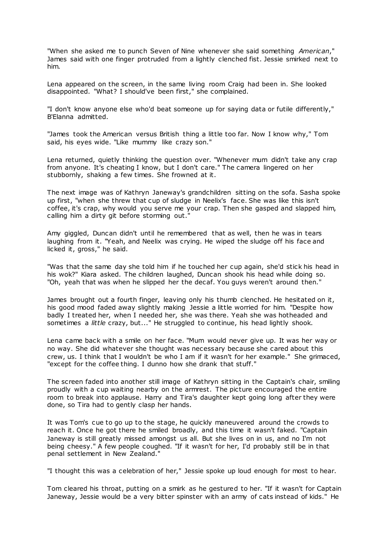"When she asked me to punch Seven of Nine whenever she said something *American*," James said with one finger protruded from a lightly clenched fist. Jessie smirked next to him.

Lena appeared on the screen, in the same living room Craig had been in. She looked disappointed. "What? I should've been first," she complained.

"I don't know anyone else who'd beat someone up for saying data or futile differently," B'Elanna admitted.

"James took the American versus British thing a little too far. Now I know why," Tom said, his eyes wide. "Like mummy like crazy son."

Lena returned, quietly thinking the question over. "Whenever mum didn't take any crap from anyone. It's cheating I know, but I don't care." The camera lingered on her stubbornly, shaking a few times. She frowned at it.

The next image was of Kathryn Janeway's grandchildren sitting on the sofa. Sasha spoke up first, "when she threw that cup of sludge in Neelix's face. She was like this isn't coffee, it's crap, why would you serve me your crap. Then she gasped and slapped him, calling him a dirty git before storming out."

Amy giggled, Duncan didn't until he remembered that as well, then he was in tears laughing from it. "Yeah, and Neelix was crying. He wiped the sludge off his face and licked it, gross," he said.

"Was that the same day she told him if he touched her cup again, she'd stick his head in his wok?" Kiara asked. The children laughed, Duncan shook his head while doing so. "Oh, yeah that was when he slipped her the decaf. You guys weren't around then."

James brought out a fourth finger, leaving only his thumb clenched. He hesitated on it, his good mood faded away slightly making Jessie a little worried for him. "Despite how badly I treated her, when I needed her, she was there. Yeah she was hotheaded and sometimes a *little* crazy, but..." He struggled to continue, his head lightly shook.

Lena came back with a smile on her face. "Mum would never give up. It was her way or no way. She did whatever she thought was necessary because she cared about this crew, us. I think that I wouldn't be who I am if it wasn't for her example." She grimaced, "except for the coffee thing. I dunno how she drank that stuff."

The screen faded into another still image of Kathryn sitting in the Captain's chair, smiling proudly with a cup waiting nearby on the armrest. The picture encouraged the entire room to break into applause. Harry and Tira's daughter kept going long after they were done, so Tira had to gently clasp her hands.

It was Tom's cue to go up to the stage, he quickly maneuvered around the crowds to reach it. Once he got there he smiled broadly, and this time it wasn't faked. "Captain Janeway is still greatly missed amongst us all. But she lives on in us, and no I'm not being cheesy." A few people coughed. "If it wasn't for her, I'd probably still be in that penal settlement in New Zealand."

"I thought this was a celebration of her," Jessie spoke up loud enough for most to hear.

Tom cleared his throat, putting on a smirk as he gestured to her. "If it wasn't for Captain Janeway, Jessie would be a very bitter spinster with an army of cats instead of kids." He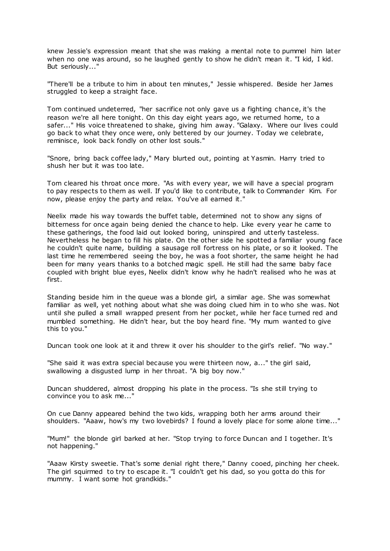knew Jessie's expression meant that she was making a mental note to pummel him later when no one was around, so he laughed gently to show he didn't mean it. "I kid, I kid. But seriously..."

"There'll be a tribute to him in about ten minutes," Jessie whispered. Beside her James struggled to keep a straight face.

Tom continued undeterred, "her sacrifice not only gave us a fighting chance, it's the reason we're all here tonight. On this day eight years ago, we returned home, to a safer..." His voice threatened to shake, giving him away. "Galaxy. Where our lives could go back to what they once were, only bettered by our journey. Today we celebrate, reminisce, look back fondly on other lost souls."

"Snore, bring back coffee lady," Mary blurted out, pointing at Yasmin. Harry tried to shush her but it was too late.

Tom cleared his throat once more. "As with every year, we will have a special program to pay respects to them as well. If you'd like to contribute, talk to Commander Kim. For now, please enjoy the party and relax. You've all earned it."

Neelix made his way towards the buffet table, determined not to show any signs of bitterness for once again being denied the chance to help. Like every year he came to these gatherings, the food laid out looked boring, uninspired and utterly tasteless. Nevertheless he began to fill his plate. On the other side he spotted a familiar young face he couldn't quite name, building a sausage roll fortress on his plate, or so it looked. The last time he remembered seeing the boy, he was a foot shorter, the same height he had been for many years thanks to a botched magic spell. He still had the same baby face coupled with bright blue eyes, Neelix didn't know why he hadn't realised who he was at first.

Standing beside him in the queue was a blonde girl, a similar age. She was somewhat familiar as well, yet nothing about what she was doing clued him in to who she was. Not until she pulled a small wrapped present from her pocket, while her face turned red and mumbled something. He didn't hear, but the boy heard fine. "My mum wanted to give this to you."

Duncan took one look at it and threw it over his shoulder to the girl's relief. "No way."

"She said it was extra special because you were thirteen now, a..." the girl said, swallowing a disgusted lump in her throat. "A big boy now."

Duncan shuddered, almost dropping his plate in the process. "Is she still trying to convince you to ask me..."

On cue Danny appeared behind the two kids, wrapping both her arms around their shoulders. "Aaaw, how's my two lovebirds? I found a lovely place for some alone time..."

"Mum!" the blonde girl barked at her. "Stop trying to force Duncan and I together. It's not happening."

"Aaaw Kirsty sweetie. That's some denial right there," Danny cooed, pinching her cheek. The girl squirmed to try to escape it. "I couldn't get his dad, so you gotta do this for mummy. I want some hot grandkids."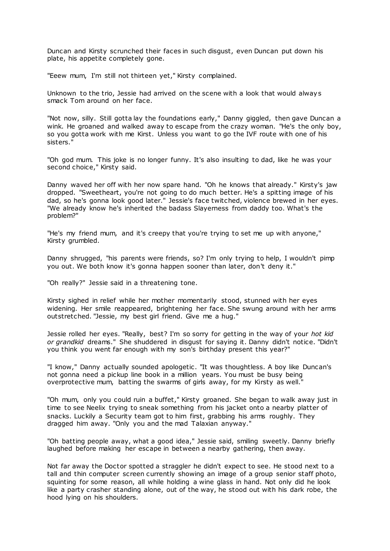Duncan and Kirsty scrunched their faces in such disgust, even Duncan put down his plate, his appetite completely gone.

"Eeew mum, I'm still not thirteen yet," Kirsty complained.

Unknown to the trio, Jessie had arrived on the scene with a look that would always smack Tom around on her face.

"Not now, silly. Still gotta lay the foundations early," Danny giggled, then gave Duncan a wink. He groaned and walked away to escape from the crazy woman. "He's the only boy, so you gotta work with me Kirst. Unless you want to go the IVF route with one of his sisters."

"Oh god mum. This joke is no longer funny. It's also insulting to dad, like he was your second choice," Kirsty said.

Danny waved her off with her now spare hand. "Oh he knows that already." Kirsty's jaw dropped. "Sweetheart, you're not going to do much better. He's a spitting image of his dad, so he's gonna look good later." Jessie's face twitched, violence brewed in her eyes. "We already know he's inherited the badass Slayerness from daddy too. What's the problem?"

"He's my friend mum, and it's creepy that you're trying to set me up with anyone," Kirsty grumbled.

Danny shrugged, "his parents were friends, so? I'm only trying to help, I wouldn't pimp you out. We both know it's gonna happen sooner than later, don't deny it."

"Oh really?" Jessie said in a threatening tone.

Kirsty sighed in relief while her mother momentarily stood, stunned with her eyes widening. Her smile reappeared, brightening her face. She swung around with her arms outstretched. "Jessie, my best girl friend. Give me a hug."

Jessie rolled her eyes. "Really, best? I'm so sorry for getting in the way of your *hot kid or grandkid* dreams." She shuddered in disgust for saying it. Danny didn't notice. "Didn't you think you went far enough with my son's birthday present this year?"

"I know," Danny actually sounded apologetic. "It was thoughtless. A boy like Duncan's not gonna need a pickup line book in a million years. You must be busy being overprotective mum, batting the swarms of girls away, for my Kirsty as well."

"Oh mum, only you could ruin a buffet," Kirsty groaned. She began to walk away just in time to see Neelix trying to sneak something from his jacket onto a nearby platter of snacks. Luckily a Security team got to him first, grabbing his arms roughly. They dragged him away. "Only you and the mad Talaxian anyway."

"Oh batting people away, what a good idea," Jessie said, smiling sweetly. Danny briefly laughed before making her escape in between a nearby gathering, then away.

Not far away the Doctor spotted a straggler he didn't expect to see. He stood next to a tall and thin computer screen currently showing an image of a group senior staff photo, squinting for some reason, all while holding a wine glass in hand. Not only did he look like a party crasher standing alone, out of the way, he stood out with his dark robe, the hood lying on his shoulders.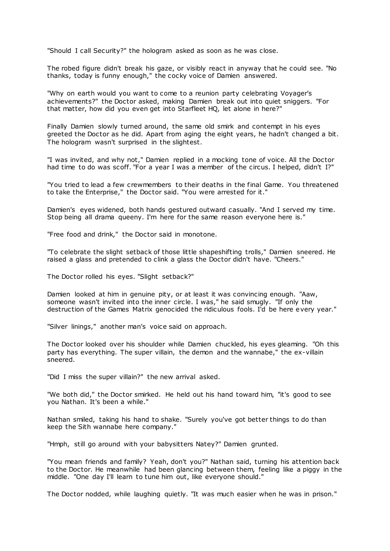"Should I call Security?" the hologram asked as soon as he was close.

The robed figure didn't break his gaze, or visibly react in anyway that he could see. "No thanks, today is funny enough," the cocky voice of Damien answered.

"Why on earth would you want to come to a reunion party celebrating Voyager's achievements?" the Doctor asked, making Damien break out into quiet sniggers. "For that matter, how did you even get into Starfleet HQ, let alone in here?"

Finally Damien slowly turned around, the same old smirk and contempt in his eyes greeted the Doctor as he did. Apart from aging the eight years, he hadn't changed a bit. The hologram wasn't surprised in the slightest.

"I was invited, and why not," Damien replied in a mocking tone of voice. All the Doctor had time to do was scoff. "For a year I was a member of the circus. I helped, didn't I?"

"You tried to lead a few crewmembers to their deaths in the final Game. You threatened to take the Enterprise," the Doctor said. "You were arrested for it."

Damien's eyes widened, both hands gestured outward casually. "And I served my time. Stop being all drama queeny. I'm here for the same reason everyone here is."

"Free food and drink," the Doctor said in monotone.

"To celebrate the slight setback of those little shapeshifting trolls," Damien sneered. He raised a glass and pretended to clink a glass the Doctor didn't have. "Cheers."

The Doctor rolled his eyes. "Slight setback?"

Damien looked at him in genuine pity, or at least it was convincing enough. "Aaw, someone wasn't invited into the inner circle. I was," he said smugly. "If only the destruction of the Games Matrix genocided the ridiculous fools. I'd be here every year."

"Silver linings," another man's voice said on approach.

The Doctor looked over his shoulder while Damien chuckled, his eyes gleaming. "Oh this party has everything. The super villain, the demon and the wannabe," the ex-villain sneered.

"Did I miss the super villain?" the new arrival asked.

"We both did," the Doctor smirked. He held out his hand toward him, "it's good to see you Nathan. It's been a while."

Nathan smiled, taking his hand to shake. "Surely you've got better things to do than keep the Sith wannabe here company."

"Hmph, still go around with your babysitters Natey?" Damien grunted.

"You mean friends and family? Yeah, don't you?" Nathan said, turning his attention back to the Doctor. He meanwhile had been glancing between them, feeling like a piggy in the middle. "One day I'll learn to tune him out, like everyone should."

The Doctor nodded, while laughing quietly. "It was much easier when he was in prison."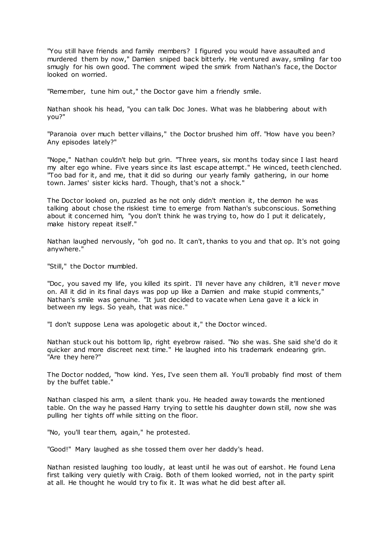"You still have friends and family members? I figured you would have assaulted and murdered them by now," Damien sniped back bitterly. He ventured away, smiling far too smugly for his own good. The comment wiped the smirk from Nathan's face, the Doctor looked on worried.

"Remember, tune him out," the Doctor gave him a friendly smile.

Nathan shook his head, "you can talk Doc Jones. What was he blabbering about with you?"

"Paranoia over much better villains," the Doctor brushed him off. "How have you been? Any episodes lately?"

"Nope," Nathan couldn't help but grin. "Three years, six months today since I last heard my alter ego whine. Five years since its last escape attempt." He winced, teeth clenched. "Too bad for it, and me, that it did so during our yearly family gathering, in our home town. James' sister kicks hard. Though, that's not a shock."

The Doctor looked on, puzzled as he not only didn't mention it, the demon he was talking about chose the riskiest time to emerge from Nathan's subconscious. Something about it concerned him, "you don't think he was trying to, how do I put it delicately, make history repeat itself."

Nathan laughed nervously, "oh god no. It can't, thanks to you and that op. It's not going anywhere."

"Still," the Doctor mumbled.

"Doc, you saved my life, you killed its spirit. I'll never have any children, it'll never move on. All it did in its final days was pop up like a Damien and make stupid comments," Nathan's smile was genuine. "It just decided to vacate when Lena gave it a kick in between my legs. So yeah, that was nice."

"I don't suppose Lena was apologetic about it," the Doctor winced.

Nathan stuck out his bottom lip, right eyebrow raised. "No she was. She said she'd do it quicker and more discreet next time." He laughed into his trademark endearing grin. "Are they here?"

The Doctor nodded, "how kind. Yes, I've seen them all. You'll probably find most of them by the buffet table."

Nathan clasped his arm, a silent thank you. He headed away towards the mentioned table. On the way he passed Harry trying to settle his daughter down still, now she was pulling her tights off while sitting on the floor.

"No, you'll tear them, again," he protested.

"Good!" Mary laughed as she tossed them over her daddy's head.

Nathan resisted laughing too loudly, at least until he was out of earshot. He found Lena first talking very quietly with Craig. Both of them looked worried, not in the party spirit at all. He thought he would try to fix it. It was what he did best after all.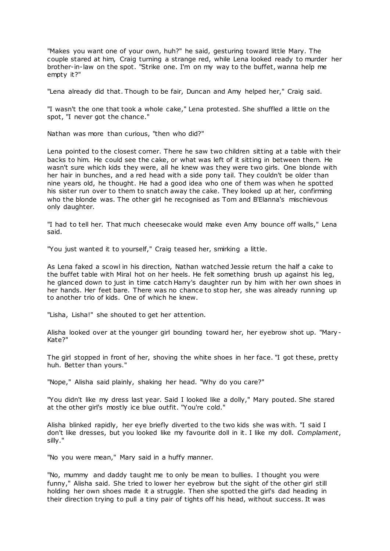"Makes you want one of your own, huh?" he said, gesturing toward little Mary. The couple stared at him, Craig turning a strange red, while Lena looked ready to murder her brother-in-law on the spot. "Strike one. I'm on my way to the buffet, wanna help me empty it?"

"Lena already did that. Though to be fair, Duncan and Amy helped her," Craig said.

"I wasn't the one that took a whole cake," Lena protested. She shuffled a little on the spot, "I never got the chance."

Nathan was more than curious, "then who did?"

Lena pointed to the closest corner. There he saw two children sitting at a table with their backs to him. He could see the cake, or what was left of it sitting in between them. He wasn't sure which kids they were, all he knew was they were two girls. One blonde with her hair in bunches, and a red head with a side pony tail. They couldn't be older than nine years old, he thought. He had a good idea who one of them was when he spotted his sister run over to them to snatch away the cake. They looked up at her, confirming who the blonde was. The other girl he recognised as Tom and B'Elanna's mischievous only daughter.

"I had to tell her. That much cheesecake would make even Amy bounce off walls," Lena said.

"You just wanted it to yourself," Craig teased her, smirking a little.

As Lena faked a scowl in his direction, Nathan watched Jessie return the half a cake to the buffet table with Miral hot on her heels. He felt something brush up against his leg, he glanced down to just in time catch Harry's daughter run by him with her own shoes in her hands. Her feet bare. There was no chance to stop her, she was already running up to another trio of kids. One of which he knew.

"Lisha, Lisha!" she shouted to get her attention.

Alisha looked over at the younger girl bounding toward her, her eyebrow shot up. "Mary-Kate?"

The girl stopped in front of her, shoving the white shoes in her face. "I got these, pretty huh. Better than yours."

"Nope," Alisha said plainly, shaking her head. "Why do you care?"

"You didn't like my dress last year. Said I looked like a dolly," Mary pouted. She stared at the other girl's mostly ice blue outfit. "You're cold."

Alisha blinked rapidly, her eye briefly diverted to the two kids she was with. "I said I don't like dresses, but you looked like my favourite doll in it. I like my doll. *Complament*, silly."

"No you were mean," Mary said in a huffy manner.

"No, mummy and daddy taught me to only be mean to bullies. I thought you were funny," Alisha said. She tried to lower her eyebrow but the sight of the other girl still holding her own shoes made it a struggle. Then she spotted the girl's dad heading in their direction trying to pull a tiny pair of tights off his head, without success. It was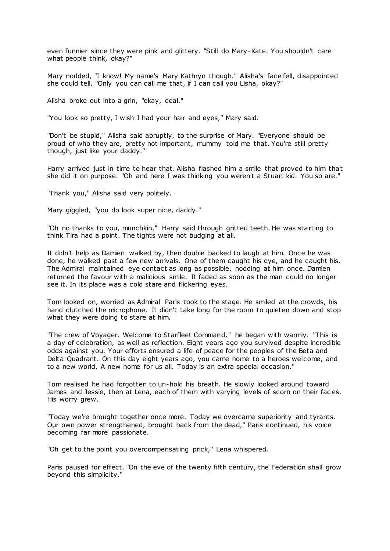even funnier since they were pink and glittery. "Still do Mary-Kate. You shouldn't care what people think, okay?"

Mary nodded, "I know! My name's Mary Kathryn though." Alisha's face fell, disappointed she could tell. "Only you can call me that, if I can call you Lisha, okay?"

Alisha broke out into a grin, "okay, deal."

"You look so pretty, I wish I had your hair and eyes," Mary said.

"Don't be stupid," Alisha said abruptly, to the surprise of Mary. "Everyone should be proud of who they are, pretty not important, mummy told me that. You're still pretty though, just like your daddy."

Harry arrived just in time to hear that. Alisha flashed him a smile that proved to him that she did it on purpose. "Oh and here I was thinking you weren't a Stuart kid. You so are."

"Thank you," Alisha said very politely.

Mary giggled, "you do look super nice, daddy."

"Oh no thanks to you, munchkin," Harry said through gritted teeth. He was starting to think Tira had a point. The tights were not budging at all.

It didn't help as Damien walked by, then double backed to laugh at him. Once he was done, he walked past a few new arrivals. One of them caught his eye, and he caught his. The Admiral maintained eye contact as long as possible, nodding at him once. Damien returned the favour with a malicious smile. It faded as soon as the man could no longer see it. In its place was a cold stare and flickering eyes.

Tom looked on, worried as Admiral Paris took to the stage. He smiled at the crowds, his hand clutched the microphone. It didn't take long for the room to quieten down and stop what they were doing to stare at him.

"The crew of Voyager. Welcome to Starfleet Command," he began with warmly. "This is a day of celebration, as well as reflection. Eight years ago you survived despite incredible odds against you. Your efforts ensured a life of peace for the peoples of the Beta and Delta Quadrant. On this day eight years ago, you came home to a heroes welcome, and to a new world. A new home for us all. Today is an extra special occasion."

Tom realised he had forgotten to un-hold his breath. He slowly looked around toward James and Jessie, then at Lena, each of them with varying levels of scorn on their fac es. His worry grew.

"Today we're brought together once more. Today we overcame superiority and tyrants. Our own power strengthened, brought back from the dead," Paris continued, his voice becoming far more passionate.

"Oh get to the point you overcompensating prick," Lena whispered.

Paris paused for effect. "On the eve of the twenty fifth century, the Federation shall grow beyond this simplicity."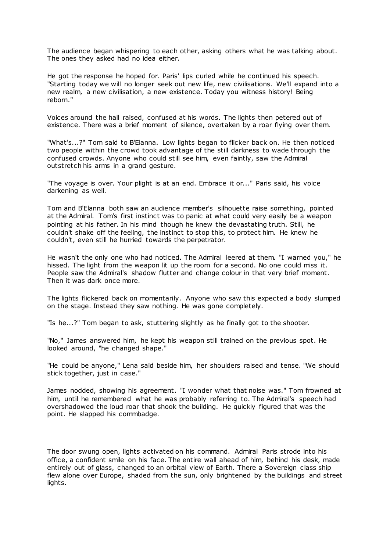The audience began whispering to each other, asking others what he was talking about. The ones they asked had no idea either.

He got the response he hoped for. Paris' lips curled while he continued his speech. "Starting today we will no longer seek out new life, new civilisations. We'll expand into a new realm, a new civilisation, a new existence. Today you witness history! Being reborn."

Voices around the hall raised, confused at his words. The lights then petered out of existence. There was a brief moment of silence, overtaken by a roar flying over them.

"What's...?" Tom said to B'Elanna. Low lights began to flicker back on. He then noticed two people within the crowd took advantage of the still darkness to wade through the confused crowds. Anyone who could still see him, even faintly, saw the Admiral outstretch his arms in a grand gesture.

"The voyage is over. Your plight is at an end. Embrace it or..." Paris said, his voice darkening as well.

Tom and B'Elanna both saw an audience member's silhouette raise something, pointed at the Admiral. Tom's first instinct was to panic at what could very easily be a weapon pointing at his father. In his mind though he knew the devastating truth. Still, he couldn't shake off the feeling, the instinct to stop this, to protect him. He knew he couldn't, even still he hurried towards the perpetrator.

He wasn't the only one who had noticed. The Admiral leered at them. "I warned you," he hissed. The light from the weapon lit up the room for a second. No one could miss it. People saw the Admiral's shadow flutter and change colour in that very brief moment. Then it was dark once more.

The lights flickered back on momentarily. Anyone who saw this expected a body slumped on the stage. Instead they saw nothing. He was gone completely.

"Is he...?" Tom began to ask, stuttering slightly as he finally got to the shooter.

"No," James answered him, he kept his weapon still trained on the previous spot. He looked around, "he changed shape."

"He could be anyone," Lena said beside him, her shoulders raised and tense. "We should stick together, just in case."

James nodded, showing his agreement. "I wonder what that noise was." Tom frowned at him, until he remembered what he was probably referring to. The Admiral's speech had overshadowed the loud roar that shook the building. He quickly figured that was the point. He slapped his commbadge.

The door swung open, lights activated on his command. Admiral Paris strode into his office, a confident smile on his face. The entire wall ahead of him, behind his desk, made entirely out of glass, changed to an orbital view of Earth. There a Sovereign class ship flew alone over Europe, shaded from the sun, only brightened by the buildings and street lights.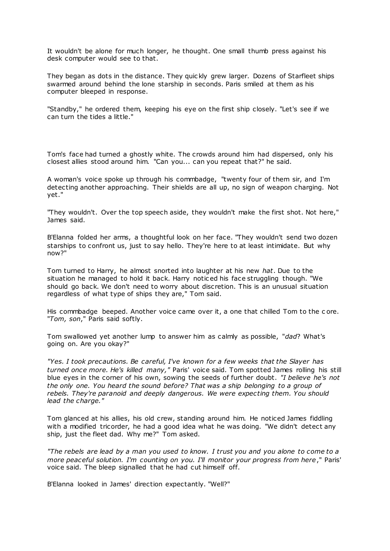It wouldn't be alone for much longer, he thought. One small thumb press against his desk computer would see to that.

They began as dots in the distance. They quic kly grew larger. Dozens of Starfleet ships swarmed around behind the lone starship in seconds. Paris smiled at them as his computer bleeped in response.

"Standby," he ordered them, keeping his eye on the first ship closely. "Let's see if we can turn the tides a little."

Tom's face had turned a ghostly white. The crowds around him had dispersed, only his closest allies stood around him. "Can you... can you repeat that?" he said.

A woman's voice spoke up through his commbadge, "twenty four of them sir, and I'm detecting another approaching. Their shields are all up, no sign of weapon charging. Not yet."

"They wouldn't. Over the top speech aside, they wouldn't make the first shot. Not here," James said.

B'Elanna folded her arms, a thoughtful look on her face. "They wouldn't send two dozen starships to confront us, just to say hello. They're here to at least intimidate. But why now?"

Tom turned to Harry, he almost snorted into laughter at his new *hat*. Due to the situation he managed to hold it back. Harry notic ed his face struggling though. "We should go back. We don't need to worry about discretion. This is an unusual situation regardless of what type of ships they are," Tom said.

His commbadge beeped. Another voice came over it, a one that chilled Tom to the c ore. "*Tom, son*," Paris said softly.

Tom swallowed yet another lump to answer him as calmly as possible, "*dad*? What's going on. Are you okay?"

*"Yes. I took precautions. Be careful, I've known for a few weeks that the Slayer has turned once more. He's killed many,"* Paris' voice said. Tom spotted James rolling his still blue eyes in the corner of his own, sowing the seeds of further doubt. *"I believe he's not the only one. You heard the sound before? That was a ship belonging to a group of rebels. They're paranoid and deeply dangerous. We were expecting them. You should lead the charge."*

Tom glanced at his allies, his old crew, standing around him. He noticed James fiddling with a modified tricorder, he had a good idea what he was doing. "We didn't detect any ship, just the fleet dad. Why me?" Tom asked.

*"The rebels are lead by a man you used to know. I trust you and you alone to come to a more peaceful solution. I'm counting on you. I'll monitor your progress from here*," Paris' voice said. The bleep signalled that he had cut himself off.

B'Elanna looked in James' direction expectantly. "Well?"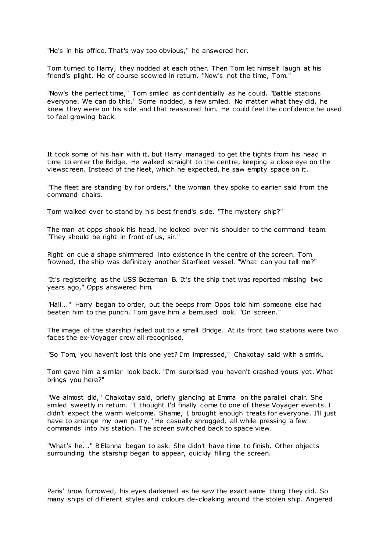"He's in his office. That's way too obvious," he answered her.

Tom turned to Harry, they nodded at each other. Then Tom let himself laugh at his friend's plight. He of course scowled in return. "Now's not the time, Tom."

"Now's the perfect time," Tom smiled as confidentially as he could. "Battle stations everyone. We can do this." Some nodded, a few smiled. No matter what they did, he knew they were on his side and that reassured him. He could feel the confidence he used to feel growing back.

It took some of his hair with it, but Harry managed to get the tights from his head in time to enter the Bridge. He walked straight to the centre, keeping a close eye on the viewscreen. Instead of the fleet, which he expected, he saw empty space on it.

"The fleet are standing by for orders," the woman they spoke to earlier said from the command chairs.

Tom walked over to stand by his best friend's side. "The mystery ship?"

The man at opps shook his head, he looked over his shoulder to the command team. "They should be right in front of us, sir."

Right on cue a shape shimmered into existence in the centre of the screen. Tom frowned, the ship was definitely another Starfleet vessel. "What can you tell me?"

"It's registering as the USS Bozeman B. It's the ship that was reported missing two years ago," Opps answered him.

"Hail..." Harry began to order, but the beeps from Opps told him someone else had beaten him to the punch. Tom gave him a bemused look. "On screen."

The image of the starship faded out to a small Bridge. At its front two stations were two faces the ex-Voyager crew all recognised.

"So Tom, you haven't lost this one yet? I'm impressed," Chakotay said with a smirk.

Tom gave him a similar look back. "I'm surprised you haven't crashed yours yet. What brings you here?"

"We almost did," Chakotay said, briefly glancing at Emma on the parallel chair. She smiled sweetly in return. "I thought I'd finally come to one of these Voyager events. I didn't expect the warm welcome. Shame, I brought enough treats for everyone. I'll just have to arrange my own party." He casually shrugged, all while pressing a few commands into his station. The screen switched back to space view.

"What's he..." B'Elanna began to ask. She didn't have time to finish. Other objects surrounding the starship began to appear, quickly filling the screen.

Paris' brow furrowed, his eyes darkened as he saw the exact same thing they did. So many ships of different styles and colours de-cloaking around the stolen ship. Angered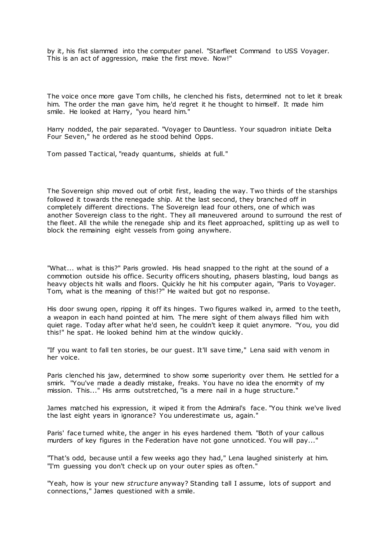by it, his fist slammed into the computer panel. "Starfleet Command to USS Voyager. This is an act of aggression, make the first move. Now!"

The voice once more gave Tom chills, he clenched his fists, determined not to let it break him. The order the man gave him, he'd regret it he thought to himself. It made him smile. He looked at Harry, "you heard him."

Harry nodded, the pair separated. "Voyager to Dauntless. Your squadron initiate Delta Four Seven," he ordered as he stood behind Opps.

Tom passed Tactical, "ready quantums, shields at full."

The Sovereign ship moved out of orbit first, leading the way. Two thirds of the starships followed it towards the renegade ship. At the last second, they branched off in completely different directions. The Sovereign lead four others, one of which was another Sovereign class to the right. They all maneuvered around to surround the rest of the fleet. All the while the renegade ship and its fleet approached, splitting up as well to block the remaining eight vessels from going anywhere.

"What... what is this?" Paris growled. His head snapped to the right at the sound of a commotion outside his office. Security officers shouting, phasers blasting, loud bangs as heavy objects hit walls and floors. Quickly he hit his computer again, "Paris to Voyager. Tom, what is the meaning of this!?" He waited but got no response.

His door swung open, ripping it off its hinges. Two figures walked in, armed to the teeth, a weapon in each hand pointed at him. The mere sight of them always filled him with quiet rage. Today after what he'd seen, he couldn't keep it quiet anymore. "You, you did this!" he spat. He looked behind him at the window quickly.

"If you want to fall ten stories, be our guest. It'll save time," Lena said with venom in her voice.

Paris clenched his jaw, determined to show some superiority over them. He settled for a smirk. "You've made a deadly mistake, freaks. You have no idea the enormity of my mission. This..." His arms outstretched, "is a mere nail in a huge structure."

James matched his expression, it wiped it from the Admiral's face. "You think we've lived the last eight years in ignorance? You underestimate us, again."

Paris' face turned white, the anger in his eyes hardened them. "Both of your callous murders of key figures in the Federation have not gone unnoticed. You will pay..."

"That's odd, because until a few weeks ago they had," Lena laughed sinisterly at him. "I'm guessing you don't check up on your outer spies as often."

"Yeah, how is your new *structure* anyway? Standing tall I assume, lots of support and connections," James questioned with a smile.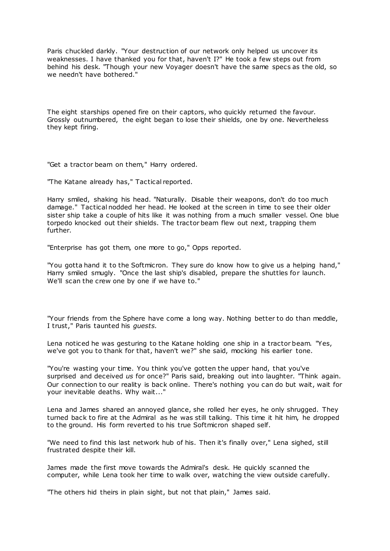Paris chuckled darkly. "Your destruction of our network only helped us uncover its weaknesses. I have thanked you for that, haven't I?" He took a few steps out from behind his desk. "Though your new Voyager doesn't have the same specs as the old, so we needn't have bothered."

The eight starships opened fire on their captors, who quickly returned the favour. Grossly outnumbered, the eight began to lose their shields, one by one. Nevertheless they kept firing.

"Get a tractor beam on them," Harry ordered.

"The Katane already has," Tactical reported.

Harry smiled, shaking his head. "Naturally. Disable their weapons, don't do too much damage." Tactical nodded her head. He looked at the screen in time to see their older sister ship take a couple of hits like it was nothing from a much smaller vessel. One blue torpedo knocked out their shields. The tractor beam flew out next, trapping them further.

"Enterprise has got them, one more to go," Opps reported.

"You gotta hand it to the Softmicron. They sure do know how to give us a helping hand," Harry smiled smugly. "Once the last ship's disabled, prepare the shuttles for launch. We'll scan the crew one by one if we have to."

"Your friends from the Sphere have come a long way. Nothing better to do than meddle, I trust," Paris taunted his *guests.*

Lena noticed he was gesturing to the Katane holding one ship in a tractor beam. "Yes, we've got you to thank for that, haven't we?" she said, mocking his earlier tone.

"You're wasting your time. You think you've gotten the upper hand, that you've surprised and deceived *us* for once?" Paris said, breaking out into laughter. "Think again. Our connection to our reality is back online. There's nothing you can do but wait, wait for your inevitable deaths. Why wait..."

Lena and James shared an annoyed glance, she rolled her eyes, he only shrugged. They turned back to fire at the Admiral as he was still talking. This time it hit him, he dropped to the ground. His form reverted to his true Softmicron shaped self.

"We need to find this last network hub of his. Then it's finally over," Lena sighed, still frustrated despite their kill.

James made the first move towards the Admiral's desk. He quickly scanned the computer, while Lena took her time to walk over, watching the view outside carefully.

"The others hid theirs in plain sight, but not that plain," James said.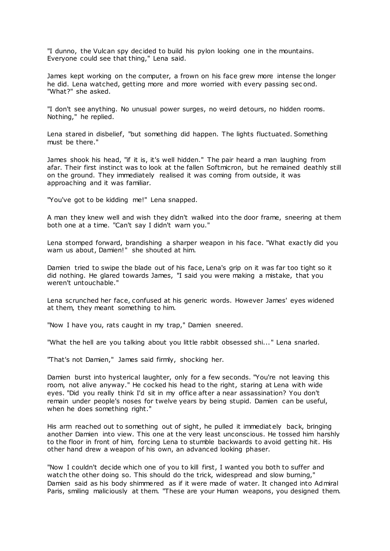"I dunno, the Vulcan spy decided to build his pylon looking one in the mountains. Everyone could see that thing," Lena said.

James kept working on the computer, a frown on his face grew more intense the longer he did. Lena watched, getting more and more worried with every passing sec ond. "What?" she asked.

"I don't see anything. No unusual power surges, no weird detours, no hidden rooms. Nothing," he replied.

Lena stared in disbelief, "but something did happen. The lights fluctuated. Something must be there."

James shook his head, "if it is, it's well hidden." The pair heard a man laughing from afar. Their first instinct was to look at the fallen Softmicron, but he remained deathly still on the ground. They immediately realised it was coming from outside, it was approaching and it was familiar.

"You've got to be kidding me!" Lena snapped.

A man they knew well and wish they didn't walked into the door frame, sneering at them both one at a time. "Can't say I didn't warn you."

Lena stomped forward, brandishing a sharper weapon in his face. "What exactly did you warn us about, Damien!" she shouted at him.

Damien tried to swipe the blade out of his face, Lena's grip on it was far too tight so it did nothing. He glared towards James, "I said you were making a mistake, that you weren't untouchable."

Lena scrunched her face, confused at his generic words. However James' eyes widened at them, they meant something to him.

"Now I have you, rats caught in my trap," Damien sneered.

"What the hell are you talking about you little rabbit obsessed shi..." Lena snarled.

"That's not Damien," James said firmly, shocking her.

Damien burst into hysterical laughter, only for a few seconds. "You're not leaving this room, not alive anyway." He cocked his head to the right, staring at Lena with wide eyes. "Did you really think I'd sit in my office after a near assassination? You don't remain under people's noses for twelve years by being stupid. Damien can be useful, when he does something right."

His arm reached out to something out of sight, he pulled it immediat ely back, bringing another Damien into view. This one at the very least unconscious. He tossed him harshly to the floor in front of him, forcing Lena to stumble backwards to avoid getting hit. His other hand drew a weapon of his own, an advanced looking phaser.

"Now I couldn't decide which one of you to kill first, I wanted you both to suffer and watch the other doing so. This should do the trick, widespread and slow burning," Damien said as his body shimmered as if it were made of water. It changed into Admiral Paris, smiling maliciously at them. "These are your Human weapons, you designed them.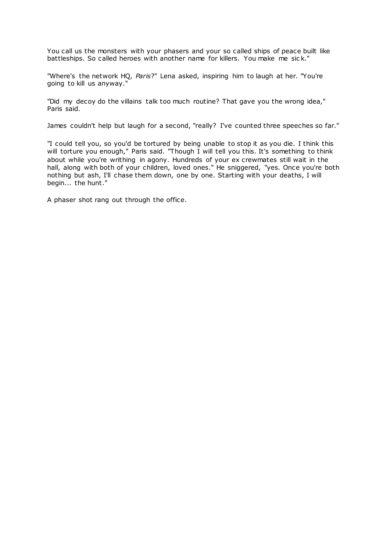You call us the monsters with your phasers and your so called ships of peace built like battleships. So called heroes with another name for killers. You make me sic k."

"Where's the network HQ, *Paris*?" Lena asked, inspiring him to laugh at her. "You're going to kill us anyway."

"Did my decoy do the villains talk too much routine? That gave you the wrong idea," Paris said.

James couldn't help but laugh for a second, "really? I've counted three speeches so far."

"I could tell you, so you'd be tortured by being unable to stop it as you die. I think this will torture you enough," Paris said. "Though I will tell you this. It's something to think about while you're writhing in agony. Hundreds of your ex crewmates still wait in the hall, along with both of your children, loved ones." He sniggered, "yes. Once you're both nothing but ash, I'll chase them down, one by one. Starting with your deaths, I will begin... the hunt."

A phaser shot rang out through the office.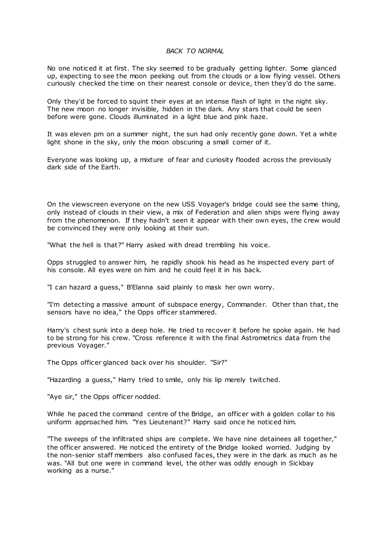## *BACK TO NORMAL*

No one noticed it at first. The sky seemed to be gradually getting lighter. Some glanced up, expecting to see the moon peeking out from the clouds or a low flying vessel. Others curiously checked the time on their nearest console or device, then they'd do the same.

Only they'd be forced to squint their eyes at an intense flash of light in the night sky. The new moon no longer invisible, hidden in the dark. Any stars that could be seen before were gone. Clouds illuminated in a light blue and pink haze.

It was eleven pm on a summer night, the sun had only recently gone down. Yet a white light shone in the sky, only the moon obscuring a small corner of it.

Everyone was looking up, a mixture of fear and curiosity flooded across the previously dark side of the Earth.

On the viewscreen everyone on the new USS Voyager's bridge could see the same thing, only instead of clouds in their view, a mix of Federation and alien ships were flying away from the phenomenon. If they hadn't seen it appear with their own eyes, the crew would be convinced they were only looking at their sun.

"What the hell is that?" Harry asked with dread trembling his voice.

Opps struggled to answer him, he rapidly shook his head as he inspected every part of his console. All eyes were on him and he could feel it in his back.

"I can hazard a guess," B'Elanna said plainly to mask her own worry.

"I'm detecting a massive amount of subspace energy, Commander. Other than that, the sensors have no idea," the Opps officer stammered.

Harry's chest sunk into a deep hole. He tried to recover it before he spoke again. He had to be strong for his crew. "Cross reference it with the final Astrometrics data from the previous Voyager."

The Opps officer glanced back over his shoulder. "Sir?"

"Hazarding a guess," Harry tried to smile, only his lip merely twitched.

"Aye sir," the Opps officer nodded.

While he paced the command centre of the Bridge, an officer with a golden collar to his uniform approached him. "Yes Lieutenant?" Harry said once he noticed him.

"The sweeps of the infiltrated ships are complete. We have nine detainees all together," the officer answered. He noticed the entirety of the Bridge looked worried. Judging by the non-senior staff members also confused fac es, they were in the dark as much as he was. "All but one were in command level, the other was oddly enough in Sickbay working as a nurse."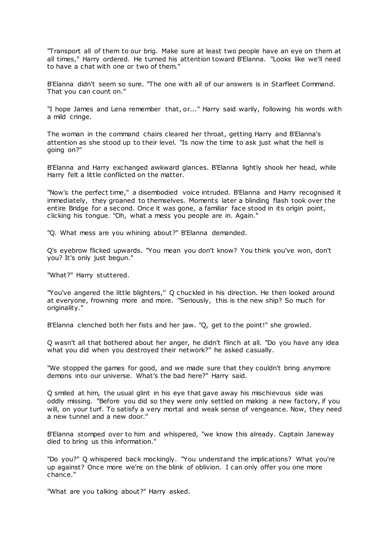"Transport all of them to our brig. Make sure at least two people have an eye on them at all times," Harry ordered. He turned his attention toward B'Elanna. "Looks like we'll need to have a chat with one or two of them."

B'Elanna didn't seem so sure. "The one with all of our answers is in Starfleet Command. That you can count on."

"I hope James and Lena remember that, or..." Harry said warily, following his words with a mild cringe.

The woman in the command chairs cleared her throat, getting Harry and B'Elanna's attention as she stood up to their level. "Is now the time to ask just what the hell is going on?"

B'Elanna and Harry exchanged awkward glances. B'Elanna lightly shook her head, while Harry felt a little conflicted on the matter.

"Now's the perfect time," a disembodied voice intruded. B'Elanna and Harry recognised it immediately, they groaned to themselves. Moments later a blinding flash took over the entire Bridge for a second. Once it was gone, a familiar face stood in its origin point, clicking his tongue. "Oh, what a mess you people are in. Again."

"Q. What mess are you whining about?" B'Elanna demanded.

Q's eyebrow flicked upwards. "You mean you don't know? You think you've won, don't you? It's only just begun."

"What?" Harry stuttered.

"You've angered the little blighters," Q chuckled in his direction. He then looked around at everyone, frowning more and more. "Seriously, this is the new ship? So much for originality."

B'Elanna clenched both her fists and her jaw. "Q, get to the point!" she growled.

Q wasn't all that bothered about her anger, he didn't flinch at all. "Do you have any idea what you did when you destroyed their network?" he asked casually.

"We stopped the games for good, and we made sure that they couldn't bring anymore demons into our universe. What's the bad here?" Harry said.

Q smiled at him, the usual glint in his eye that gave away his mischievous side was oddly missing. "Before you did so they were only settled on making a new factory, if you will, on your turf. To satisfy a very mortal and weak sense of vengeance. Now, they need a new tunnel and a new door."

B'Elanna stomped over to him and whispered, "we know this already. Captain Janeway died to bring us this information."

"Do you?" Q whispered back mockingly. "You understand the implications? What you're up against? Once more we're on the blink of oblivion. I can only offer you one more chance."

"What are you talking about?" Harry asked.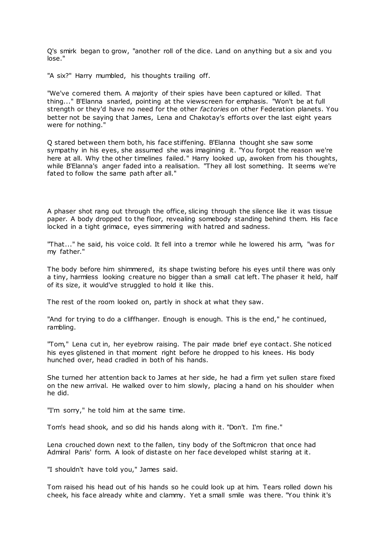Q's smirk began to grow, "another roll of the dice. Land on anything but a six and you lose."

"A six?" Harry mumbled, his thoughts trailing off.

"We've cornered them. A majority of their spies have been captured or killed. That thing..." B'Elanna snarled, pointing at the viewscreen for emphasis. "Won't be at full strength or they'd have no need for the other *factories* on other Federation planets. You better not be saying that James, Lena and Chakotay's efforts over the last eight years were for nothing."

Q stared between them both, his face stiffening. B'Elanna thought she saw some sympathy in his eyes, she assumed she was imagining it. "You forgot the reason we're here at all. Why the other timelines failed." Harry looked up, awoken from his thoughts, while B'Elanna's anger faded into a realisation. "They all lost something. It seems we're fated to follow the same path after all."

A phaser shot rang out through the office, slicing through the silence like it was tissue paper. A body dropped to the floor, revealing somebody standing behind them. His face locked in a tight grimace, eyes simmering with hatred and sadness.

"That..." he said, his voice cold. It fell into a tremor while he lowered his arm, "was for my father."

The body before him shimmered, its shape twisting before his eyes until there was only a tiny, harmless looking creature no bigger than a small cat left. The phaser it held, half of its size, it would've struggled to hold it like this.

The rest of the room looked on, partly in shock at what they saw.

"And for trying to do a cliffhanger. Enough is enough. This is the end," he continued, rambling.

"Tom," Lena cut in, her eyebrow raising. The pair made brief eye contact. She noticed his eyes glistened in that moment right before he dropped to his knees. His body hunched over, head cradled in both of his hands.

She turned her attention back to James at her side, he had a firm yet sullen stare fixed on the new arrival. He walked over to him slowly, placing a hand on his shoulder when he did.

"I'm sorry," he told him at the same time.

Tom's head shook, and so did his hands along with it. "Don't. I'm fine."

Lena crouched down next to the fallen, tiny body of the Softmicron that once had Admiral Paris' form. A look of distaste on her face developed whilst staring at it.

"I shouldn't have told you," James said.

Tom raised his head out of his hands so he could look up at him. Tears rolled down his cheek, his face already white and clammy. Yet a small smile was there. "You think it's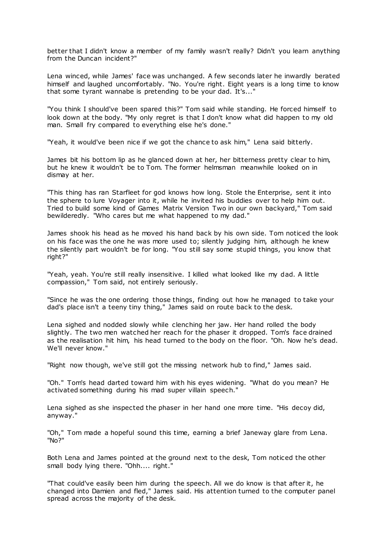better that I didn't know a member of my family wasn't really? Didn't you learn anything from the Duncan incident?"

Lena winced, while James' face was unchanged. A few seconds later he inwardly berated himself and laughed uncomfortably. "No. You're right. Eight years is a long time to know that some tyrant wannabe is pretending to be your dad. It's..."

"You think I should've been spared this?" Tom said while standing. He forced himself to look down at the body. "My only regret is that I don't know what did happen to my old man. Small fry compared to everything else he's done."

"Yeah, it would've been nice if we got the chance to ask him," Lena said bitterly.

James bit his bottom lip as he glanced down at her, her bitterness pretty clear to him, but he knew it wouldn't be to Tom. The former helmsman meanwhile looked on in dismay at her.

"This thing has ran Starfleet for god knows how long. Stole the Enterprise, sent it into the sphere to lure Voyager into it, while he invited his buddies over to help him out. Tried to build some kind of Games Matrix Version Two in our own backyard," Tom said bewilderedly. "Who cares but me what happened to my dad."

James shook his head as he moved his hand back by his own side. Tom noticed the look on his face was the one he was more used to; silently judging him, although he knew the silently part wouldn't be for long. "You still say some stupid things, you know that right?"

"Yeah, yeah. You're still really insensitive. I killed what looked like my dad. A little compassion," Tom said, not entirely seriously.

"Since he was the one ordering those things, finding out how he managed to take your dad's place isn't a teeny tiny thing," James said on route back to the desk.

Lena sighed and nodded slowly while clenching her jaw. Her hand rolled the body slightly. The two men watched her reach for the phaser it dropped. Tom's face drained as the realisation hit him, his head turned to the body on the floor. "Oh. Now he's dead. We'll never know."

"Right now though, we've still got the missing network hub to find," James said.

"Oh." Tom's head darted toward him with his eyes widening. "What do you mean? He activated something during his mad super villain speech."

Lena sighed as she inspected the phaser in her hand one more time. "His decoy did, anyway."

"Oh," Tom made a hopeful sound this time, earning a brief Janeway glare from Lena. "No?"

Both Lena and James pointed at the ground next to the desk, Tom noticed the other small body lying there. "Ohh.... right."

"That could've easily been him during the speech. All we do know is that after it, he changed into Damien and fled," James said. His attention turned to the computer panel spread across the majority of the desk.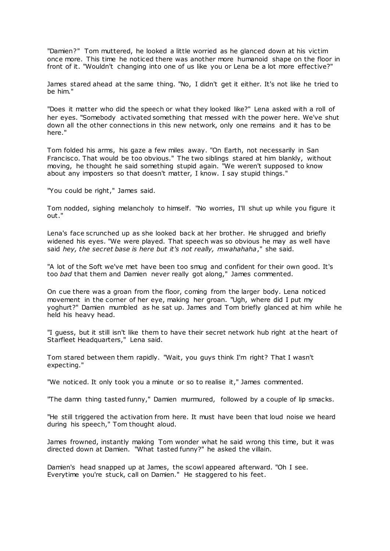"Damien?" Tom muttered, he looked a little worried as he glanced down at his victim once more. This time he noticed there was another more humanoid shape on the floor in front of it. "Wouldn't changing into one of us like you or Lena be a lot more effective?"

James stared ahead at the same thing. "No, I didn't get it either. It's not like he tried to be him."

"Does it matter who did the speech or what they looked like?" Lena asked with a roll of her eyes. "Somebody activated something that messed with the power here. We've shut down all the other connections in this new network, only one remains and it has to be here."

Tom folded his arms, his gaze a few miles away. "On Earth, not necessarily in San Francisco. That would be too obvious." The two siblings stared at him blankly, without moving, he thought he said something stupid again. "We weren't supposed to know about any imposters so that doesn't matter, I know. I say stupid things."

"You could be right," James said.

Tom nodded, sighing melancholy to himself. "No worries, I'll shut up while you figure it out."

Lena's face scrunched up as she looked back at her brother. He shrugged and briefly widened his eyes. "We were played. That speech was so obvious he may as well have said *hey, the secret base is here but it's not really, mwahahaha*," she said.

"A lot of the Soft we've met have been too smug and confident for their own good. It's too *bad* that them and Damien never really got along," James commented.

On cue there was a groan from the floor, coming from the larger body. Lena noticed movement in the corner of her eye, making her groan. "Ugh, where did I put my yoghurt?" Damien mumbled as he sat up. James and Tom briefly glanced at him while he held his heavy head.

"I guess, but it still isn't like them to have their secret network hub right at the heart of Starfleet Headquarters," Lena said.

Tom stared between them rapidly. "Wait, you guys think I'm right? That I wasn't expecting."

"We noticed. It only took you a minute or so to realise it," James commented.

"The damn thing tasted funny," Damien murmured, followed by a couple of lip smacks.

"He still triggered the activation from here. It must have been that loud noise we heard during his speech," Tom thought aloud.

James frowned, instantly making Tom wonder what he said wrong this time, but it was directed down at Damien. "What tasted funny?" he asked the villain.

Damien's head snapped up at James, the scowl appeared afterward. "Oh I see. Everytime you're stuck, call on Damien." He staggered to his feet.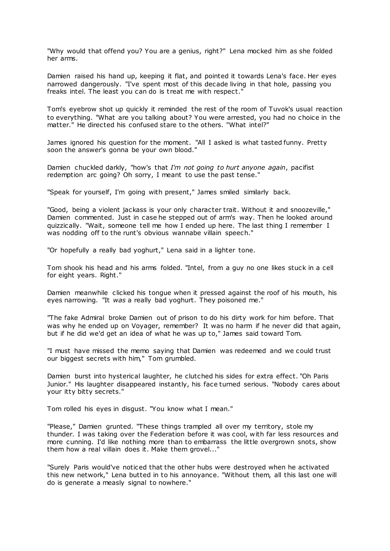"Why would that offend you? You are a genius, right?" Lena mocked him as she folded her arms.

Damien raised his hand up, keeping it flat, and pointed it towards Lena's face. Her eyes narrowed dangerously. "I've spent most of this decade living in that hole, passing you freaks intel. The least you can do is treat me with respect."

Tom's eyebrow shot up quickly it reminded the rest of the room of Tuvok's usual reaction to everything. "What are you talking about? You were arrested, you had no choice in the matter." He directed his confused stare to the others. "What intel?"

James ignored his question for the moment. "All I asked is what tasted funny. Pretty soon the answer's gonna be your own blood."

Damien chuckled darkly, "how's that *I'm not going to hurt anyone again*, pacifist redemption arc going? Oh sorry, I meant to use the past tense."

"Speak for yourself, I'm going with present," James smiled similarly back.

"Good, being a violent jackass is your only character trait. Without it and snoozeville," Damien commented. Just in case he stepped out of arm's way. Then he looked around quizzically. "Wait, someone tell me how I ended up here. The last thing I remember I was nodding off to the runt's obvious wannabe villain speech."

"Or hopefully a really bad yoghurt," Lena said in a lighter tone.

Tom shook his head and his arms folded. "Intel, from a guy no one likes stuck in a cell for eight years. Right."

Damien meanwhile clicked his tongue when it pressed against the roof of his mouth, his eyes narrowing. "It *was* a really bad yoghurt. They poisoned me."

"The fake Admiral broke Damien out of prison to do his dirty work for him before. That was why he ended up on Voyager, remember? It was no harm if he never did that again, but if he did we'd get an idea of what he was up to," James said toward Tom.

"I must have missed the memo saying that Damien was redeemed and we could trust our biggest secrets with him," Tom grumbled.

Damien burst into hysterical laughter, he clutched his sides for extra effect. "Oh Paris Junior." His laughter disappeared instantly, his face turned serious. "Nobody cares about your itty bitty secrets."

Tom rolled his eyes in disgust. "You know what I mean."

"Please," Damien grunted. "These things trampled all over my territory, stole my thunder. I was taking over the Federation before it was cool, with far less resources and more cunning. I'd like nothing more than to embarrass the little overgrown snots, show them how a real villain does it. Make them grovel..."

"Surely Paris would've noticed that the other hubs were destroyed when he activated this new network," Lena butted in to his annoyance. "Without them, all this last one will do is generate a measly signal to nowhere."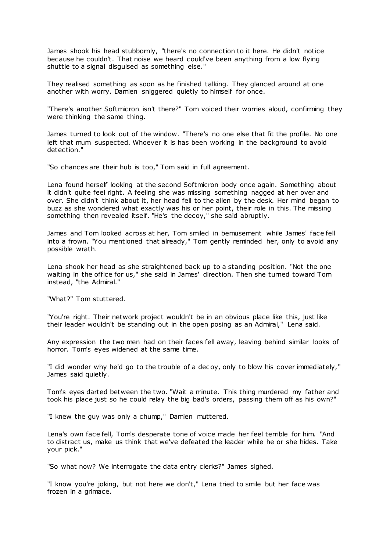James shook his head stubbornly, "there's no connection to it here. He didn't notice because he couldn't. That noise we heard could've been anything from a low flying shuttle to a signal disguised as something else."

They realised something as soon as he finished talking. They glanced around at one another with worry. Damien sniggered quietly to himself for once.

"There's another Softmicron isn't there?" Tom voiced their worries aloud, confirming they were thinking the same thing.

James turned to look out of the window. "There's no one else that fit the profile. No one left that mum suspected. Whoever it is has been working in the background to avoid detection."

"So chances are their hub is too," Tom said in full agreement.

Lena found herself looking at the second Softmicron body once again. Something about it didn't quite feel right. A feeling she was missing something nagged at her over and over. She didn't think about it, her head fell to the alien by the desk. Her mind began to buzz as she wondered what exactly was his or her point, their role in this. The missing something then revealed itself. "He's the decoy," she said abruptly.

James and Tom looked across at her, Tom smiled in bemusement while James' face fell into a frown. "You mentioned that already," Tom gently reminded her, only to avoid any possible wrath.

Lena shook her head as she straightened back up to a standing position. "Not the one waiting in the office for us," she said in James' direction. Then she turned toward Tom instead, "the Admiral."

"What?" Tom stuttered.

"You're right. Their network project wouldn't be in an obvious place like this, just like their leader wouldn't be standing out in the open posing as an Admiral," Lena said.

Any expression the two men had on their faces fell away, leaving behind similar looks of horror. Tom's eyes widened at the same time.

"I did wonder why he'd go to the trouble of a dec oy, only to blow his cover immediately," James said quietly.

Tom's eyes darted between the two. "Wait a minute. This thing murdered my father and took his place just so he could relay the big bad's orders, passing them off as his own?"

"I knew the guy was only a chump," Damien muttered.

Lena's own face fell, Tom's desperate tone of voice made her feel terrible for him. "And to distract us, make us think that we've defeated the leader while he or she hides. Take your pick."

"So what now? We interrogate the data entry clerks?" James sighed.

"I know you're joking, but not here we don't," Lena tried to smile but her face was frozen in a grimace.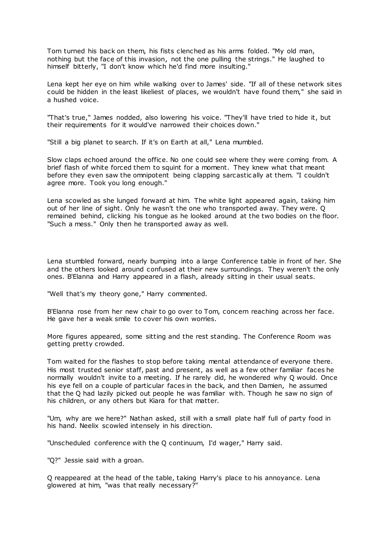Tom turned his back on them, his fists clenched as his arms folded. "My old man, nothing but the face of this invasion, not the one pulling the strings." He laughed to himself bitterly, "I don't know which he'd find more insulting."

Lena kept her eye on him while walking over to James' side. "If all of these network sites could be hidden in the least likeliest of places, we wouldn't have found them," she said in a hushed voice.

"That's true," James nodded, also lowering his voice. "They'll have tried to hide it, but their requirements for it would've narrowed their choices down."

"Still a big planet to search. If it's on Earth at all," Lena mumbled.

Slow claps echoed around the office. No one could see where they were coming from. A brief flash of white forced them to squint for a moment. They knew what that meant before they even saw the omnipotent being clapping sarcastic ally at them. "I couldn't agree more. Took you long enough."

Lena scowled as she lunged forward at him. The white light appeared again, taking him out of her line of sight. Only he wasn't the one who transported away. They were. Q remained behind, clicking his tongue as he looked around at the two bodies on the floor. "Such a mess." Only then he transported away as well.

Lena stumbled forward, nearly bumping into a large Conference table in front of her. She and the others looked around confused at their new surroundings. They weren't the only ones. B'Elanna and Harry appeared in a flash, already sitting in their usual seats.

"Well that's my theory gone," Harry commented.

B'Elanna rose from her new chair to go over to Tom, concern reaching across her face. He gave her a weak smile to cover his own worries.

More figures appeared, some sitting and the rest standing. The Conference Room was getting pretty crowded.

Tom waited for the flashes to stop before taking mental attendance of everyone there. His most trusted senior staff, past and present, as well as a few other familiar faces he normally wouldn't invite to a meeting. If he rarely did, he wondered why Q would. Once his eye fell on a couple of particular faces in the back, and then Damien, he assumed that the Q had lazily picked out people he was familiar with. Though he saw no sign of his children, or any others but Kiara for that matter.

"Um, why are we here?" Nathan asked, still with a small plate half full of party food in his hand. Neelix scowled intensely in his direction.

"Unscheduled conference with the Q continuum, I'd wager," Harry said.

"Q?" Jessie said with a groan.

Q reappeared at the head of the table, taking Harry's place to his annoyance. Lena glowered at him, "was that really necessary?"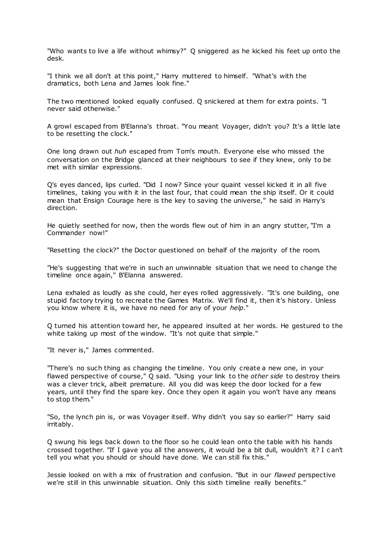"Who wants to live a life without whimsy?" Q sniggered as he kicked his feet up onto the desk.

"I think we all don't at this point," Harry muttered to himself. "What's with the dramatics, both Lena and James look fine."

The two mentioned looked equally confused. Q snickered at them for extra points. "I never said otherwise."

A growl escaped from B'Elanna's throat. "You meant Voyager, didn't you? It's a little late to be resetting the clock."

One long drawn out *huh* escaped from Tom's mouth. Everyone else who missed the conversation on the Bridge glanced at their neighbours to see if they knew, only to be met with similar expressions.

Q's eyes danced, lips curled. "Did I now? Since your quaint vessel kicked it in all five timelines, taking you with it in the last four, that could mean the ship itself. Or it could mean that Ensign Courage here is the key to saving the universe," he said in Harry's direction.

He quietly seethed for now, then the words flew out of him in an angry stutter, "I'm a Commander now!"

"Resetting the clock?" the Doctor questioned on behalf of the majority of the room.

"He's suggesting that we're in such an unwinnable situation that we need to change the timeline once again," B'Elanna answered.

Lena exhaled as loudly as she could, her eyes rolled aggressively. "It's one building, one stupid factory trying to recreate the Games Matrix. We'll find it, then it's history. Unless you know where it is, we have no need for any of your *help*."

Q turned his attention toward her, he appeared insulted at her words. He gestured to the white taking up most of the window. "It's not quite that simple."

"It never is," James commented.

"There's no such thing as changing the timeline. You only create a new one, in your flawed perspective of course," Q said. "Using your link to the *other side* to destroy theirs was a clever trick, albeit premature. All you did was keep the door locked for a few years, until they find the spare key. Once they open it again you won't have any means to stop them."

"So, the lynch pin is, or was Voyager itself. Why didn't you say so earlier?" Harry said irritably.

Q swung his legs back down to the floor so he could lean onto the table with his hands crossed together. "If I gave you all the answers, it would be a bit dull, wouldn't it? I c an't tell you what you should or should have done. We can still fix this."

Jessie looked on with a mix of frustration and confusion. "But in our *flawed* perspective we're still in this unwinnable situation. Only this sixth timeline really benefits."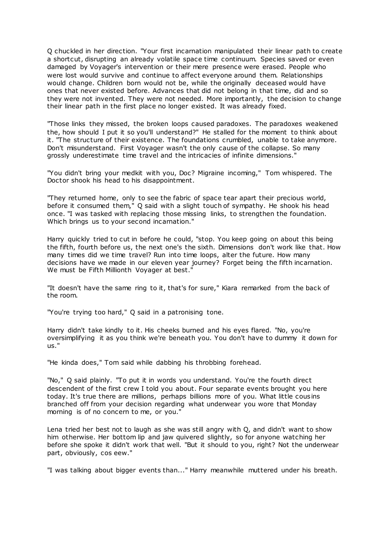Q chuckled in her direction. "Your first incarnation manipulated their linear path to create a shortcut, disrupting an already volatile space time continuum. Species saved or even damaged by Voyager's intervention or their mere presence were erased. People who were lost would survive and continue to affect everyone around them. Relationships would change. Children born would not be, while the originally deceased would have ones that never existed before. Advances that did not belong in that time, did and so they were not invented. They were not needed. More importantly, the decision to change their linear path in the first place no longer existed. It was already fixed.

"Those links they missed, the broken loops caused paradoxes. The paradoxes weakened the, how should I put it so you'll understand?" He stalled for the moment to think about it. "The structure of their existence. The foundations crumbled, unable to take anymore. Don't misunderstand. First Voyager wasn't the only cause of the collapse. So many grossly underestimate time travel and the intricacies of infinite dimensions."

"You didn't bring your medkit with you, Doc? Migraine incoming," Tom whispered. The Doctor shook his head to his disappointment.

"They returned home, only to see the fabric of space tear apart their precious world, before it consumed them," Q said with a slight touch of sympathy. He shook his head once. "I was tasked with replacing those missing links, to strengthen the foundation. Which brings us to your second incarnation."

Harry quickly tried to cut in before he could, "stop. You keep going on about this being the fifth, fourth before us, the next one's the sixth. Dimensions don't work like that. How many times did we time travel? Run into time loops, alter the future. How many decisions have we made in our eleven year journey? Forget being the fifth incarnation. We must be Fifth Millionth Voyager at best."

"It doesn't have the same ring to it, that's for sure," Kiara remarked from the back of the room.

"You're trying too hard," Q said in a patronising tone.

Harry didn't take kindly to it. His cheeks burned and his eyes flared. "No, you're oversimplifying it as you think we're beneath you. You don't have to dummy it down for us."

"He kinda does," Tom said while dabbing his throbbing forehead.

"No," Q said plainly. "To put it in words you understand. You're the fourth direct descendent of the first crew I told you about. Four separate events brought you here today. It's true there are millions, perhaps billions more of you. What little cousins branched off from your decision regarding what underwear you wore that Monday morning is of no concern to me, or you."

Lena tried her best not to laugh as she was still angry with Q, and didn't want to show him otherwise. Her bottom lip and jaw quivered slightly, so for anyone watching her before she spoke it didn't work that well. "But it should to you, right? Not the underwear part, obviously, cos eew."

"I was talking about bigger events than..." Harry meanwhile muttered under his breath.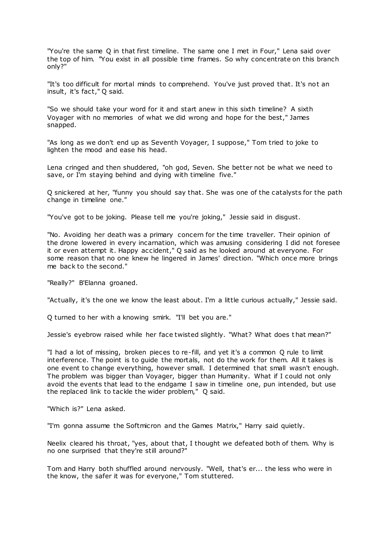"You're the same Q in that first timeline. The same one I met in Four," Lena said over the top of him. "You exist in all possible time frames. So why concentrate on this branch only?"

"It's too difficult for mortal minds to comprehend. You've just proved that. It's not an insult, it's fact," Q said.

"So we should take your word for it and start anew in this sixth timeline? A sixth Voyager with no memories of what we did wrong and hope for the best," James snapped.

"As long as we don't end up as Seventh Voyager, I suppose," Tom tried to joke to lighten the mood and ease his head.

Lena cringed and then shuddered, "oh god, Seven. She better not be what we need to save, or I'm staying behind and dying with timeline five."

Q snickered at her, "funny you should say that. She was one of the catalysts for the path change in timeline one."

"You've got to be joking. Please tell me you're joking," Jessie said in disgust.

"No. Avoiding her death was a primary concern for the time traveller. Their opinion of the drone lowered in every incarnation, which was amusing considering I did not foresee it or even attempt it. Happy accident," Q said as he looked around at everyone. For some reason that no one knew he lingered in James' direction. "Which once more brings me back to the second."

"Really?" B'Elanna groaned.

"Actually, it's the one we know the least about. I'm a little curious actually," Jessie said.

Q turned to her with a knowing smirk. "I'll bet you are."

Jessie's eyebrow raised while her face twisted slightly. "What? What does t hat mean?"

"I had a lot of missing, broken pieces to re-fill, and yet it's a common Q rule to limit interference. The point is to guide the mortals, not do the work for them. All it takes is one event to change everything, however small. I determined that small wasn't enough. The problem was bigger than Voyager, bigger than Humanity. What if I could not only avoid the events that lead to the endgame I saw in timeline one, pun intended, but use the replaced link to tackle the wider problem," Q said.

"Which is?" Lena asked.

"I'm gonna assume the Softmicron and the Games Matrix," Harry said quietly.

Neelix cleared his throat, "yes, about that, I thought we defeated both of them. Why is no one surprised that they're still around?"

Tom and Harry both shuffled around nervously. "Well, that's er... the less who were in the know, the safer it was for everyone," Tom stuttered.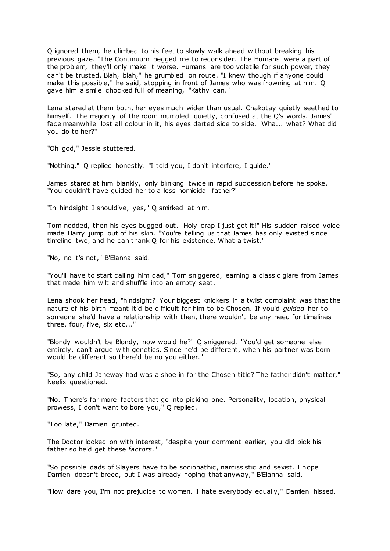Q ignored them, he climbed to his feet to slowly walk ahead without breaking his previous gaze. "The Continuum begged me to reconsider. The Humans were a part of the problem, they'll only make it worse. Humans are too volatile for such power, they can't be trusted. Blah, blah," he grumbled on route. "I knew though if anyone could make this possible," he said, stopping in front of James who was frowning at him. Q gave him a smile chocked full of meaning, "Kathy can."

Lena stared at them both, her eyes much wider than usual. Chakotay quietly seethed to himself. The majority of the room mumbled quietly, confused at the Q's words. James' face meanwhile lost all colour in it, his eyes darted side to side. "Wha... what? What did you do to her?"

"Oh god," Jessie stuttered.

"Nothing," Q replied honestly. "I told you, I don't interfere, I guide."

James stared at him blankly, only blinking twice in rapid suc cession before he spoke. "You couldn't have guided her to a less homicidal father?"

"In hindsight I should've, yes," Q smirked at him.

Tom nodded, then his eyes bugged out. "Holy crap I just got it!" His sudden raised voice made Harry jump out of his skin. "You're telling us that James has only existed since timeline two, and he can thank Q for his existence. What a twist."

"No, no it's not," B'Elanna said.

"You'll have to start calling him dad," Tom sniggered, earning a classic glare from James that made him wilt and shuffle into an empty seat.

Lena shook her head, "hindsight? Your biggest knickers in a twist complaint was that the nature of his birth meant it'd be difficult for him to be Chosen. If you'd *guided* her to someone she'd have a relationship with then, there wouldn't be any need for timelines three, four, five, six etc..."

"Blondy wouldn't be Blondy, now would he?" Q sniggered. "You'd get someone else entirely, can't argue with genetics. Since he'd be different, when his partner was born would be different so there'd be no you either."

"So, any child Janeway had was a shoe in for the Chosen title? The father didn't matter," Neelix questioned.

"No. There's far more factors that go into picking one. Personality, location, physical prowess, I don't want to bore you," Q replied.

"Too late," Damien grunted.

The Doctor looked on with interest, "despite your comment earlier, you did pick his father so he'd get these *factors*."

"So possible dads of Slayers have to be sociopathic, narcissistic and sexist. I hope Damien doesn't breed, but I was already hoping that anyway," B'Elanna said.

"How dare you, I'm not prejudice to women. I hate everybody equally," Damien hissed.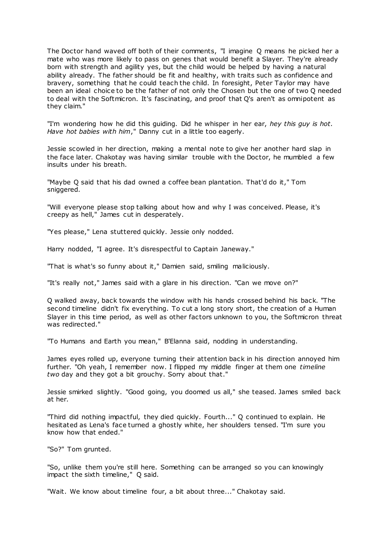The Doctor hand waved off both of their comments, "I imagine Q means he picked her a mate who was more likely to pass on genes that would benefit a Slayer. They're already born with strength and agility yes, but the child would be helped by having a natural ability already. The father should be fit and healthy, with traits such as confidence and bravery, something that he could teach the child. In foresight, Peter Taylor may have been an ideal choice to be the father of not only the Chosen but the one of two Q needed to deal with the Softmicron. It's fascinating, and proof that Q's aren't as omnipotent as they claim."

"I'm wondering how he did this guiding. Did he whisper in her ear, *hey this guy is hot. Have hot babies with him*," Danny cut in a little too eagerly.

Jessie scowled in her direction, making a mental note to give her another hard slap in the face later. Chakotay was having similar trouble with the Doctor, he mumbled a few insults under his breath.

"Maybe Q said that his dad owned a coffee bean plantation. That'd do it," Tom sniggered.

"Will everyone please stop talking about how and why I was conceived. Please, it's creepy as hell," James cut in desperately.

"Yes please," Lena stuttered quickly. Jessie only nodded.

Harry nodded, "I agree. It's disrespectful to Captain Janeway."

"That is what's so funny about it," Damien said, smiling maliciously.

"It's really not," James said with a glare in his direction. "Can we move on?"

Q walked away, back towards the window with his hands crossed behind his back. "The second timeline didn't fix everything. To cut a long story short, the creation of a Human Slayer in this time period, as well as other factors unknown to you, the Softmicron threat was redirected."

"To Humans and Earth you mean," B'Elanna said, nodding in understanding.

James eyes rolled up, everyone turning their attention back in his direction annoyed him further. "Oh yeah, I remember now. I flipped my middle finger at them one *timeline two* day and they got a bit grouchy. Sorry about that."

Jessie smirked slightly. "Good going, you doomed us all," she teased. James smiled back at her.

"Third did nothing impactful, they died quickly. Fourth..." Q continued to explain. He hesitated as Lena's face turned a ghostly white, her shoulders tensed. "I'm sure you know how that ended."

"So?" Tom grunted.

"So, unlike them you're still here. Something can be arranged so you can knowingly impact the sixth timeline," Q said.

"Wait. We know about timeline four, a bit about three..." Chakotay said.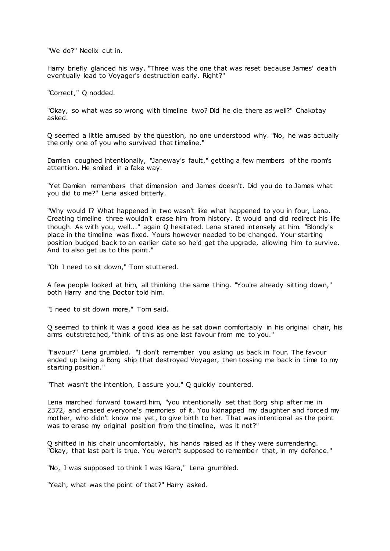"We do?" Neelix cut in.

Harry briefly glanced his way. "Three was the one that was reset because James' death eventually lead to Voyager's destruction early. Right?"

"Correct," Q nodded.

"Okay, so what was so wrong with timeline two? Did he die there as well?" Chakotay asked.

Q seemed a little amused by the question, no one understood why. "No, he was actually the only one of you who survived that timeline."

Damien coughed intentionally, "Janeway's fault," getting a few members of the room's attention. He smiled in a fake way.

"Yet Damien remembers that dimension and James doesn't. Did you do to James what you did to me?" Lena asked bitterly.

"Why would I? What happened in two wasn't like what happened to you in four, Lena. Creating timeline three wouldn't erase him from history. It would and did redirect his life though. As with you, well..." again Q hesitated. Lena stared intensely at him. "Blondy's place in the timeline was fixed. Yours however needed to be changed. Your starting position budged back to an earlier date so he'd get the upgrade, allowing him to survive. And to also get us to this point."

"Oh I need to sit down," Tom stuttered.

A few people looked at him, all thinking the same thing. "You're already sitting down," both Harry and the Doctor told him.

"I need to sit down more," Tom said.

Q seemed to think it was a good idea as he sat down comfortably in his original chair, his arms outstretched, "think of this as one last favour from me to you."

"Favour?" Lena grumbled. "I don't remember you asking us back in Four. The favour ended up being a Borg ship that destroyed Voyager, then tossing me back in time to my starting position."

"That wasn't the intention, I assure you," Q quickly countered.

Lena marched forward toward him, "you intentionally set that Borg ship after me in 2372, and erased everyone's memories of it. You kidnapped my daughter and forced my mother, who didn't know me yet, to give birth to her. That was intentional as the point was to erase my original position from the timeline, was it not?"

Q shifted in his chair uncomfortably, his hands raised as if they were surrendering. "Okay, that last part is true. You weren't supposed to remember that, in my defence."

"No, I was supposed to think I was Kiara," Lena grumbled.

"Yeah, what was the point of that?" Harry asked.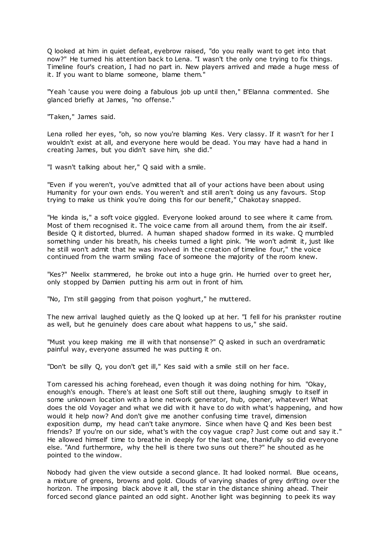Q looked at him in quiet defeat, eyebrow raised, "do you really want to get into that now?" He turned his attention back to Lena. "I wasn't the only one trying to fix things. Timeline four's creation, I had no part in. New players arrived and made a huge mess of it. If you want to blame someone, blame them."

"Yeah 'cause you were doing a fabulous job up until then," B'Elanna commented. She glanced briefly at James, "no offense."

"Taken," James said.

Lena rolled her eyes, "oh, so now you're blaming Kes. Very classy. If it wasn't for her I wouldn't exist at all, and everyone here would be dead. You may have had a hand in creating James, but you didn't save him, she did."

"I wasn't talking about her," Q said with a smile.

"Even if you weren't, you've admitted that all of your actions have been about using Humanity for your own ends. You weren't and still aren't doing us any favours. Stop trying to make us think you're doing this for our benefit," Chakotay snapped.

"He kinda is," a soft voice giggled. Everyone looked around to see where it came from. Most of them recognised it. The voice came from all around them, from the air itself. Beside Q it distorted, blurred. A human shaped shadow formed in its wake. Q mumbled something under his breath, his cheeks turned a light pink. "He won't admit it, just like he still won't admit that he was involved in the creation of timeline four," the voice continued from the warm smiling face of someone the majority of the room knew.

"Kes?" Neelix stammered, he broke out into a huge grin. He hurried over to greet her, only stopped by Damien putting his arm out in front of him.

"No, I'm still gagging from that poison yoghurt," he muttered.

The new arrival laughed quietly as the Q looked up at her. "I fell for his prankster routine as well, but he genuinely does care about what happens to us," she said.

"Must you keep making me ill with that nonsense?" Q asked in such an overdramatic painful way, everyone assumed he was putting it on.

"Don't be silly Q, you don't get ill," Kes said with a smile still on her face.

Tom caressed his aching forehead, even though it was doing nothing for him. "Okay, enough's enough. There's at least one Soft still out there, laughing smugly to itself in some unknown location with a lone network generator, hub, opener, whatever! What does the old Voyager and what we did with it have to do with what's happening, and how would it help now? And don't give me another confusing time travel, dimension exposition dump, my head can't take anymore. Since when have Q and Kes been best friends? If you're on our side, what's with the coy vague crap? Just come out and say it." He allowed himself time to breathe in deeply for the last one, thankfully so did everyone else. "And furthermore, why the hell is there two suns out there?" he shouted as he pointed to the window.

Nobody had given the view outside a second glance. It had looked normal. Blue oceans, a mixture of greens, browns and gold. Clouds of varying shades of grey drifting over the horizon. The imposing black above it all, the star in the distance shining ahead. Their forced second glance painted an odd sight. Another light was beginning to peek its way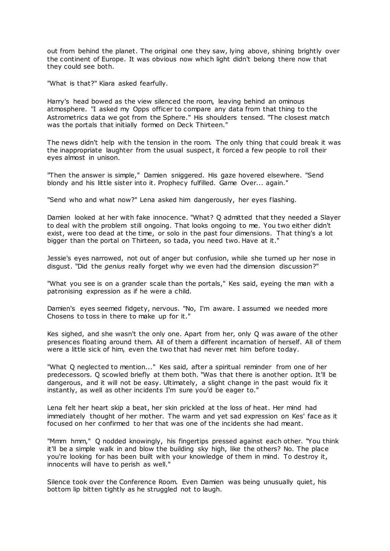out from behind the planet. The original one they saw, lying above, shining brightly over the continent of Europe. It was obvious now which light didn't belong there now that they could see both.

"What is that?" Kiara asked fearfully.

Harry's head bowed as the view silenced the room, leaving behind an ominous atmosphere. "I asked my Opps officer to compare any data from that thing to the Astrometrics data we got from the Sphere." His shoulders tensed. "The closest match was the portals that initially formed on Deck Thirteen."

The news didn't help with the tension in the room. The only thing that could break it was the inappropriate laughter from the usual suspect, it forced a few people to roll their eyes almost in unison.

"Then the answer is simple," Damien sniggered. His gaze hovered elsewhere. "Send blondy and his little sister into it. Prophecy fulfilled. Game Over... again."

"Send who and what now?" Lena asked him dangerously, her eyes flashing.

Damien looked at her with fake innocence. "What? Q admitted that they needed a Slayer to deal with the problem still ongoing. That looks ongoing to me. You two either didn't exist, were too dead at the time, or solo in the past four dimensions. That thing's a lot bigger than the portal on Thirteen, so tada, you need two. Have at it."

Jessie's eyes narrowed, not out of anger but confusion, while she turned up her nose in disgust. "Did the *genius* really forget why we even had the dimension discussion?"

"What you see is on a grander scale than the portals," Kes said, eyeing the man with a patronising expression as if he were a child.

Damien's eyes seemed fidgety, nervous. "No, I'm aware. I assumed we needed more Chosens to toss in there to make up for it."

Kes sighed, and she wasn't the only one. Apart from her, only Q was aware of the other presences floating around them. All of them a different incarnation of herself. All of them were a little sick of him, even the two that had never met him before today.

"What Q neglected to mention..." Kes said, after a spiritual reminder from one of her predecessors. Q scowled briefly at them both. "Was that there is another option. It'll be dangerous, and it will not be easy. Ultimately, a slight change in the past would fix it instantly, as well as other incidents I'm sure you'd be eager to."

Lena felt her heart skip a beat, her skin prickled at the loss of heat. Her mind had immediately thought of her mother. The warm and yet sad expression on Kes' face as it focused on her confirmed to her that was one of the incidents she had meant.

"Mmm hmm," Q nodded knowingly, his fingertips pressed against each other. "You think it'll be a simple walk in and blow the building sky high, like the others? No. The place you're looking for has been built with your knowledge of them in mind. To destroy it, innocents will have to perish as well."

Silence took over the Conference Room. Even Damien was being unusually quiet, his bottom lip bitten tightly as he struggled not to laugh.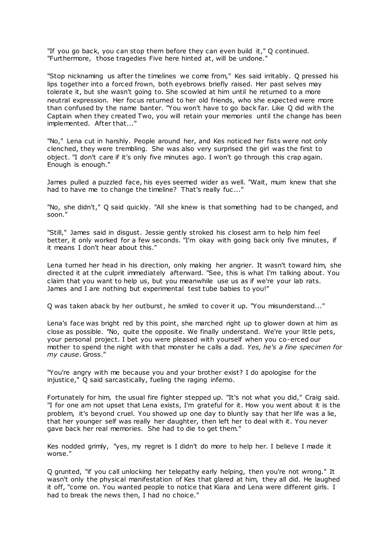"If you go back, you can stop them before they can even build it," Q continued. "Furthermore, those tragedies Five here hinted at, will be undone."

"Stop nicknaming us after the timelines we come from," Kes said irritably. Q pressed his lips together into a forced frown, both eyebrows briefly raised. Her past selves may tolerate it, but she wasn't going to. She scowled at him until he returned to a more neutral expression. Her focus returned to her old friends, who she expected were more than confused by the name banter. "You won't have to go back far. Like Q did with the Captain when they created Two, you will retain your memories until the change has been implemented. After that..."

"No," Lena cut in harshly. People around her, and Kes noticed her fists were not only clenched, they were trembling. She was also very surprised the girl was the first to object. "I don't care if it's only five minutes ago. I won't go through this crap again. Enough is enough."

James pulled a puzzled face, his eyes seemed wider as well. "Wait, mum knew that she had to have me to change the timeline? That's really fuc..."

"No, she didn't," Q said quickly. "All she knew is that something had to be changed, and soon."

"Still," James said in disgust. Jessie gently stroked his closest arm to help him feel better, it only worked for a few seconds. "I'm okay with going back only five minutes, if it means I don't hear about this."

Lena turned her head in his direction, only making her angrier. It wasn't toward him, she directed it at the culprit immediately afterward. "See, this is what I'm talking about. You claim that you want to help us, but you meanwhile use us as if we're your lab rats. James and I are nothing but experimental test tube babies to you!"

Q was taken aback by her outburst, he smiled to cover it up. "You misunderstand..."

Lena's face was bright red by this point, she marched right up to glower down at him as close as possible. "No, quite the opposite. We finally understand. We're your little pets, your personal project. I bet you were pleased with yourself when you co-erced our mother to spend the night with that monster he calls a dad. *Yes, he's a fine specimen for my cause*. Gross."

"You're angry with me because you and your brother exist? I do apologise for the injustice," Q said sarcastically, fueling the raging inferno.

Fortunately for him, the usual fire fighter stepped up. "It's not what you did," Craig said. "I for one am not upset that Lena exists, I'm grateful for it. How you went about it is the problem, it's beyond cruel. You showed up one day to bluntly say that her life was a lie, that her younger self was really her daughter, then left her to deal with it. You never gave back her real memories. She had to die to get them."

Kes nodded grimly, "yes, my regret is I didn't do more to help her. I believe I made it worse."

Q grunted, "if you call unlocking her telepathy early helping, then you're not wrong." It wasn't only the physical manifestation of Kes that glared at him, they all did. He laughed it off, "come on. You wanted people to notice that Kiara and Lena were different girls. I had to break the news then, I had no choice."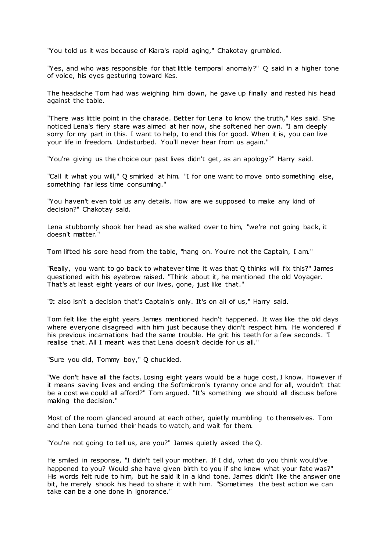"You told us it was because of Kiara's rapid aging," Chakotay grumbled.

"Yes, and who was responsible for that little temporal anomaly?" Q said in a higher tone of voice, his eyes gesturing toward Kes.

The headache Tom had was weighing him down, he gave up finally and rested his head against the table.

"There was little point in the charade. Better for Lena to know the truth," Kes said. She noticed Lena's fiery stare was aimed at her now, she softened her own. "I am deeply sorry for my part in this. I want to help, to end this for good. When it is, you can live your life in freedom. Undisturbed. You'll never hear from us again."

"You're giving us the choice our past lives didn't get, as an apology?" Harry said.

"Call it what you will," Q smirked at him. "I for one want to move onto something else, something far less time consuming."

"You haven't even told us any details. How are we supposed to make any kind of decision?" Chakotay said.

Lena stubbornly shook her head as she walked over to him, "we're not going back, it doesn't matter."

Tom lifted his sore head from the table, "hang on. You're not the Captain, I am."

"Really, you want to go back to whatever time it was that Q thinks will fix this?" James questioned with his eyebrow raised. "Think about it, he mentioned the old Voyager. That's at least eight years of our lives, gone, just like that."

"It also isn't a decision that's Captain's only. It's on all of us," Harry said.

Tom felt like the eight years James mentioned hadn't happened. It was like the old days where everyone disagreed with him just because they didn't respect him. He wondered if his previous incarnations had the same trouble. He grit his teeth for a few seconds. "I realise that. All I meant was that Lena doesn't decide for us all."

"Sure you did, Tommy boy," Q chuckled.

"We don't have all the facts. Losing eight years would be a huge cost, I know. However if it means saving lives and ending the Softmicron's tyranny once and for all, wouldn't that be a cost we could all afford?" Tom argued. "It's something we should all discuss before making the decision."

Most of the room glanced around at each other, quietly mumbling to themselves. Tom and then Lena turned their heads to watch, and wait for them.

"You're not going to tell us, are you?" James quietly asked the Q.

He smiled in response, "I didn't tell your mother. If I did, what do you think would've happened to you? Would she have given birth to you if she knew what your fate was?" His words felt rude to him, but he said it in a kind tone. James didn't like the answer one bit, he merely shook his head to share it with him. "Sometimes the best action we can take can be a one done in ignorance."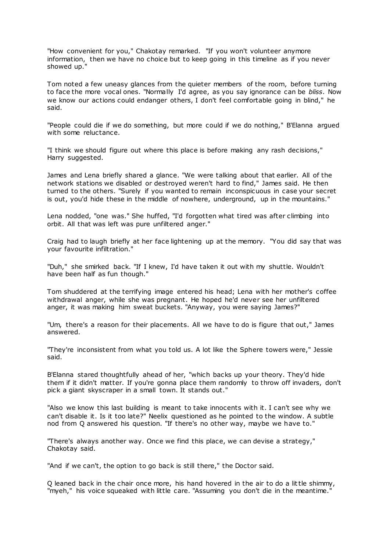"How convenient for you," Chakotay remarked. "If you won't volunteer anymore information, then we have no choice but to keep going in this timeline as if you never showed up."

Tom noted a few uneasy glances from the quieter members of the room, before turning to face the more vocal ones. "Normally I'd agree, as you say ignorance can be *bliss*. Now we know our actions could endanger others, I don't feel comfortable going in blind," he said.

"People could die if we do something, but more could if we do nothing," B'Elanna argued with some reluctance.

"I think we should figure out where this place is before making any rash decisions," Harry suggested.

James and Lena briefly shared a glance. "We were talking about that earlier. All of the network stations we disabled or destroyed weren't hard to find," James said. He then turned to the others. "Surely if you wanted to remain inconspicuous in case your secret is out, you'd hide these in the middle of nowhere, underground, up in the mountains."

Lena nodded, "one was." She huffed, "I'd forgotten what tired was after climbing into orbit. All that was left was pure unfiltered anger."

Craig had to laugh briefly at her face lightening up at the memory. "You did say that was your favourite infiltration."

"Duh," she smirked back. "If I knew, I'd have taken it out with my shuttle. Wouldn't have been half as fun though."

Tom shuddered at the terrifying image entered his head; Lena with her mother's coffee withdrawal anger, while she was pregnant. He hoped he'd never see her unfiltered anger, it was making him sweat buckets. "Anyway, you were saying James?"

"Um, there's a reason for their placements. All we have to do is figure that out," James answered.

"They're inconsistent from what you told us. A lot like the Sphere towers were," Jessie said.

B'Elanna stared thoughtfully ahead of her, "which backs up your theory. They'd hide them if it didn't matter. If you're gonna place them randomly to throw off invaders, don't pick a giant skyscraper in a small town. It stands out."

"Also we know this last building is meant to take innocents with it. I can't see why we can't disable it. Is it too late?" Neelix questioned as he pointed to the window. A subtle nod from Q answered his question. "If there's no other way, maybe we have to."

"There's always another way. Once we find this place, we can devise a strategy," Chakotay said.

"And if we can't, the option to go back is still there," the Doctor said.

Q leaned back in the chair once more, his hand hovered in the air to do a little shimmy, "myeh," his voice squeaked with little care. "Assuming you don't die in the meantime."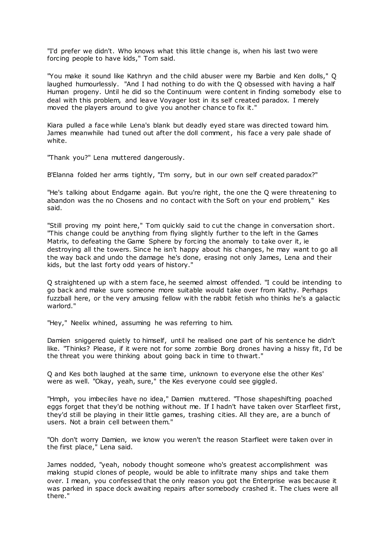"I'd prefer we didn't. Who knows what this little change is, when his last two were forcing people to have kids," Tom said.

"You make it sound like Kathryn and the child abuser were my Barbie and Ken dolls," Q laughed humourlessly. "And I had nothing to do with the Q obsessed with having a half Human progeny. Until he did so the Continuum were content in finding somebody else to deal with this problem, and leave Voyager lost in its self created paradox. I merely moved the players around to give you another chance to fix it."

Kiara pulled a face while Lena's blank but deadly eyed stare was directed toward him. James meanwhile had tuned out after the doll comment, his face a very pale shade of white.

"Thank you?" Lena muttered dangerously.

B'Elanna folded her arms tightly, "I'm sorry, but in our own self created paradox?"

"He's talking about Endgame again. But you're right, the one the Q were threatening to abandon was the no Chosens and no contact with the Soft on your end problem," Kes said.

"Still proving my point here," Tom quickly said to cut the change in conversation short. "This change could be anything from flying slightly further to the left in the Games Matrix, to defeating the Game Sphere by forcing the anomaly to take over it, ie destroying all the towers. Since he isn't happy about his changes, he may want to go all the way back and undo the damage he's done, erasing not only James, Lena and their kids, but the last forty odd years of history."

Q straightened up with a stern face, he seemed almost offended. "I could be intending to go back and make sure someone more suitable would take over from Kathy. Perhaps fuzzball here, or the very amusing fellow with the rabbit fetish who thinks he's a galactic warlord."

"Hey," Neelix whined, assuming he was referring to him.

Damien sniggered quietly to himself, until he realised one part of his sentence he didn't like. "Thinks? Please, if it were not for some zombie Borg drones having a hissy fit, I'd be the threat you were thinking about going back in time to thwart."

Q and Kes both laughed at the same time, unknown to everyone else the other Kes' were as well. "Okay, yeah, sure," the Kes everyone could see giggled.

"Hmph, you imbeciles have no idea," Damien muttered. "Those shapeshifting poached eggs forget that they'd be nothing without me. If I hadn't have taken over Starfleet first, they'd still be playing in their little games, trashing cities. All they are, are a bunch of users. Not a brain cell between them."

"Oh don't worry Damien, we know you weren't the reason Starfleet were taken over in the first place," Lena said.

James nodded, "yeah, nobody thought someone who's greatest accomplishment was making stupid clones of people, would be able to infiltrate many ships and take them over. I mean, you confessed that the only reason you got the Enterprise was because it was parked in space dock awaiting repairs after somebody crashed it. The clues were all there."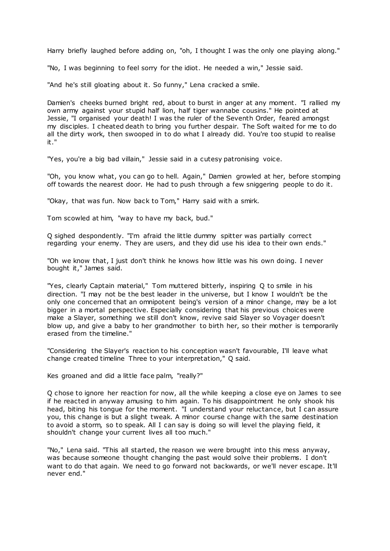Harry briefly laughed before adding on, "oh, I thought I was the only one playing along."

"No, I was beginning to feel sorry for the idiot. He needed a win," Jessie said.

"And he's still gloating about it. So funny," Lena cracked a smile.

Damien's cheeks burned bright red, about to burst in anger at any moment. "I rallied my own army against your stupid half lion, half tiger wannabe cousins." He pointed at Jessie, "I organised your death! I was the ruler of the Seventh Order, feared amongst my disciples. I cheated death to bring you further despair. The Soft waited for me to do all the dirty work, then swooped in to do what I already did. You're too stupid to realise it."

"Yes, you're a big bad villain," Jessie said in a cutesy patronising voice.

"Oh, you know what, you can go to hell. Again," Damien growled at her, before stomping off towards the nearest door. He had to push through a few sniggering people to do it.

"Okay, that was fun. Now back to Tom," Harry said with a smirk.

Tom scowled at him, "way to have my back, bud."

Q sighed despondently. "I'm afraid the little dummy spitter was partially correct regarding your enemy. They are users, and they did use his idea to their own ends."

"Oh we know that, I just don't think he knows how little was his own doing. I never bought it," James said.

"Yes, clearly Captain material," Tom muttered bitterly, inspiring Q to smile in his direction. "I may not be the best leader in the universe, but I know I wouldn't be the only one concerned that an omnipotent being's version of a minor change, may be a lot bigger in a mortal perspective. Especially considering that his previous choices were make a Slayer, something we still don't know, revive said Slayer so Voyager doesn't blow up, and give a baby to her grandmother to birth her, so their mother is temporarily erased from the timeline."

"Considering the Slayer's reaction to his conception wasn't favourable, I'll leave what change created timeline Three to your interpretation," Q said.

Kes groaned and did a little face palm, "really?"

Q chose to ignore her reaction for now, all the while keeping a close eye on James to see if he reacted in anyway amusing to him again. To his disappointment he only shook his head, biting his tongue for the moment. "I understand your reluctance, but I can assure you, this change is but a slight tweak. A minor course change with the same destination to avoid a storm, so to speak. All I can say is doing so will level the playing field, it shouldn't change your current lives all too much."

"No," Lena said. "This all started, the reason we were brought into this mess anyway, was because someone thought changing the past would solve their problems. I don't want to do that again. We need to go forward not backwards, or we'll never escape. It'll never end."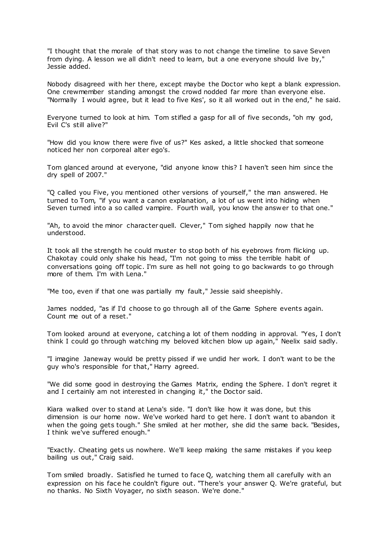"I thought that the morale of that story was to not change the timeline to save Seven from dying. A lesson we all didn't need to learn, but a one everyone should live by," Jessie added.

Nobody disagreed with her there, except maybe the Doctor who kept a blank expression. One crewmember standing amongst the crowd nodded far more than everyone else. "Normally I would agree, but it lead to five Kes', so it all worked out in the end," he said.

Everyone turned to look at him. Tom stifled a gasp for all of five seconds, "oh my god, Evil C's still alive?"

"How did you know there were five of us?" Kes asked, a little shocked that someone noticed her non corporeal alter ego's.

Tom glanced around at everyone, "did anyone know this? I haven't seen him since the dry spell of 2007."

"Q called you Five, you mentioned other versions of yourself," the man answered. He turned to Tom, "if you want a canon explanation, a lot of us went into hiding when Seven turned into a so called vampire. Fourth wall, you know the answer to that one."

"Ah, to avoid the minor character quell. Clever," Tom sighed happily now that he understood.

It took all the strength he could muster to stop both of his eyebrows from flicking up. Chakotay could only shake his head, "I'm not going to miss the terrible habit of conversations going off topic . I'm sure as hell not going to go backwards to go through more of them. I'm with Lena."

"Me too, even if that one was partially my fault," Jessie said sheepishly.

James nodded, "as if I'd choose to go through all of the Game Sphere events again. Count me out of a reset."

Tom looked around at everyone, catching a lot of them nodding in approval. "Yes, I don't think I could go through watching my beloved kitchen blow up again," Neelix said sadly.

"I imagine Janeway would be pretty pissed if we undid her work. I don't want to be the guy who's responsible for that," Harry agreed.

"We did some good in destroying the Games Matrix, ending the Sphere. I don't regret it and I certainly am not interested in changing it," the Doctor said.

Kiara walked over to stand at Lena's side. "I don't like how it was done, but this dimension is our home now. We've worked hard to get here. I don't want to abandon it when the going gets tough." She smiled at her mother, she did the same back. "Besides, I think we've suffered enough."

"Exactly. Cheating gets us nowhere. We'll keep making the same mistakes if you keep bailing us out," Craig said.

Tom smiled broadly. Satisfied he turned to face Q, watching them all carefully with an expression on his face he couldn't figure out. "There's your answer Q. We're grateful, but no thanks. No Sixth Voyager, no sixth season. We're done."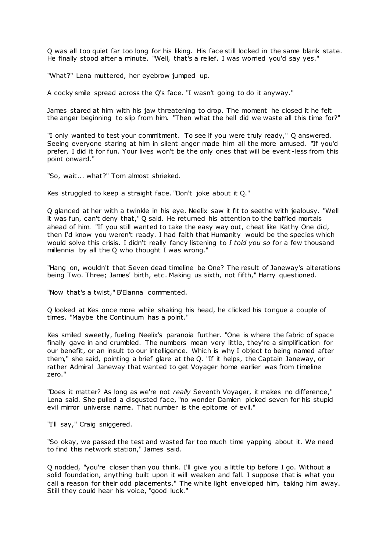Q was all too quiet far too long for his liking. His face still locked in the same blank state. He finally stood after a minute. "Well, that's a relief. I was worried you'd say yes."

"What?" Lena muttered, her eyebrow jumped up.

A cocky smile spread across the Q's face. "I wasn't going to do it anyway."

James stared at him with his jaw threatening to drop. The moment he closed it he felt the anger beginning to slip from him. "Then what the hell did we waste all this time for?"

"I only wanted to test your commitment. To see if you were truly ready," Q answered. Seeing everyone staring at him in silent anger made him all the more amused. "If you'd prefer, I did it for fun. Your lives won't be the only ones that will be event -less from this point onward."

"So, wait... what?" Tom almost shrieked.

Kes struggled to keep a straight face. "Don't joke about it Q."

Q glanced at her with a twinkle in his eye. Neelix saw it fit to seethe with jealousy. "Well it was fun, can't deny that," Q said. He returned his attention to the baffled mortals ahead of him. "If you still wanted to take the easy way out, cheat like Kathy One did, then I'd know you weren't ready. I had faith that Humanity would be the species which would solve this crisis. I didn't really fancy listening to *I told you so* for a few thousand millennia by all the Q who thought I was wrong."

"Hang on, wouldn't that Seven dead timeline be One? The result of Janeway's alterations being Two. Three; James' birth, etc . Making us sixth, not fifth," Harry questioned.

"Now that's a twist," B'Elanna commented.

Q looked at Kes once more while shaking his head, he clicked his tongue a couple of times. "Maybe the Continuum has a point."

Kes smiled sweetly, fueling Neelix's paranoia further. "One is where the fabric of space finally gave in and crumbled. The numbers mean very little, they're a simplification for our benefit, or an insult to our intelligence. Which is why I object to being named after them," she said, pointing a brief glare at the Q. "If it helps, the Captain Janeway, or rather Admiral Janeway that wanted to get Voyager home earlier was from timeline zero."

"Does it matter? As long as we're not *really* Seventh Voyager, it makes no difference," Lena said. She pulled a disgusted face, "no wonder Damien picked seven for his stupid evil mirror universe name. That number is the epitome of evil."

"I'll say," Craig sniggered.

"So okay, we passed the test and wasted far too much time yapping about it. We need to find this network station," James said.

Q nodded, "you're closer than you think. I'll give you a little tip before I go. Without a solid foundation, anything built upon it will weaken and fall. I suppose that is what you call a reason for their odd placements." The white light enveloped him, taking him away. Still they could hear his voice, "good luck."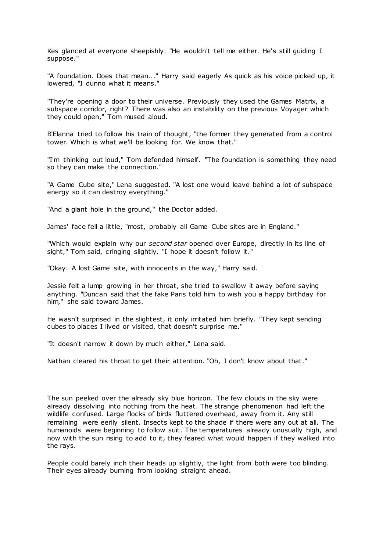Kes glanced at everyone sheepishly. "He wouldn't tell me either. He's still guiding I suppose."

"A foundation. Does that mean..." Harry said eagerly As quick as his voice picked up, it lowered, "I dunno what it means."

"They're opening a door to their universe. Previously they used the Games Matrix, a subspace corridor, right? There was also an instability on the previous Voyager which they could open," Tom mused aloud.

B'Elanna tried to follow his train of thought, "the former they generated from a control tower. Which is what we'll be looking for. We know that."

"I'm thinking out loud," Tom defended himself. "The foundation is something they need so they can make the connection."

"A Game Cube site," Lena suggested. "A lost one would leave behind a lot of subspace energy so it can destroy everything."

"And a giant hole in the ground," the Doctor added.

James' face fell a little, "most, probably all Game Cube sites are in England."

"Which would explain why our *second star* opened over Europe, directly in its line of sight," Tom said, cringing slightly. "I hope it doesn't follow it."

"Okay. A lost Game site, with innocents in the way," Harry said.

Jessie felt a lump growing in her throat, she tried to swallow it away before saying anything. "Duncan said that the fake Paris told him to wish you a happy birthday for him," she said toward James.

He wasn't surprised in the slightest, it only irritated him briefly. "They kept sending cubes to places I lived or visited, that doesn't surprise me."

"It doesn't narrow it down by much either," Lena said.

Nathan cleared his throat to get their attention. "Oh, I don't know about that."

The sun peeked over the already sky blue horizon. The few clouds in the sky were already dissolving into nothing from the heat. The strange phenomenon had left the wildlife confused. Large flocks of birds fluttered overhead, away from it. Any still remaining were eerily silent. Insects kept to the shade if there were any out at all. The humanoids were beginning to follow suit. The temperatures already unusually high, and now with the sun rising to add to it, they feared what would happen if they walked into the rays.

People could barely inch their heads up slightly, the light from both were too blinding. Their eyes already burning from looking straight ahead.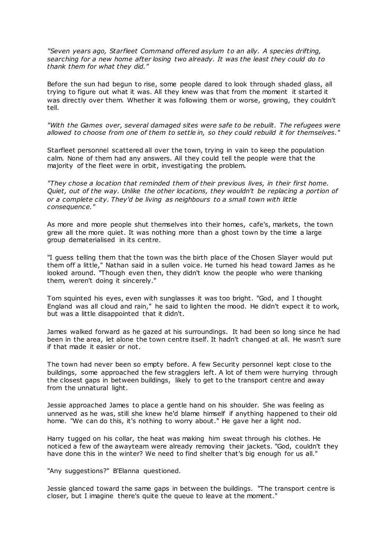*"Seven years ago, Starfleet Command offered asylum to an ally. A species drifting, searching for a new home after losing two already. It was the least they could do to thank them for what they did."*

Before the sun had begun to rise, some people dared to look through shaded glass, all trying to figure out what it was. All they knew was that from the moment it started it was directly over them. Whether it was following them or worse, growing, they couldn't tell.

*"With the Games over, several damaged sites were safe to be rebuilt. The refugees were allowed to choose from one of them to settle in, so they could rebuild it for themselves."*

Starfleet personnel scattered all over the town, trying in vain to keep the population calm. None of them had any answers. All they could tell the people were that the majority of the fleet were in orbit, investigating the problem.

*"They chose a location that reminded them of their previous lives, in their first home. Quiet, out of the way. Unlike the other locations, they wouldn't be replacing a portion of or a complete city. They'd be living as neighbours to a small town with little consequence."*

As more and more people shut themselves into their homes, cafe's, markets, the town grew all the more quiet. It was nothing more than a ghost town by the time a large group dematerialised in its centre.

"I guess telling them that the town was the birth place of the Chosen Slayer would put them off a little," Nathan said in a sullen voice. He turned his head toward James as he looked around. "Though even then, they didn't know the people who were thanking them, weren't doing it sincerely."

Tom squinted his eyes, even with sunglasses it was too bright. "God, and I thought England was all cloud and rain," he said to lighten the mood. He didn't expect it to work, but was a little disappointed that it didn't.

James walked forward as he gazed at his surroundings. It had been so long since he had been in the area, let alone the town centre itself. It hadn't changed at all. He wasn't sure if that made it easier or not.

The town had never been so empty before. A few Security personnel kept close to the buildings, some approached the few stragglers left. A lot of them were hurrying through the closest gaps in between buildings, likely to get to the transport centre and away from the unnatural light.

Jessie approached James to place a gentle hand on his shoulder. She was feeling as unnerved as he was, still she knew he'd blame himself if anything happened to their old home. "We can do this, it's nothing to worry about." He gave her a light nod.

Harry tugged on his collar, the heat was making him sweat through his clothes. He noticed a few of the awayteam were already removing their jackets. "God, couldn't they have done this in the winter? We need to find shelter that's big enough for us all."

"Any suggestions?" B'Elanna questioned.

Jessie glanced toward the same gaps in between the buildings. "The transport centre is closer, but I imagine there's quite the queue to leave at the moment."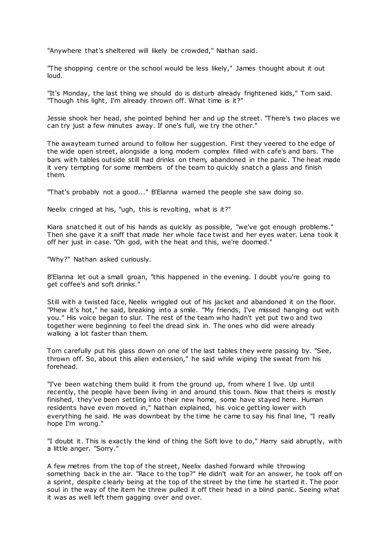"Anywhere that's sheltered will likely be crowded," Nathan said.

"The shopping centre or the school would be less likely," James thought about it out loud.

"It's Monday, the last thing we should do is disturb already frightened kids," Tom said. "Though this light, I'm already thrown off. What time is it?"

Jessie shook her head, she pointed behind her and up the street. "There's two places we can try just a few minutes away. If one's full, we try the other."

The awayteam turned around to follow her suggestion. First they veered to the edge of the wide open street, alongside a long modern complex filled with cafe's and bars. The bars with tables outside still had drinks on them, abandoned in the panic . The heat made it very tempting for some members of the team to quickly snatch a glass and finish them.

"That's probably not a good..." B'Elanna warned the people she saw doing so.

Neelix cringed at his, "ugh, this is revolting, what is it?"

Kiara snatched it out of his hands as quickly as possible, "we've got enough problems." Then she gave it a sniff that made her whole face twist and her eyes water. Lena took it off her just in case. "Oh god, with the heat and this, we're doomed."

"Why?" Nathan asked curiously.

B'Elanna let out a small groan, "this happened in the evening. I doubt you're going to get coffee's and soft drinks."

Still with a twisted face, Neelix wriggled out of his jacket and abandoned it on the floor. "Phew it's hot," he said, breaking into a smile. "My friends, I've missed hanging out with you." His voice began to slur. The rest of the team who hadn't yet put two and two together were beginning to feel the dread sink in. The ones who did were already walking a lot faster than them.

Tom carefully put his glass down on one of the last tables they were passing by. "See, thrown off. So, about this alien extension," he said while wiping the sweat from his forehead.

"I've been watching them build it from the ground up, from where I live. Up until recently, the people have been living in and around this town. Now that theirs is mostly finished, they've been settling into their new home, some have stayed here. Human residents have even moved in," Nathan explained, his voice getting lower with everything he said. He was downbeat by the time he came to say his final line, "I really hope I'm wrong."

"I doubt it. This is exactly the kind of thing the Soft love to do," Harry said abruptly, with a little anger. "Sorry."

A few metres from the top of the street, Neelix dashed forward while throwing something back in the air. "Race to the top?" He didn't wait for an answer, he took off on a sprint, despite clearly being at the top of the street by the time he started it. The poor soul in the way of the item he threw pulled it off their head in a blind panic. Seeing what it was as well left them gagging over and over.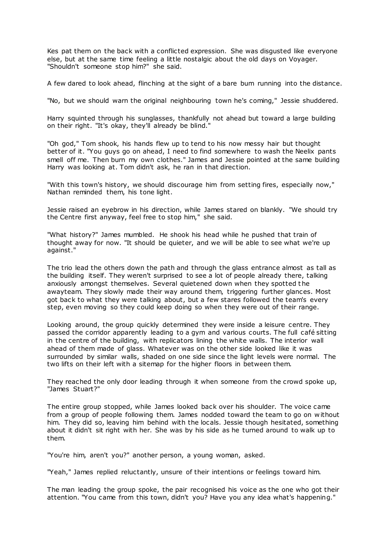Kes pat them on the back with a conflicted expression. She was disgusted like everyone else, but at the same time feeling a little nostalgic about the old days on Voyager. "Shouldn't someone stop him?" she said.

A few dared to look ahead, flinching at the sight of a bare bum running into the distance.

"No, but we should warn the original neighbouring town he's coming," Jessie shuddered.

Harry squinted through his sunglasses, thankfully not ahead but toward a large building on their right. "It's okay, they'll already be blind."

"Oh god," Tom shook, his hands flew up to tend to his now messy hair but thought better of it. "You guys go on ahead, I need to find somewhere to wash the Neelix pants smell off me. Then burn my own clothes." James and Jessie pointed at the same building Harry was looking at. Tom didn't ask, he ran in that direction.

"With this town's history, we should discourage him from setting fires, especially now," Nathan reminded them, his tone light.

Jessie raised an eyebrow in his direction, while James stared on blankly. "We should try the Centre first anyway, feel free to stop him," she said.

"What history?" James mumbled. He shook his head while he pushed that train of thought away for now. "It should be quieter, and we will be able to see what we're up against."

The trio lead the others down the path and through the glass entrance almost as tall as the building itself. They weren't surprised to see a lot of people already there, talking anxiously amongst themselves. Several quietened down when they spotted t he awayteam. They slowly made their way around them, triggering further glances. Most got back to what they were talking about, but a few stares followed the team's every step, even moving so they could keep doing so when they were out of their range.

Looking around, the group quickly determined they were inside a leisure centre. They passed the corridor apparently leading to a gym and various courts. The full café sitting in the centre of the building, with replicators lining the white walls. The interior wall ahead of them made of glass. Whatever was on the other side looked like it was surrounded by similar walls, shaded on one side since the light levels were normal. The two lifts on their left with a sitemap for the higher floors in between them.

They reached the only door leading through it when someone from the crowd spoke up, "James Stuart?"

The entire group stopped, while James looked back over his shoulder. The voice came from a group of people following them. James nodded toward the team to go on w ithout him. They did so, leaving him behind with the locals. Jessie though hesitated, something about it didn't sit right with her. She was by his side as he turned around to walk up to them.

"You're him, aren't you?" another person, a young woman, asked.

"Yeah," James replied reluctantly, unsure of their intentions or feelings toward him.

The man leading the group spoke, the pair recognised his voice as the one who got their attention. "You came from this town, didn't you? Have you any idea what's happening."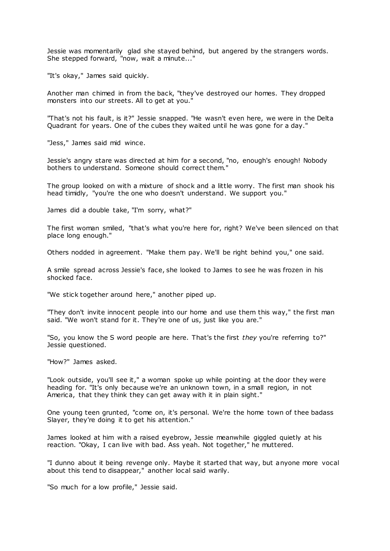Jessie was momentarily glad she stayed behind, but angered by the strangers words. She stepped forward, "now, wait a minute..."

"It's okay," James said quickly.

Another man chimed in from the back, "they've destroyed our homes. They dropped monsters into our streets. All to get at you."

"That's not his fault, is it?" Jessie snapped. "He wasn't even here, we were in the Delta Quadrant for years. One of the cubes they waited until he was gone for a day."

"Jess," James said mid wince.

Jessie's angry stare was directed at him for a second, "no, enough's enough! Nobody bothers to understand. Someone should correct them.

The group looked on with a mixture of shock and a little worry. The first man shook his head timidly, "you're the one who doesn't understand. We support you."

James did a double take, "I'm sorry, what?"

The first woman smiled, "that's what you're here for, right? We've been silenced on that place long enough."

Others nodded in agreement. "Make them pay. We'll be right behind you," one said.

A smile spread across Jessie's face, she looked to James to see he was frozen in his shocked face.

"We stick together around here," another piped up.

"They don't invite innocent people into our home and use them this way," the first man said. "We won't stand for it. They're one of us, just like you are."

"So, you know the S word people are here. That's the first *they* you're referring to?" Jessie questioned.

"How?" James asked.

"Look outside, you'll see it," a woman spoke up while pointing at the door they were heading for. "It's only because we're an unknown town, in a small region, in not America, that they think they can get away with it in plain sight."

One young teen grunted, "come on, it's personal. We're the home town of thee badass Slayer, they're doing it to get his attention."

James looked at him with a raised eyebrow, Jessie meanwhile giggled quietly at his reaction. "Okay, I can live with bad. Ass yeah. Not together," he muttered.

"I dunno about it being revenge only. Maybe it started that way, but anyone more vocal about this tend to disappear," another local said warily.

"So much for a low profile," Jessie said.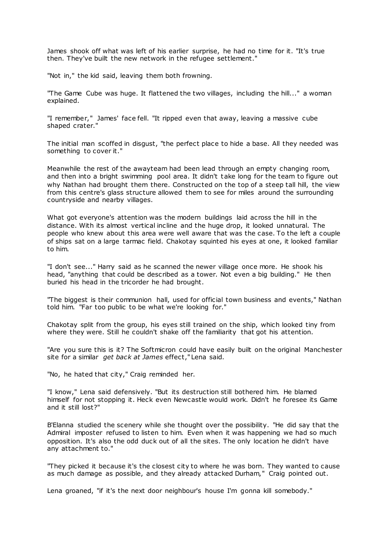James shook off what was left of his earlier surprise, he had no time for it. "It's true then. They've built the new network in the refugee settlement."

"Not in," the kid said, leaving them both frowning.

"The Game Cube was huge. It flattened the two villages, including the hill..." a woman explained.

"I remember," James' face fell. "It ripped even that away, leaving a massive cube shaped crater."

The initial man scoffed in disgust, "the perfect place to hide a base. All they needed was something to cover it."

Meanwhile the rest of the awayteam had been lead through an empty changing room, and then into a bright swimming pool area. It didn't take long for the team to figure out why Nathan had brought them there. Constructed on the top of a steep tall hill, the view from this centre's glass structure allowed them to see for miles around the surrounding countryside and nearby villages.

What got everyone's attention was the modern buildings laid across the hill in the distance. With its almost vertical incline and the huge drop, it looked unnatural. The people who knew about this area were well aware that was the case. To the left a couple of ships sat on a large tarmac field. Chakotay squinted his eyes at one, it looked familiar to him.

"I don't see..." Harry said as he scanned the newer village once more. He shook his head, "anything that could be described as a tower. Not even a big building." He then buried his head in the tricorder he had brought.

"The biggest is their communion hall, used for official town business and events," Nathan told him. "Far too public to be what we're looking for."

Chakotay split from the group, his eyes still trained on the ship, which looked tiny from where they were. Still he couldn't shake off the familiarity that got his attention.

"Are you sure this is it? The Softmicron could have easily built on the original Manchester site for a similar *get back at James* effect," Lena said.

"No, he hated that city," Craig reminded her.

"I know," Lena said defensively. "But its destruction still bothered him. He blamed himself for not stopping it. Heck even Newcastle would work. Didn't he foresee its Game and it still lost?"

B'Elanna studied the scenery while she thought over the possibility. "He did say that the Admiral imposter refused to listen to him. Even when it was happening we had so much opposition. It's also the odd duck out of all the sites. The only location he didn't have any attachment to."

"They picked it because it's the closest city to where he was born. They wanted to cause as much damage as possible, and they already attacked Durham," Craig pointed out.

Lena groaned, "if it's the next door neighbour's house I'm gonna kill somebody."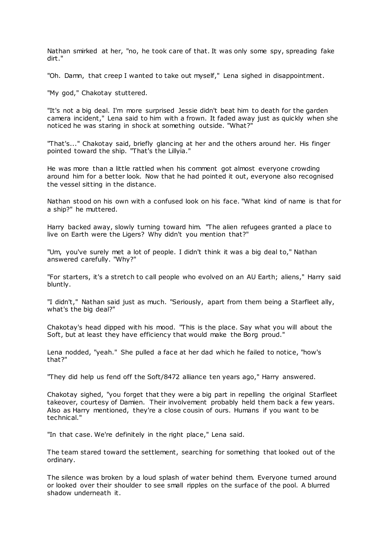Nathan smirked at her, "no, he took care of that. It was only some spy, spreading fake dirt."

"Oh. Damn, that creep I wanted to take out myself," Lena sighed in disappointment.

"My god," Chakotay stuttered.

"It's not a big deal. I'm more surprised Jessie didn't beat him to death for the garden camera incident," Lena said to him with a frown. It faded away just as quickly when she noticed he was staring in shock at something outside. "What?"

"That's..." Chakotay said, briefly glancing at her and the others around her. His finger pointed toward the ship. "That's the Lillyia."

He was more than a little rattled when his comment got almost everyone crowding around him for a better look. Now that he had pointed it out, everyone also recognised the vessel sitting in the distance.

Nathan stood on his own with a confused look on his face. "What kind of name is that for a ship?" he muttered.

Harry backed away, slowly turning toward him. "The alien refugees granted a place to live on Earth were the Ligers? Why didn't you mention that?"

"Um, you've surely met a lot of people. I didn't think it was a big deal to," Nathan answered carefully. "Why?"

"For starters, it's a stretch to call people who evolved on an AU Earth; aliens," Harry said bluntly.

"I didn't," Nathan said just as much. "Seriously, apart from them being a Starfleet ally, what's the big deal?"

Chakotay's head dipped with his mood. "This is the place. Say what you will about the Soft, but at least they have efficiency that would make the Borg proud."

Lena nodded, "yeah." She pulled a face at her dad which he failed to notice, "how's that?"

"They did help us fend off the Soft/8472 alliance ten years ago," Harry answered.

Chakotay sighed, "you forget that they were a big part in repelling the original Starfleet takeover, courtesy of Damien. Their involvement probably held them back a few years. Also as Harry mentioned, they're a close cousin of ours. Humans if you want to be technical."

"In that case. We're definitely in the right place," Lena said.

The team stared toward the settlement, searching for something that looked out of the ordinary.

The silence was broken by a loud splash of water behind them. Everyone turned around or looked over their shoulder to see small ripples on the surface of the pool. A blurred shadow underneath it.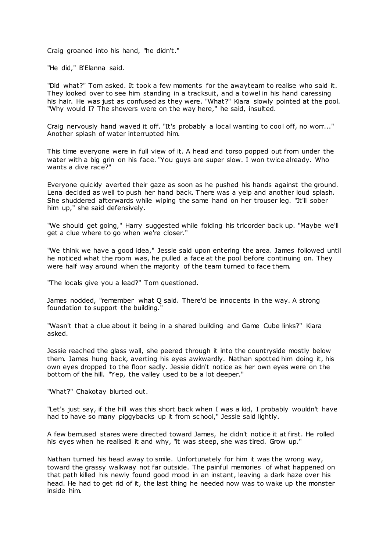Craig groaned into his hand, "he didn't."

"He did," B'Elanna said.

"Did what?" Tom asked. It took a few moments for the awayteam to realise who said it. They looked over to see him standing in a tracksuit, and a towel in his hand caressing his hair. He was just as confused as they were. "What?" Kiara slowly pointed at the pool. "Why would I? The showers were on the way here," he said, insulted.

Craig nervously hand waved it off. "It's probably a local wanting to cool off, no worr..." Another splash of water interrupted him.

This time everyone were in full view of it. A head and torso popped out from under the water with a big grin on his face. "You guys are super slow. I won twice already. Who wants a dive race?"

Everyone quickly averted their gaze as soon as he pushed his hands against the ground. Lena decided as well to push her hand back. There was a yelp and another loud splash. She shuddered afterwards while wiping the same hand on her trouser leg. "It'll sober him up," she said defensively.

"We should get going," Harry suggested while folding his tricorder back up. "Maybe we'll get a clue where to go when we're closer."

"We think we have a good idea," Jessie said upon entering the area. James followed until he noticed what the room was, he pulled a face at the pool before continuing on. They were half way around when the majority of the team turned to face them.

"The locals give you a lead?" Tom questioned.

James nodded, "remember what Q said. There'd be innocents in the way. A strong foundation to support the building."

"Wasn't that a clue about it being in a shared building and Game Cube links?" Kiara asked.

Jessie reached the glass wall, she peered through it into the countryside mostly below them. James hung back, averting his eyes awkwardly. Nathan spotted him doing it, his own eyes dropped to the floor sadly. Jessie didn't notice as her own eyes were on the bottom of the hill. "Yep, the valley used to be a lot deeper."

"What?" Chakotay blurted out.

"Let's just say, if the hill was this short back when I was a kid, I probably wouldn't have had to have so many piggybacks up it from school," Jessie said lightly.

A few bemused stares were directed toward James, he didn't notice it at first. He rolled his eyes when he realised it and why, "it was steep, she was tired. Grow up."

Nathan turned his head away to smile. Unfortunately for him it was the wrong way, toward the grassy walkway not far outside. The painful memories of what happened on that path killed his newly found good mood in an instant, leaving a dark haze over his head. He had to get rid of it, the last thing he needed now was to wake up the monster inside him.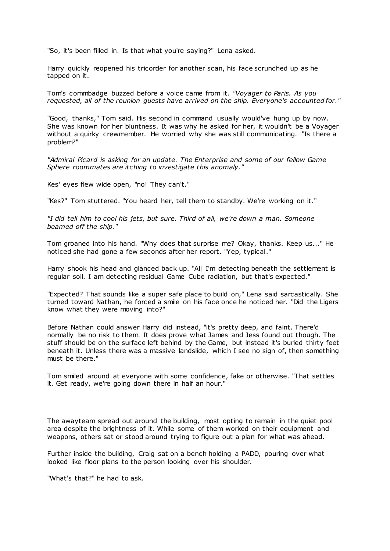"So, it's been filled in. Is that what you're saying?" Lena asked.

Harry quickly reopened his tricorder for another scan, his face scrunched up as he tapped on it.

Tom's commbadge buzzed before a voice came from it. *"Voyager to Paris. As you requested, all of the reunion guests have arrived on the ship. Everyone's accounted for."*

"Good, thanks," Tom said. His second in command usually would've hung up by now. She was known for her bluntness. It was why he asked for her, it wouldn't be a Voyager without a quirky crewmember. He worried why she was still communicating. "Is there a problem?"

*"Admiral Picard is asking for an update. The Enterprise and some of our fellow Game Sphere roommates are itching to investigate this anomaly."*

Kes' eyes flew wide open, "no! They can't."

"Kes?" Tom stuttered. "You heard her, tell them to standby. We're working on it."

*"I did tell him to cool his jets, but sure. Third of all, we're down a man. Someone beamed off the ship."*

Tom groaned into his hand. "Why does that surprise me? Okay, thanks. Keep us..." He noticed she had gone a few seconds after her report. "Yep, typical."

Harry shook his head and glanced back up. "All I'm detecting beneath the settlement is regular soil. I am detecting residual Game Cube radiation, but that's expected."

"Expected? That sounds like a super safe place to build on," Lena said sarcastically. She turned toward Nathan, he forced a smile on his face once he noticed her. "Did the Ligers know what they were moving into?"

Before Nathan could answer Harry did instead, "it's pretty deep, and faint. There'd normally be no risk to them. It does prove what James and Jess found out though. The stuff should be on the surface left behind by the Game, but instead it's buried thirty feet beneath it. Unless there was a massive landslide, which I see no sign of, then something must be there."

Tom smiled around at everyone with some confidence, fake or otherwise. "That settles it. Get ready, we're going down there in half an hour."

The awayteam spread out around the building, most opting to remain in the quiet pool area despite the brightness of it. While some of them worked on their equipment and weapons, others sat or stood around trying to figure out a plan for what was ahead.

Further inside the building, Craig sat on a bench holding a PADD, pouring over what looked like floor plans to the person looking over his shoulder.

"What's that?" he had to ask.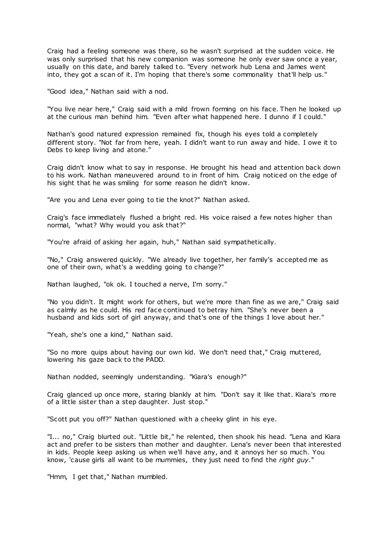Craig had a feeling someone was there, so he wasn't surprised at the sudden voice. He was only surprised that his new companion was someone he only ever saw once a year, usually on this date, and barely talked to. "Every network hub Lena and James went into, they got a scan of it. I'm hoping that there's some commonality that'll help us."

"Good idea," Nathan said with a nod.

"You live near here," Craig said with a mild frown forming on his face. Then he looked up at the curious man behind him. "Even after what happened here. I dunno if I could."

Nathan's good natured expression remained fix, though his eyes told a completely different story. "Not far from here, yeah. I didn't want to run away and hide. I owe it to Debs to keep living and atone."

Craig didn't know what to say in response. He brought his head and attention back down to his work. Nathan maneuvered around to in front of him. Craig noticed on the edge of his sight that he was smiling for some reason he didn't know.

"Are you and Lena ever going to tie the knot?" Nathan asked.

Craig's face immediately flushed a bright red. His voice raised a few notes higher than normal, "what? Why would you ask that?"

"You're afraid of asking her again, huh," Nathan said sympathetically.

"No," Craig answered quickly. "We already live together, her family's accepted me as one of their own, what's a wedding going to change?"

Nathan laughed, "ok ok. I touched a nerve, I'm sorry."

"No you didn't. It might work for others, but we're more than fine as we are," Craig said as calmly as he could. His red face continued to betray him. "She's never been a husband and kids sort of girl anyway, and that's one of the things I love about her."

"Yeah, she's one a kind," Nathan said.

"So no more quips about having our own kid. We don't need that," Craig muttered, lowering his gaze back to the PADD.

Nathan nodded, seemingly understanding. "Kiara's enough?"

Craig glanced up once more, staring blankly at him. "Don't say it like that. Kiara's more of a little sister than a step daughter. Just stop."

"Scott put you off?" Nathan questioned with a cheeky glint in his eye.

"I... no," Craig blurted out. "Little bit," he relented, then shook his head. "Lena and Kiara act and prefer to be sisters than mother and daughter. Lena's never been that interested in kids. People keep asking us when we'll have any, and it annoys her so much. You know, 'cause girls all want to be mummies, they just need to find the *right guy*."

"Hmm, I get that," Nathan mumbled.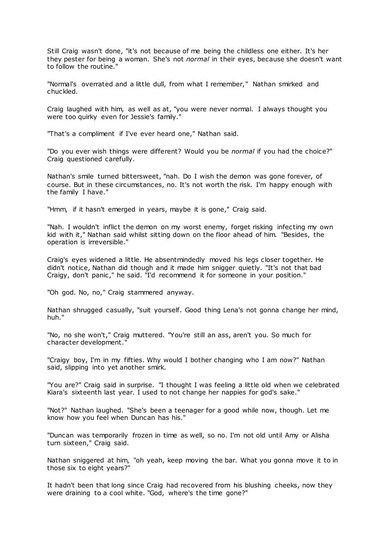Still Craig wasn't done, "it's not because of me being the childless one either. It's her they pester for being a woman. She's not *normal* in their eyes, because she doesn't want to follow the routine."

"Normal's overrated and a little dull, from what I remember," Nathan smirked and chuckled.

Craig laughed with him, as well as at, "you were never normal. I always thought you were too quirky even for Jessie's family."

"That's a compliment if I've ever heard one," Nathan said.

"Do you ever wish things were different? Would you be *normal* if you had the choice?" Craig questioned carefully.

Nathan's smile turned bittersweet, "nah. Do I wish the demon was gone forever, of course. But in these circumstances, no. It's not worth the risk. I'm happy enough with the family I have."

"Hmm, if it hasn't emerged in years, maybe it is gone," Craig said.

"Nah. I wouldn't inflict the demon on my worst enemy, forget risking infecting my own kid with it," Nathan said whilst sitting down on the floor ahead of him. "Besides, the operation is irreversible."

Craig's eyes widened a little. He absentmindedly moved his legs closer together. He didn't notice, Nathan did though and it made him snigger quietly. "It's not that bad Craigy, don't panic," he said. "I'd recommend it for someone in your position."

"Oh god. No, no," Craig stammered anyway.

Nathan shrugged casually, "suit yourself. Good thing Lena's not gonna change her mind, huh."

"No, no she won't," Craig muttered. "You're still an ass, aren't you. So much for character development."

"Craigy boy, I'm in my fifties. Why would I bother changing who I am now?" Nathan said, slipping into yet another smirk.

"You are?" Craig said in surprise. "I thought I was feeling a little old when we celebrated Kiara's sixteenth last year. I used to not change her nappies for god's sake."

"Not?" Nathan laughed. "She's been a teenager for a good while now, though. Let me know how you feel when Duncan has his."

"Duncan was temporarily frozen in time as well, so no. I'm not old until Amy or Alisha turn sixteen," Craig said.

Nathan sniggered at him, "oh yeah, keep moving the bar. What you gonna move it to in those six to eight years?"

It hadn't been that long since Craig had recovered from his blushing cheeks, now they were draining to a cool white. "God, where's the time gone?"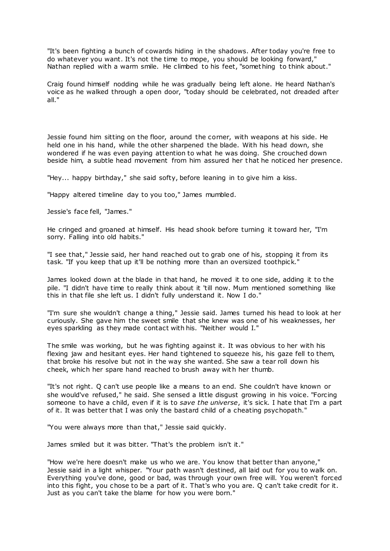"It's been fighting a bunch of cowards hiding in the shadows. After today you're free to do whatever you want. It's not the time to mope, you should be looking forward," Nathan replied with a warm smile. He climbed to his feet, "something to think about."

Craig found himself nodding while he was gradually being left alone. He heard Nathan's voice as he walked through a open door, "today should be celebrated, not dreaded after all."

Jessie found him sitting on the floor, around the corner, with weapons at his side. He held one in his hand, while the other sharpened the blade. With his head down, she wondered if he was even paying attention to what he was doing. She crouched down beside him, a subtle head movement from him assured her that he noticed her presence.

"Hey... happy birthday," she said softy, before leaning in to give him a kiss.

"Happy altered timeline day to you too," James mumbled.

Jessie's face fell, "James."

He cringed and groaned at himself. His head shook before turning it toward her, "I'm sorry. Falling into old habits."

"I see that," Jessie said, her hand reached out to grab one of his, stopping it from its task. "If you keep that up it'll be nothing more than an oversized toothpick."

James looked down at the blade in that hand, he moved it to one side, adding it to the pile. "I didn't have time to really think about it 'till now. Mum mentioned something like this in that file she left us. I didn't fully understand it. Now I do."

"I'm sure she wouldn't change a thing," Jessie said. James turned his head to look at her curiously. She gave him the sweet smile that she knew was one of his weaknesses, her eyes sparkling as they made contact with his. "Neither would I."

The smile was working, but he was fighting against it. It was obvious to her with his flexing jaw and hesitant eyes. Her hand tightened to squeeze his, his gaze fell to them, that broke his resolve but not in the way she wanted. She saw a tear roll down his cheek, which her spare hand reached to brush away with her thumb.

"It's not right. Q can't use people like a means to an end. She couldn't have known or she would've refused," he said. She sensed a little disgust growing in his voice. "Forcing someone to have a child, even if it is to *save the universe*, it's sick. I hate that I'm a part of it. It was better that I was only the bastard child of a cheating psychopath."

"You were always more than that," Jessie said quickly.

James smiled but it was bitter. "That's the problem isn't it."

"How we're here doesn't make us who we are. You know that better than anyone," Jessie said in a light whisper. "Your path wasn't destined, all laid out for you to walk on. Everything you've done, good or bad, was through your own free will. You weren't forced into this fight, you chose to be a part of it. That's who you are. Q can't take credit for it. Just as you can't take the blame for how you were born."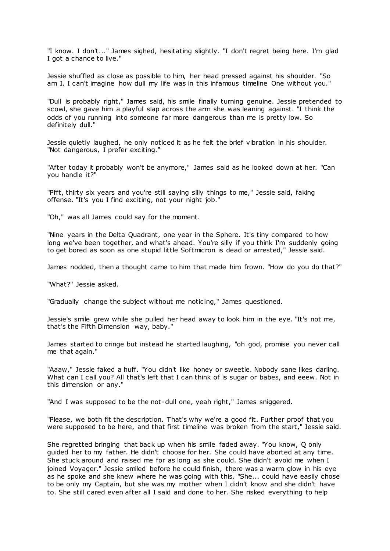"I know. I don't..." James sighed, hesitating slightly. "I don't regret being here. I'm glad I got a chance to live."

Jessie shuffled as close as possible to him, her head pressed against his shoulder. "So am I. I can't imagine how dull my life was in this infamous timeline One without you."

"Dull is probably right," James said, his smile finally turning genuine. Jessie pretended to scowl, she gave him a playful slap across the arm she was leaning against. "I think the odds of you running into someone far more dangerous than me is pretty low. So definitely dull."

Jessie quietly laughed, he only noticed it as he felt the brief vibration in his shoulder. "Not dangerous, I prefer exciting."

"After today it probably won't be anymore," James said as he looked down at her. "Can you handle it?"

"Pfft, thirty six years and you're still saying silly things to me," Jessie said, faking offense. "It's you I find exciting, not your night job."

"Oh," was all James could say for the moment.

"Nine years in the Delta Quadrant, one year in the Sphere. It's tiny compared to how long we've been together, and what's ahead. You're silly if you think I'm suddenly going to get bored as soon as one stupid little Softmicron is dead or arrested," Jessie said.

James nodded, then a thought came to him that made him frown. "How do you do that?"

"What?" Jessie asked.

"Gradually change the subject without me noticing," James questioned.

Jessie's smile grew while she pulled her head away to look him in the eye. "It's not me, that's the Fifth Dimension way, baby."

James started to cringe but instead he started laughing, "oh god, promise you never call me that again."

"Aaaw," Jessie faked a huff. "You didn't like honey or sweetie. Nobody sane likes darling. What can I call you? All that's left that I can think of is sugar or babes, and eeew. Not in this dimension or any."

"And I was supposed to be the not -dull one, yeah right," James sniggered.

"Please, we both fit the description. That's why we're a good fit. Further proof that you were supposed to be here, and that first timeline was broken from the start," Jessie said.

She regretted bringing that back up when his smile faded away. "You know, Q only guided her to my father. He didn't choose for her. She could have aborted at any time. She stuck around and raised me for as long as she could. She didn't avoid me when I joined Voyager." Jessie smiled before he could finish, there was a warm glow in his eye as he spoke and she knew where he was going with this. "She... could have easily chose to be only my Captain, but she was my mother when I didn't know and she didn't have to. She still cared even after all I said and done to her. She risked everything to help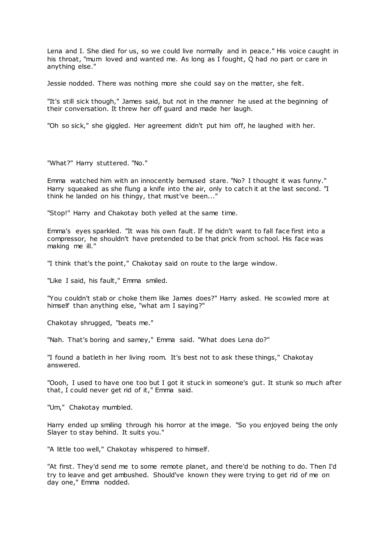Lena and I. She died for us, so we could live normally and in peace." His voice caught in his throat, "mum loved and wanted me. As long as I fought, Q had no part or care in anything else."

Jessie nodded. There was nothing more she could say on the matter, she felt.

"It's still sick though," James said, but not in the manner he used at the beginning of their conversation. It threw her off guard and made her laugh.

"Oh so sick," she giggled. Her agreement didn't put him off, he laughed with her.

"What?" Harry stuttered. "No."

Emma watched him with an innocently bemused stare. "No? I thought it was funny." Harry squeaked as she flung a knife into the air, only to catch it at the last second. "I think he landed on his thingy, that must've been..."

"Stop!" Harry and Chakotay both yelled at the same time.

Emma's eyes sparkled. "It was his own fault. If he didn't want to fall face first into a compressor, he shouldn't have pretended to be that prick from school. His face was making me ill."

"I think that's the point," Chakotay said on route to the large window.

"Like I said, his fault," Emma smiled.

"You couldn't stab or choke them like James does?" Harry asked. He scowled more at himself than anything else, "what am I saying?"

Chakotay shrugged, "beats me."

"Nah. That's boring and samey," Emma said. "What does Lena do?"

"I found a batleth in her living room. It's best not to ask these things," Chakotay answered.

"Oooh, I used to have one too but I got it stuck in someone's gut. It stunk so much after that, I could never get rid of it," Emma said.

"Um," Chakotay mumbled.

Harry ended up smiling through his horror at the image. "So you enjoyed being the only Slayer to stay behind. It suits you."

"A little too well," Chakotay whispered to himself.

"At first. They'd send me to some remote planet, and there'd be nothing to do. Then I'd try to leave and get ambushed. Should've known they were trying to get rid of me on day one," Emma nodded.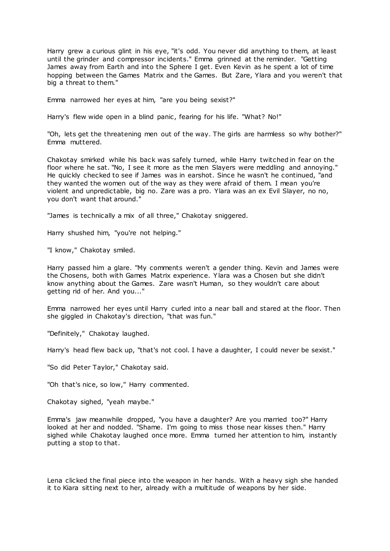Harry grew a curious glint in his eye, "it's odd. You never did anything to them, at least until the grinder and compressor incidents." Emma grinned at the reminder. "Getting James away from Earth and into the Sphere I get. Even Kevin as he spent a lot of time hopping between the Games Matrix and the Games. But Zare, Ylara and you weren't that big a threat to them."

Emma narrowed her eyes at him, "are you being sexist?"

Harry's flew wide open in a blind panic, fearing for his life. "What? No!"

"Oh, lets get the threatening men out of the way. The girls are harmless so why bother?" Emma muttered.

Chakotay smirked while his back was safely turned, while Harry twitched in fear on the floor where he sat. "No, I see it more as the men Slayers were meddling and annoying." He quickly checked to see if James was in earshot. Since he wasn't he continued, "and they wanted the women out of the way as they were afraid of them. I mean you're violent and unpredictable, big no. Zare was a pro. Ylara was an ex Evil Slayer, no no, you don't want that around."

"James is technically a mix of all three," Chakotay sniggered.

Harry shushed him, "you're not helping."

"I know," Chakotay smiled.

Harry passed him a glare. "My comments weren't a gender thing. Kevin and James were the Chosens, both with Games Matrix experience. Ylara was a Chosen but she didn't know anything about the Games. Zare wasn't Human, so they wouldn't care about getting rid of her. And you..."

Emma narrowed her eyes until Harry curled into a near ball and stared at the floor. Then she giggled in Chakotay's direction, "that was fun."

"Definitely," Chakotay laughed.

Harry's head flew back up, "that's not cool. I have a daughter, I could never be sexist."

"So did Peter Taylor," Chakotay said.

"Oh that's nice, so low," Harry commented.

Chakotay sighed, "yeah maybe."

Emma's jaw meanwhile dropped, "you have a daughter? Are you married too?" Harry looked at her and nodded. "Shame. I'm going to miss those near kisses then." Harry sighed while Chakotay laughed once more. Emma turned her attention to him, instantly putting a stop to that.

Lena clicked the final piece into the weapon in her hands. With a heavy sigh she handed it to Kiara sitting next to her, already with a multitude of weapons by her side.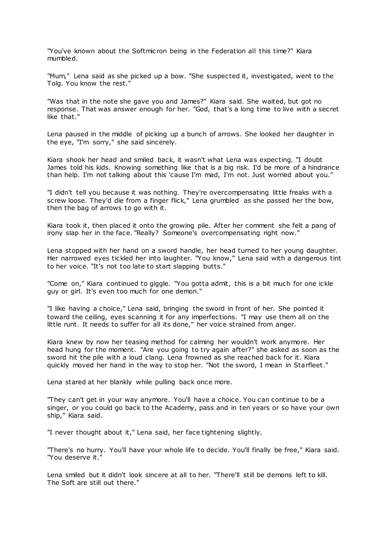"You've known about the Softmicron being in the Federation all this time?" Kiara mumbled.

"Mum," Lena said as she picked up a bow. "She suspected it, investigated, went to the Tolg. You know the rest."

"Was that in the note she gave you and James?" Kiara said. She waited, but got no response. That was answer enough for her. "God, that's a long time to live with a secret like that."

Lena paused in the middle of picking up a bunch of arrows. She looked her daughter in the eye, "I'm sorry," she said sincerely.

Kiara shook her head and smiled back, it wasn't what Lena was expecting. "I doubt James told his kids. Knowing something like that is a big risk. I'd be more of a hindrance than help. I'm not talking about this 'cause I'm mad, I'm not. Just worried about you."

"I didn't tell you because it was nothing. They're overcompensating little freaks with a screw loose. They'd die from a finger flick," Lena grumbled as she passed her the bow, then the bag of arrows to go with it.

Kiara took it, then placed it onto the growing pile. After her comment she felt a pang of irony slap her in the face. "Really? Someone's overcompensating right now."

Lena stopped with her hand on a sword handle, her head turned to her young daughter. Her narrowed eyes tickled her into laughter. "You know," Lena said with a dangerous tint to her voice. "It's not too late to start slapping butts."

"Come on," Kiara continued to giggle. "You gotta admit, this is a bit much for one ickle guy or girl. It's even too much for one demon."

"I like having a choice," Lena said, bringing the sword in front of her. She pointed it toward the ceiling, eyes scanning it for any imperfections. "I may use them all on the little runt. It needs to suffer for all its done," her voice strained from anger.

Kiara knew by now her teasing method for calming her wouldn't work anymore. Her head hung for the moment. "Are you going to try again after?" she asked as soon as the sword hit the pile with a loud clang. Lena frowned as she reached back for it. Kiara quickly moved her hand in the way to stop her. "Not the sword, I mean in Starfleet."

Lena stared at her blankly while pulling back once more.

"They can't get in your way anymore. You'll have a choice. You can continue to be a singer, or you could go back to the Academy, pass and in ten years or so have your own ship," Kiara said.

"I never thought about it," Lena said, her face tightening slightly.

"There's no hurry. You'll have your whole life to decide. You'll finally be free," Kiara said. "You deserve it."

Lena smiled but it didn't look sincere at all to her. "There'll still be demons left to kill. The Soft are still out there."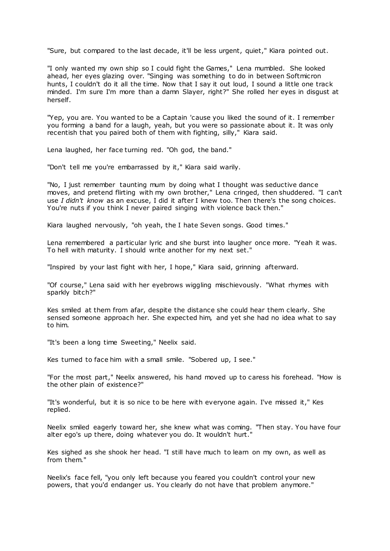"Sure, but compared to the last decade, it'll be less urgent, quiet," Kiara pointed out.

"I only wanted my own ship so I could fight the Games," Lena mumbled. She looked ahead, her eyes glazing over. "Singing was something to do in between Softmicron hunts, I couldn't do it all the time. Now that I say it out loud, I sound a little one track minded. I'm sure I'm more than a damn Slayer, right?" She rolled her eyes in disgust at herself.

"Yep, you are. You wanted to be a Captain 'cause you liked the sound of it. I remember you forming a band for a laugh, yeah, but you were so passionate about it. It was only recentish that you paired both of them with fighting, silly," Kiara said.

Lena laughed, her face turning red. "Oh god, the band."

"Don't tell me you're embarrassed by it," Kiara said warily.

"No, I just remember taunting mum by doing what I thought was seductive dance moves, and pretend flirting with my own brother," Lena cringed, then shuddered. "I can't use *I didn't know* as an excuse, I did it after I knew too. Then there's the song choices. You're nuts if you think I never paired singing with violence back then."

Kiara laughed nervously, "oh yeah, the I hate Seven songs. Good times."

Lena remembered a particular lyric and she burst into laugher once more. "Yeah it was. To hell with maturity. I should write another for my next set."

"Inspired by your last fight with her, I hope," Kiara said, grinning afterward.

"Of course," Lena said with her eyebrows wiggling mischievously. "What rhymes with sparkly bitch?"

Kes smiled at them from afar, despite the distance she could hear them clearly. She sensed someone approach her. She expected him, and yet she had no idea what to say to him.

"It's been a long time Sweeting," Neelix said.

Kes turned to face him with a small smile. "Sobered up, I see."

"For the most part," Neelix answered, his hand moved up to caress his forehead. "How is the other plain of existence?"

"It's wonderful, but it is so nice to be here with everyone again. I've missed it," Kes replied.

Neelix smiled eagerly toward her, she knew what was coming. "Then stay. You have four alter ego's up there, doing whatever you do. It wouldn't hurt."

Kes sighed as she shook her head. "I still have much to learn on my own, as well as from them."

Neelix's face fell, "you only left because you feared you couldn't control your new powers, that you'd endanger us. You clearly do not have that problem anymore."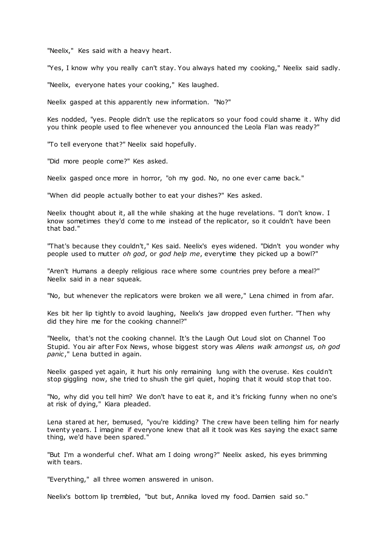"Neelix," Kes said with a heavy heart.

"Yes, I know why you really can't stay. You always hated my cooking," Neelix said sadly.

"Neelix, everyone hates your cooking," Kes laughed.

Neelix gasped at this apparently new information. "No?"

Kes nodded, "yes. People didn't use the replicators so your food could shame it. Why did you think people used to flee whenever you announced the Leola Flan was ready?"

"To tell everyone that?" Neelix said hopefully.

"Did more people come?" Kes asked.

Neelix gasped once more in horror, "oh my god. No, no one ever came back."

"When did people actually bother to eat your dishes?" Kes asked.

Neelix thought about it, all the while shaking at the huge revelations. "I don't know. I know sometimes they'd come to me instead of the replicator, so it couldn't have been that bad."

"That's because they couldn't," Kes said. Neelix's eyes widened. "Didn't you wonder why people used to mutter *oh god*, or *god help me*, everytime they picked up a bowl?"

"Aren't Humans a deeply religious race where some countries prey before a meal?" Neelix said in a near squeak.

"No, but whenever the replicators were broken we all were," Lena chimed in from afar.

Kes bit her lip tightly to avoid laughing, Neelix's jaw dropped even further. "Then why did they hire me for the cooking channel?"

"Neelix, that's not the cooking channel. It's the Laugh Out Loud slot on Channel Too Stupid. You air after Fox News, whose biggest story was *Aliens walk amongst us, oh god panic*," Lena butted in again.

Neelix gasped yet again, it hurt his only remaining lung with the overuse. Kes couldn't stop giggling now, she tried to shush the girl quiet, hoping that it would stop that too.

"No, why did you tell him? We don't have to eat it, and it's fricking funny when no one's at risk of dying," Kiara pleaded.

Lena stared at her, bemused, "you're kidding? The crew have been telling him for nearly twenty years. I imagine if everyone knew that all it took was Kes saying the exact same thing, we'd have been spared."

"But I'm a wonderful chef. What am I doing wrong?" Neelix asked, his eyes brimming with tears.

"Everything," all three women answered in unison.

Neelix's bottom lip trembled, "but but, Annika loved my food. Damien said so."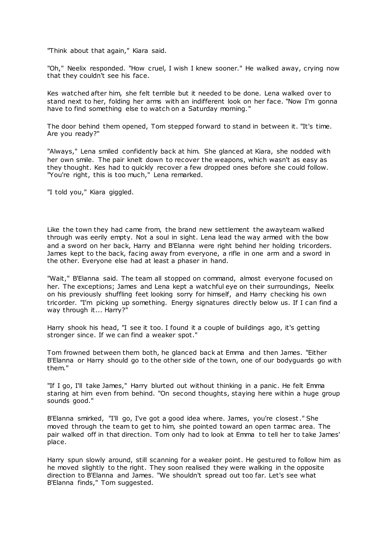"Think about that again," Kiara said.

"Oh," Neelix responded. "How cruel, I wish I knew sooner." He walked away, crying now that they couldn't see his face.

Kes watched after him, she felt terrible but it needed to be done. Lena walked over to stand next to her, folding her arms with an indifferent look on her face. "Now I'm gonna have to find something else to watch on a Saturday morning."

The door behind them opened, Tom stepped forward to stand in between it. "It's time. Are you ready?"

"Always," Lena smiled confidently back at him. She glanced at Kiara, she nodded with her own smile. The pair knelt down to recover the weapons, which wasn't as easy as they thought. Kes had to quickly recover a few dropped ones before she could follow. "You're right, this is too much," Lena remarked.

"I told you," Kiara giggled.

Like the town they had came from, the brand new settlement the awayteam walked through was eerily empty. Not a soul in sight. Lena lead the way armed with the bow and a sword on her back, Harry and B'Elanna were right behind her holding tricorders. James kept to the back, facing away from everyone, a rifle in one arm and a sword in the other. Everyone else had at least a phaser in hand.

"Wait," B'Elanna said. The team all stopped on command, almost everyone focused on her. The exceptions; James and Lena kept a watchful eye on their surroundings, Neelix on his previously shuffling feet looking sorry for himself, and Harry checking his own tricorder. "I'm picking up something. Energy signatures directly below us. If I can find a way through it... Harry?"

Harry shook his head, "I see it too. I found it a couple of buildings ago, it's getting stronger since. If we can find a weaker spot."

Tom frowned between them both, he glanced back at Emma and then James. "Either B'Elanna or Harry should go to the other side of the town, one of our bodyguards go with them."

"If I go, I'll take James," Harry blurted out without thinking in a panic. He felt Emma staring at him even from behind. "On second thoughts, staying here within a huge group sounds good."

B'Elanna smirked, "I'll go, I've got a good idea where. James, you're closest." She moved through the team to get to him, she pointed toward an open tarmac area. The pair walked off in that direction. Tom only had to look at Emma to tell her to take James' place.

Harry spun slowly around, still scanning for a weaker point. He gestured to follow him as he moved slightly to the right. They soon realised they were walking in the opposite direction to B'Elanna and James. "We shouldn't spread out too far. Let's see what B'Elanna finds," Tom suggested.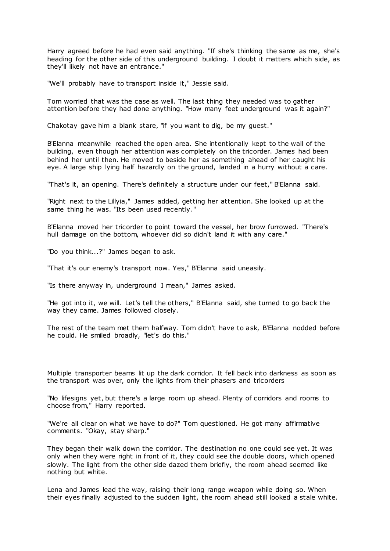Harry agreed before he had even said anything. "If she's thinking the same as me, she's heading for the other side of this underground building. I doubt it matters which side, as they'll likely not have an entrance."

"We'll probably have to transport inside it," Jessie said.

Tom worried that was the case as well. The last thing they needed was to gather attention before they had done anything. "How many feet underground was it again?"

Chakotay gave him a blank stare, "if you want to dig, be my guest."

B'Elanna meanwhile reached the open area. She intentionally kept to the wall of the building, even though her attention was completely on the tricorder. James had been behind her until then. He moved to beside her as something ahead of her caught his eye. A large ship lying half hazardly on the ground, landed in a hurry without a care.

"That's it, an opening. There's definitely a structure under our feet," B'Elanna said.

"Right next to the Lillyia," James added, getting her attention. She looked up at the same thing he was. "Its been used recently."

B'Elanna moved her tricorder to point toward the vessel, her brow furrowed. "There's hull damage on the bottom, whoever did so didn't land it with any care."

"Do you think...?" James began to ask.

"That it's our enemy's transport now. Yes," B'Elanna said uneasily.

"Is there anyway in, underground I mean," James asked.

"He got into it, we will. Let's tell the others," B'Elanna said, she turned to go back the way they came. James followed closely.

The rest of the team met them halfway. Tom didn't have to ask, B'Elanna nodded before he could. He smiled broadly, "let's do this."

Multiple transporter beams lit up the dark corridor. It fell back into darkness as soon as the transport was over, only the lights from their phasers and tricorders

"No lifesigns yet, but there's a large room up ahead. Plenty of corridors and rooms to choose from," Harry reported.

"We're all clear on what we have to do?" Tom questioned. He got many affirmative comments. "Okay, stay sharp."

They began their walk down the corridor. The destination no one could see yet. It was only when they were right in front of it, they could see the double doors, which opened slowly. The light from the other side dazed them briefly, the room ahead seemed like nothing but white.

Lena and James lead the way, raising their long range weapon while doing so. When their eyes finally adjusted to the sudden light, the room ahead still looked a stale white.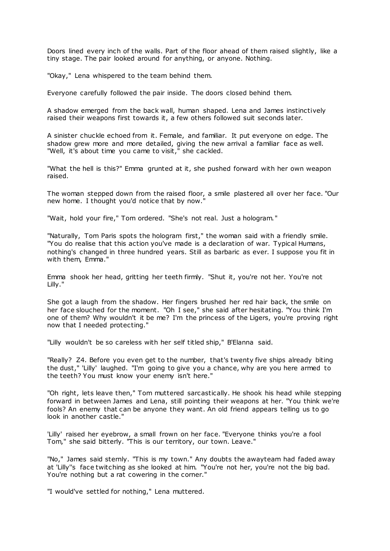Doors lined every inch of the walls. Part of the floor ahead of them raised slightly, like a tiny stage. The pair looked around for anything, or anyone. Nothing.

"Okay," Lena whispered to the team behind them.

Everyone carefully followed the pair inside. The doors closed behind them.

A shadow emerged from the back wall, human shaped. Lena and James instinctively raised their weapons first towards it, a few others followed suit seconds later.

A sinister chuckle echoed from it. Female, and familiar. It put everyone on edge. The shadow grew more and more detailed, giving the new arrival a familiar face as well. "Well, it's about time you came to visit," she cackled.

"What the hell is this?" Emma grunted at it, she pushed forward with her own weapon raised.

The woman stepped down from the raised floor, a smile plastered all over her face. "Our new home. I thought you'd notice that by now."

"Wait, hold your fire," Tom ordered. "She's not real. Just a hologram."

"Naturally, Tom Paris spots the hologram first," the woman said with a friendly smile. "You do realise that this action you've made is a declaration of war. Typical Humans, nothing's changed in three hundred years. Still as barbaric as ever. I suppose you fit in with them, Emma."

Emma shook her head, gritting her teeth firmly. "Shut it, you're not her. You're not Lilly."

She got a laugh from the shadow. Her fingers brushed her red hair back, the smile on her face slouched for the moment. "Oh I see," she said after hesitating. "You think I'm one of them? Why wouldn't it be me? I'm the princess of the Ligers, you're proving right now that I needed protecting."

"Lilly wouldn't be so careless with her self titled ship," B'Elanna said.

"Really? Z4. Before you even get to the number, that's twenty five ships already biting the dust," 'Lilly' laughed. "I'm going to give you a chance, why are you here armed to the teeth? You must know your enemy isn't here."

"Oh right, lets leave then," Tom muttered sarcastically. He shook his head while stepping forward in between James and Lena, still pointing their weapons at her. "You think we're fools? An enemy that can be anyone they want. An old friend appears telling us to go look in another castle."

'Lilly' raised her eyebrow, a small frown on her face. "Everyone thinks you're a fool Tom," she said bitterly. "This is our territory, our town. Leave."

"No," James said sternly. "This is my town." Any doubts the awayteam had faded away at 'Lilly''s face twitching as she looked at him. "You're not her, you're not the big bad. You're nothing but a rat cowering in the corner."

"I would've settled for nothing," Lena muttered.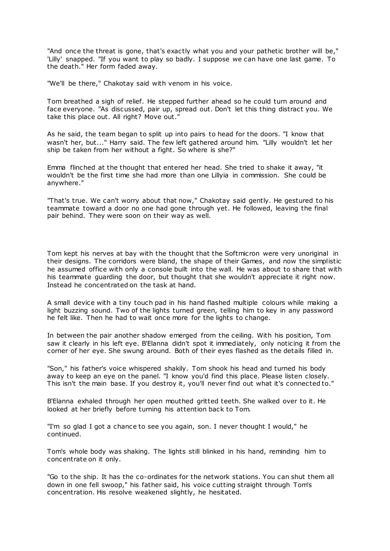"And once the threat is gone, that's exactly what you and your pathetic brother will be," 'Lilly' snapped. "If you want to play so badly. I suppose we can have one last game. To the death." Her form faded away.

"We'll be there," Chakotay said with venom in his voice.

Tom breathed a sigh of relief. He stepped further ahead so he could turn around and face everyone. "As discussed, pair up, spread out. Don't let this thing distract you. We take this place out. All right? Move out."

As he said, the team began to split up into pairs to head for the doors. "I know that wasn't her, but..." Harry said. The few left gathered around him. "Lilly wouldn't let her ship be taken from her without a fight. So where is she?"

Emma flinched at the thought that entered her head. She tried to shake it away, "it wouldn't be the first time she had more than one Lillyia in commission. She could be anywhere."

"That's true. We can't worry about that now," Chakotay said gently. He gestured to his teammate toward a door no one had gone through yet. He followed, leaving the final pair behind. They were soon on their way as well.

Tom kept his nerves at bay with the thought that the Softmicron were very unoriginal in their designs. The corridors were bland, the shape of their Games, and now the simplistic he assumed office with only a console built into the wall. He was about to share that with his teammate guarding the door, but thought that she wouldn't appreciate it right now. Instead he concentrated on the task at hand.

A small device with a tiny touch pad in his hand flashed multiple colours while making a light buzzing sound. Two of the lights turned green, telling him to key in any password he felt like. Then he had to wait once more for the lights to change.

In between the pair another shadow emerged from the ceiling. With his position, Tom saw it clearly in his left eye. B'Elanna didn't spot it immediately, only noticing it from the corner of her eye. She swung around. Both of their eyes flashed as the details filled in.

"Son," his father's voice whispered shakily. Tom shook his head and turned his body away to keep an eye on the panel. "I know you'd find this place. Please listen closely. This isn't the main base. If you destroy it, you'll never find out what it's connected to."

B'Elanna exhaled through her open mouthed gritted teeth. She walked over to it. He looked at her briefly before turning his attention back to Tom.

"I'm so glad I got a chance to see you again, son. I never thought I would," he continued.

Tom's whole body was shaking. The lights still blinked in his hand, reminding him to concentrate on it only.

"Go to the ship. It has the co-ordinates for the network stations. You can shut them all down in one fell swoop," his father said, his voice cutting straight through Tom's concentration. His resolve weakened slightly, he hesitated.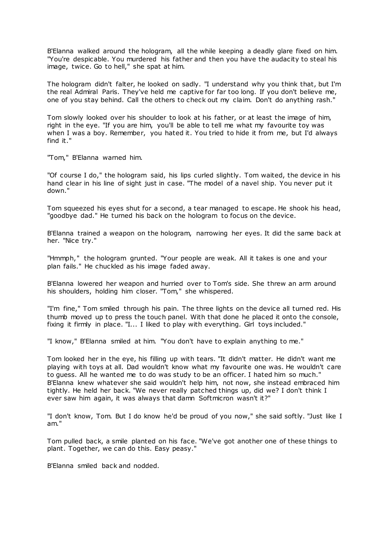B'Elanna walked around the hologram, all the while keeping a deadly glare fixed on him. "You're despicable. You murdered his father and then you have the audacity to steal his image, twice. Go to hell," she spat at him.

The hologram didn't falter, he looked on sadly. "I understand why you think that, but I'm the real Admiral Paris. They've held me captive for far too long. If you don't believe me, one of you stay behind. Call the others to check out my claim. Don't do anything rash."

Tom slowly looked over his shoulder to look at his father, or at least the image of him, right in the eye. "If you are him, you'll be able to tell me what my favourite toy was when I was a boy. Remember, you hated it. You tried to hide it from me, but I'd always find it."

"Tom," B'Elanna warned him.

"Of course I do," the hologram said, his lips curled slightly. Tom waited, the device in his hand clear in his line of sight just in case. "The model of a navel ship. You never put it down."

Tom squeezed his eyes shut for a second, a tear managed to escape. He shook his head, "goodbye dad." He turned his back on the hologram to focus on the device.

B'Elanna trained a weapon on the hologram, narrowing her eyes. It did the same back at her. "Nice try."

"Hmmph," the hologram grunted. "Your people are weak. All it takes is one and your plan fails." He chuckled as his image faded away.

B'Elanna lowered her weapon and hurried over to Tom's side. She threw an arm around his shoulders, holding him closer. "Tom," she whispered.

"I'm fine," Tom smiled through his pain. The three lights on the device all turned red. His thumb moved up to press the touch panel. With that done he placed it onto the console, fixing it firmly in place. "I... I liked to play with everything. Girl toys included."

"I know," B'Elanna smiled at him. "You don't have to explain anything to me."

Tom looked her in the eye, his filling up with tears. "It didn't matter. He didn't want me playing with toys at all. Dad wouldn't know what my favourite one was. He wouldn't care to guess. All he wanted me to do was study to be an officer. I hated him so much." B'Elanna knew whatever she said wouldn't help him, not now, she instead embraced him tightly. He held her back. "We never really patched things up, did we? I don't think I ever saw him again, it was always that damn Softmicron wasn't it?"

"I don't know, Tom. But I do know he'd be proud of you now," she said softly. "Just like I am."

Tom pulled back, a smile planted on his face. "We've got another one of these things to plant. Together, we can do this. Easy peasy."

B'Elanna smiled back and nodded.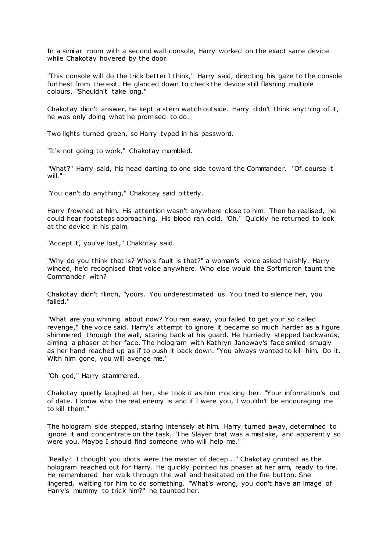In a similar room with a second wall console, Harry worked on the exact same device while Chakotay hovered by the door.

"This console will do the trick better I think," Harry said, directing his gaze to the console furthest from the exit. He glanced down to check the device still flashing multiple colours. "Shouldn't take long."

Chakotay didn't answer, he kept a stern watch outside. Harry didn't think anything of it, he was only doing what he promised to do.

Two lights turned green, so Harry typed in his password.

"It's not going to work," Chakotay mumbled.

"What?" Harry said, his head darting to one side toward the Commander. "Of course it will."

"You can't do anything," Chakotay said bitterly.

Harry frowned at him. His attention wasn't anywhere close to him. Then he realised, he could hear footsteps approaching. His blood ran cold. "Oh." Quickly he returned to look at the device in his palm.

"Accept it, you've lost," Chakotay said.

"Why do you think that is? Who's fault is that?" a woman's voice asked harshly. Harry winced, he'd recognised that voice anywhere. Who else would the Softmicron taunt the Commander with?

Chakotay didn't flinch, "yours. You underestimated us. You tried to silence her, you failed."

"What are you whining about now? You ran away, you failed to get your so called revenge," the voice said. Harry's attempt to ignore it became so much harder as a figure shimmered through the wall, staring back at his guard. He hurriedly stepped backwards, aiming a phaser at her face. The hologram with Kathryn Janeway's face smiled smugly as her hand reached up as if to push it back down. "You always wanted to kill him. Do it. With him gone, you will avenge me."

"Oh god," Harry stammered.

Chakotay quietly laughed at her, she took it as him mocking her. "Your information's out of date. I know who the real enemy is and if I were you, I wouldn't be encouraging me to kill them."

The hologram side stepped, staring intensely at him. Harry turned away, determined to ignore it and concentrate on the task. "The Slayer brat was a mistake, and apparently so were you. Maybe I should find someone who will help me."

"Really? I thought you idiots were the master of decep..." Chakotay grunted as the hologram reached out for Harry. He quickly pointed his phaser at her arm, ready to fire. He remembered her walk through the wall and hesitated on the fire button. She lingered, waiting for him to do something. "What's wrong, you don't have an image of Harry's mummy to trick him?" he taunted her.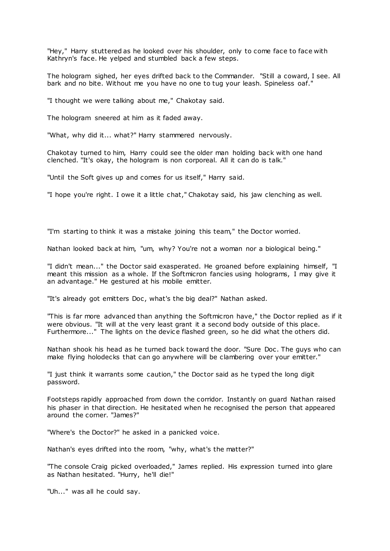"Hey," Harry stuttered as he looked over his shoulder, only to come face to face with Kathryn's face. He yelped and stumbled back a few steps.

The hologram sighed, her eyes drifted back to the Commander. "Still a coward, I see. All bark and no bite. Without me you have no one to tug your leash. Spineless oaf."

"I thought we were talking about me," Chakotay said.

The hologram sneered at him as it faded away.

"What, why did it... what?" Harry stammered nervously.

Chakotay turned to him, Harry could see the older man holding back with one hand clenched. "It's okay, the hologram is non corporeal. All it can do is talk."

"Until the Soft gives up and comes for us itself," Harry said.

"I hope you're right. I owe it a little chat," Chakotay said, his jaw clenching as well.

"I'm starting to think it was a mistake joining this team," the Doctor worried.

Nathan looked back at him, "um, why? You're not a woman nor a biological being."

"I didn't mean..." the Doctor said exasperated. He groaned before explaining himself, "I meant this mission as a whole. If the Softmicron fancies using holograms, I may give it an advantage." He gestured at his mobile emitter.

"It's already got emitters Doc, what's the big deal?" Nathan asked.

"This is far more advanced than anything the Softmicron have," the Doctor replied as if it were obvious. "It will at the very least grant it a second body outside of this place. Furthermore..." The lights on the device flashed green, so he did what the others did.

Nathan shook his head as he turned back toward the door. "Sure Doc . The guys who can make flying holodecks that can go anywhere will be clambering over your emitter."

"I just think it warrants some caution," the Doctor said as he typed the long digit password.

Footsteps rapidly approached from down the corridor. Instantly on guard Nathan raised his phaser in that direction. He hesitated when he recognised the person that appeared around the corner. "James?"

"Where's the Doctor?" he asked in a panicked voice.

Nathan's eyes drifted into the room, "why, what's the matter?"

"The console Craig picked overloaded," James replied. His expression turned into glare as Nathan hesitated. "Hurry, he'll die!"

"Uh..." was all he could say.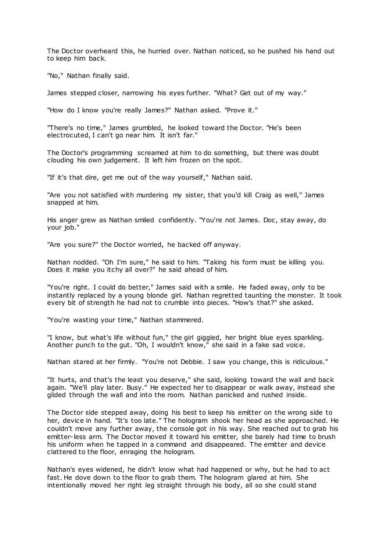The Doctor overheard this, he hurried over. Nathan noticed, so he pushed his hand out to keep him back.

"No," Nathan finally said.

James stepped closer, narrowing his eyes further. "What? Get out of my way."

"How do I know you're really James?" Nathan asked. "Prove it."

"There's no time," James grumbled, he looked toward the Doctor. "He's been electrocuted, I can't go near him. It isn't far."

The Doctor's programming screamed at him to do something, but there was doubt clouding his own judgement. It left him frozen on the spot.

"If it's that dire, get me out of the way yourself," Nathan said.

"Are you not satisfied with murdering my sister, that you'd kill Craig as well," James snapped at him.

His anger grew as Nathan smiled confidently. "You're not James. Doc , stay away, do your job."

"Are you sure?" the Doctor worried, he backed off anyway.

Nathan nodded. "Oh I'm sure," he said to him. "Taking his form must be killing you. Does it make you itchy all over?" he said ahead of him.

"You're right. I could do better," James said with a smile. He faded away, only to be instantly replaced by a young blonde girl. Nathan regretted taunting the monster. It took every bit of strength he had not to crumble into pieces. "How's that?" she asked.

"You're wasting your time," Nathan stammered.

"I know, but what's life without fun," the girl giggled, her bright blue eyes sparkling. Another punch to the gut. "Oh, I wouldn't know," she said in a fake sad voice.

Nathan stared at her firmly. "You're not Debbie. I saw you change, this is ridiculous."

"It hurts, and that's the least you deserve," she said, looking toward the wall and back again. "We'll play later. Busy." He expected her to disappear or walk away, instead she glided through the wall and into the room. Nathan panicked and rushed inside.

The Doctor side stepped away, doing his best to keep his emitter on the wrong side to her, device in hand. "It's too late." The hologram shook her head as she approached. He couldn't move any further away, the console got in his way. She reached out to grab his emitter-less arm. The Doctor moved it toward his emitter, she barely had time to brush his uniform when he tapped in a command and disappeared. The emitter and device clattered to the floor, enraging the hologram.

Nathan's eyes widened, he didn't know what had happened or why, but he had to act fast. He dove down to the floor to grab them. The hologram glared at him. She intentionally moved her right leg straight through his body, all so she could stand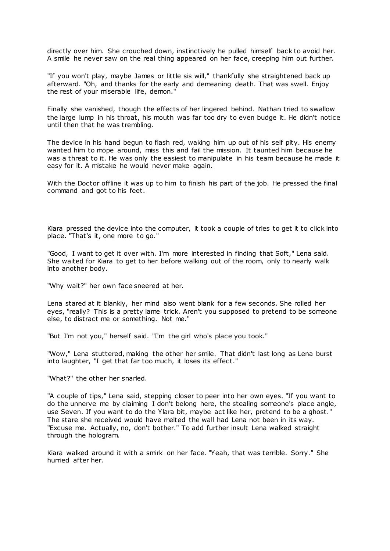directly over him. She crouched down, instinctively he pulled himself back to avoid her. A smile he never saw on the real thing appeared on her face, creeping him out further.

"If you won't play, maybe James or little sis will," thankfully she straightened back up afterward. "Oh, and thanks for the early and demeaning death. That was swell. Enjoy the rest of your miserable life, demon."

Finally she vanished, though the effects of her lingered behind. Nathan tried to swallow the large lump in his throat, his mouth was far too dry to even budge it. He didn't notice until then that he was trembling.

The device in his hand begun to flash red, waking him up out of his self pity. His enemy wanted him to mope around, miss this and fail the mission. It taunted him because he was a threat to it. He was only the easiest to manipulate in his team because he made it easy for it. A mistake he would never make again.

With the Doctor offline it was up to him to finish his part of the job. He pressed the final command and got to his feet.

Kiara pressed the device into the computer, it took a couple of tries to get it to click into place. "That's it, one more to go."

"Good, I want to get it over with. I'm more interested in finding that Soft," Lena said. She waited for Kiara to get to her before walking out of the room, only to nearly walk into another body.

"Why wait?" her own face sneered at her.

Lena stared at it blankly, her mind also went blank for a few seconds. She rolled her eyes, "really? This is a pretty lame trick. Aren't you supposed to pretend to be someone else, to distract me or something. Not me."

"But I'm not you," herself said. "I'm the girl who's place you took."

"Wow," Lena stuttered, making the other her smile. That didn't last long as Lena burst into laughter, "I get that far too much, it loses its effect."

"What?" the other her snarled.

"A couple of tips," Lena said, stepping closer to peer into her own eyes. "If you want to do the unnerve me by claiming I don't belong here, the stealing someone's place angle, use Seven. If you want to do the Ylara bit, maybe act like her, pretend to be a ghost." The stare she received would have melted the wall had Lena not been in its way. "Excuse me. Actually, no, don't bother." To add further insult Lena walked straight through the hologram.

Kiara walked around it with a smirk on her face. "Yeah, that was terrible. Sorry." She hurried after her.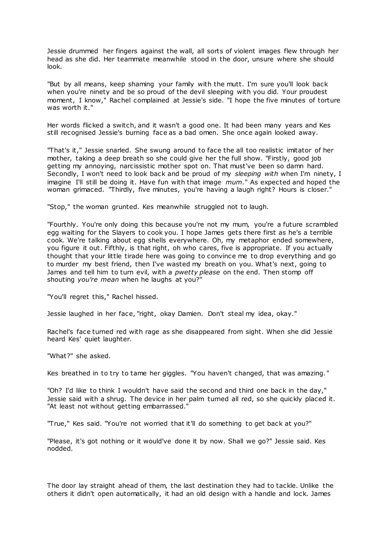Jessie drummed her fingers against the wall, all sorts of violent images flew through her head as she did. Her teammate meanwhile stood in the door, unsure where she should look.

"But by all means, keep shaming your family with the mutt. I'm sure you'll look back when you're ninety and be so proud of the devil sleeping with you did. Your proudest moment, I know," Rachel complained at Jessie's side. "I hope the five minutes of torture was worth it."

Her words flicked a switch, and it wasn't a good one. It had been many years and Kes still recognised Jessie's burning face as a bad omen. She once again looked away.

"That's it," Jessie snarled. She swung around to face the all too realistic imitator of her mother, taking a deep breath so she could give her the full show. "Firstly, good job getting my annoying, narcissistic mother spot on. That must've been so damn hard. Secondly, I won't need to look back and be proud of my *sleeping with* when I'm ninety, I imagine I'll still be doing it. Have fun with that image *mum.*" As expected and hoped the woman grimaced. "Thirdly, five minutes, you're having a laugh right? Hours is closer."

"Stop," the woman grunted. Kes meanwhile struggled not to laugh.

"Fourthly. You're only doing this because you're not my mum, you're a future scrambled egg waiting for the Slayers to cook you. I hope James gets there first as he's a terrible cook. We're talking about egg shells everywhere. Oh, my metaphor ended somewhere, you figure it out. Fifthly, is that right, oh who cares, five is appropriate. If you actually thought that your little tirade here was going to convince me to drop everything and go to murder my best friend, then I've wasted my breath on you. What's next, going to James and tell him to turn evil, with a *pwetty please* on the end. Then stomp off shouting *you're mean* when he laughs at you?"

"You'll regret this," Rachel hissed.

Jessie laughed in her face, "right, okay Damien. Don't steal my idea, okay."

Rachel's face turned red with rage as she disappeared from sight. When she did Jessie heard Kes' quiet laughter.

"What?" she asked.

Kes breathed in to try to tame her giggles. "You haven't changed, that was amazing. "

"Oh? I'd like to think I wouldn't have said the second and third one back in the day," Jessie said with a shrug. The device in her palm turned all red, so she quickly placed it. "At least not without getting embarrassed."

"True," Kes said. "You're not worried that it'll do something to get back at you?"

"Please, it's got nothing or it would've done it by now. Shall we go?" Jessie said. Kes nodded.

The door lay straight ahead of them, the last destination they had to tackle. Unlike the others it didn't open automatically, it had an old design with a handle and lock. James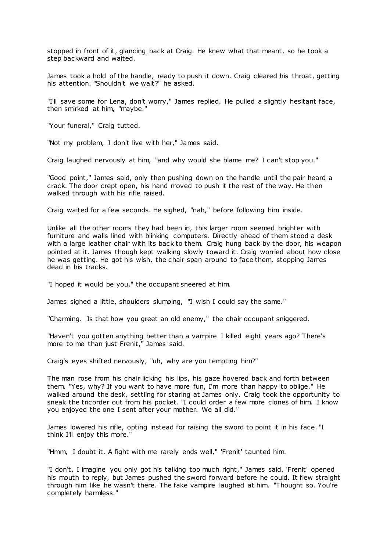stopped in front of it, glancing back at Craig. He knew what that meant, so he took a step backward and waited.

James took a hold of the handle, ready to push it down. Craig cleared his throat, getting his attention. "Shouldn't we wait?" he asked.

"I'll save some for Lena, don't worry," James replied. He pulled a slightly hesitant face, then smirked at him, "maybe."

"Your funeral," Craig tutted.

"Not my problem, I don't live with her," James said.

Craig laughed nervously at him, "and why would she blame me? I can't stop you."

"Good point," James said, only then pushing down on the handle until the pair heard a crack. The door crept open, his hand moved to push it the rest of the way. He then walked through with his rifle raised.

Craig waited for a few seconds. He sighed, "nah," before following him inside.

Unlike all the other rooms they had been in, this larger room seemed brighter with furniture and walls lined with blinking computers. Directly ahead of them stood a desk with a large leather chair with its back to them. Craig hung back by the door, his weapon pointed at it. James though kept walking slowly toward it. Craig worried about how close he was getting. He got his wish, the chair span around to face them, stopping James dead in his tracks.

"I hoped it would be you," the occupant sneered at him.

James sighed a little, shoulders slumping, "I wish I could say the same."

"Charming. Is that how you greet an old enemy," the chair occupant sniggered.

"Haven't you gotten anything better than a vampire I killed eight years ago? There's more to me than just Frenit," James said.

Craig's eyes shifted nervously, "uh, why are you tempting him?"

The man rose from his chair licking his lips, his gaze hovered back and forth between them. "Yes, why? If you want to have more fun, I'm more than happy to oblige." He walked around the desk, settling for staring at James only. Craig took the opportunity to sneak the tricorder out from his pocket. "I could order a few more clones of him. I know you enjoyed the one I sent after your mother. We all did."

James lowered his rifle, opting instead for raising the sword to point it in his face. "I think I'll enjoy this more."

"Hmm, I doubt it. A fight with me rarely ends well," 'Frenit' taunted him.

"I don't, I imagine you only got his talking too much right," James said. 'Frenit' opened his mouth to reply, but James pushed the sword forward before he could. It flew straight through him like he wasn't there. The fake vampire laughed at him. "Thought so. You're completely harmless."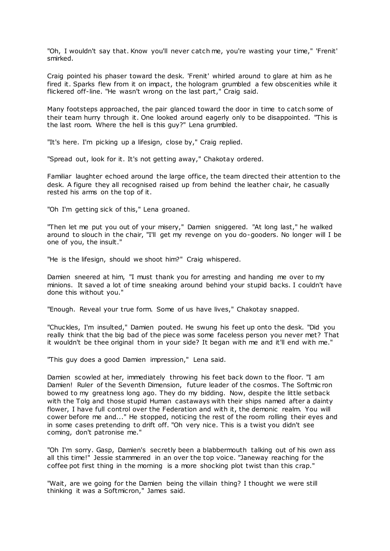"Oh, I wouldn't say that. Know you'll never catch me, you're wasting your time," 'Frenit' smirked.

Craig pointed his phaser toward the desk. 'Frenit' whirled around to glare at him as he fired it. Sparks flew from it on impact, the hologram grumbled a few obscenities while it flickered off-line. "He wasn't wrong on the last part," Craig said.

Many footsteps approached, the pair glanced toward the door in time to catch some of their team hurry through it. One looked around eagerly only to be disappointed. "This is the last room. Where the hell is this guy?" Lena grumbled.

"It's here. I'm picking up a lifesign, close by," Craig replied.

"Spread out, look for it. It's not getting away," Chakotay ordered.

Familiar laughter echoed around the large office, the team directed their attention to the desk. A figure they all recognised raised up from behind the leather chair, he casually rested his arms on the top of it.

"Oh I'm getting sick of this," Lena groaned.

"Then let me put you out of your misery," Damien sniggered. "At long last," he walked around to slouch in the chair, "I'll get my revenge on you do-gooders. No longer will I be one of you, the insult."

"He is the lifesign, should we shoot him?" Craig whispered.

Damien sneered at him, "I must thank you for arresting and handing me over to my minions. It saved a lot of time sneaking around behind your stupid backs. I couldn't have done this without you."

"Enough. Reveal your true form. Some of us have lives," Chakotay snapped.

"Chuckles, I'm insulted," Damien pouted. He swung his feet up onto the desk. "Did you really think that the big bad of the piece was some faceless person you never met? That it wouldn't be thee original thorn in your side? It began with me and it'll end with me."

"This guy does a good Damien impression," Lena said.

Damien scowled at her, immediately throwing his feet back down to the floor. "I am Damien! Ruler of the Seventh Dimension, future leader of the cosmos. The Softmic ron bowed to my greatness long ago. They do my bidding. Now, despite the little setback with the Tolg and those stupid Human castaways with their ships named after a dainty flower, I have full control over the Federation and with it, the demonic realm. You will cower before me and..." He stopped, noticing the rest of the room rolling their eyes and in some cases pretending to drift off. "Oh very nice. This is a twist you didn't see coming, don't patronise me."

"Oh I'm sorry. Gasp, Damien's secretly been a blabbermouth talking out of his own ass all this time!" Jessie stammered in an over the top voice. "Janeway reaching for the coffee pot first thing in the morning is a more shocking plot twist than this crap."

"Wait, are we going for the Damien being the villain thing? I thought we were still thinking it was a Softmicron," James said.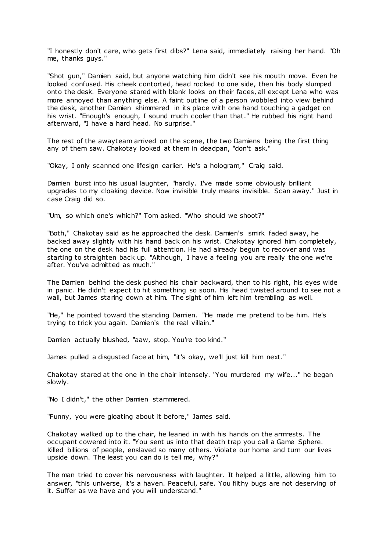"I honestly don't care, who gets first dibs?" Lena said, immediately raising her hand. "Oh me, thanks guys."

"Shot gun," Damien said, but anyone watching him didn't see his mouth move. Even he looked confused. His cheek contorted, head rocked to one side, then his body slumped onto the desk. Everyone stared with blank looks on their faces, all except Lena who was more annoyed than anything else. A faint outline of a person wobbled into view behind the desk, another Damien shimmered in its place with one hand touching a gadget on his wrist. "Enough's enough, I sound much cooler than that." He rubbed his right hand afterward, "I have a hard head. No surprise."

The rest of the awayteam arrived on the scene, the two Damiens being the first thing any of them saw. Chakotay looked at them in deadpan, "don't ask."

"Okay, I only scanned one lifesign earlier. He's a hologram," Craig said.

Damien burst into his usual laughter, "hardly. I've made some obviously brilliant upgrades to my cloaking device. Now invisible truly means invisible. Scan away." Just in case Craig did so.

"Um, so which one's which?" Tom asked. "Who should we shoot?"

"Both," Chakotay said as he approached the desk. Damien's smirk faded away, he backed away slightly with his hand back on his wrist. Chakotay ignored him completely, the one on the desk had his full attention. He had already begun to recover and was starting to straighten back up. "Although, I have a feeling you are really the one we're after. You've admitted as much."

The Damien behind the desk pushed his chair backward, then to his right, his eyes wide in panic . He didn't expect to hit something so soon. His head twisted around to see not a wall, but James staring down at him. The sight of him left him trembling as well.

"He," he pointed toward the standing Damien. "He made me pretend to be him. He's trying to trick you again. Damien's the real villain."

Damien actually blushed, "aaw, stop. You're too kind."

James pulled a disgusted face at him, "it's okay, we'll just kill him next."

Chakotay stared at the one in the chair intensely. "You murdered my wife..." he began slowly.

"No I didn't," the other Damien stammered.

"Funny, you were gloating about it before," James said.

Chakotay walked up to the chair, he leaned in with his hands on the armrests. The occupant cowered into it. "You sent us into that death trap you call a Game Sphere. Killed billions of people, enslaved so many others. Violate our home and turn our lives upside down. The least you can do is tell me, why?"

The man tried to cover his nervousness with laughter. It helped a little, allowing him to answer, "this universe, it's a haven. Peaceful, safe. You filthy bugs are not deserving of it. Suffer as we have and you will understand."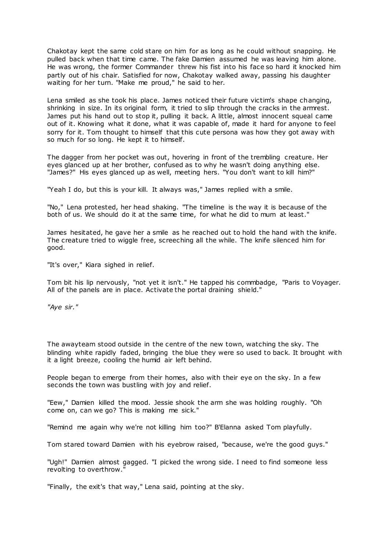Chakotay kept the same cold stare on him for as long as he could without snapping. He pulled back when that time came. The fake Damien assumed he was leaving him alone. He was wrong, the former Commander threw his fist into his face so hard it knocked him partly out of his chair. Satisfied for now, Chakotay walked away, passing his daughter waiting for her turn. "Make me proud," he said to her.

Lena smiled as she took his place. James noticed their future victim's shape changing, shrinking in size. In its original form, it tried to slip through the cracks in the armrest. James put his hand out to stop it, pulling it back. A little, almost innocent squeal came out of it. Knowing what it done, what it was capable of, made it hard for anyone to feel sorry for it. Tom thought to himself that this cute persona was how they got away with so much for so long. He kept it to himself.

The dagger from her pocket was out, hovering in front of the trembling creature. Her eyes glanced up at her brother, confused as to why he wasn't doing anything else. "James?" His eyes glanced up as well, meeting hers. "You don't want to kill him?"

"Yeah I do, but this is your kill. It always was," James replied with a smile.

"No," Lena protested, her head shaking. "The timeline is the way it is because of the both of us. We should do it at the same time, for what he did to mum at least."

James hesitated, he gave her a smile as he reached out to hold the hand with the knife. The creature tried to wiggle free, screeching all the while. The knife silenced him for good.

"It's over," Kiara sighed in relief.

Tom bit his lip nervously, "not yet it isn't." He tapped his commbadge, "Paris to Voyager. All of the panels are in place. Activate the portal draining shield."

*"Aye sir."*

The awayteam stood outside in the centre of the new town, watching the sky. The blinding white rapidly faded, bringing the blue they were so used to back. It brought with it a light breeze, cooling the humid air left behind.

People began to emerge from their homes, also with their eye on the sky. In a few seconds the town was bustling with joy and relief.

"Eew," Damien killed the mood. Jessie shook the arm she was holding roughly. "Oh come on, can we go? This is making me sick."

"Remind me again why we're not killing him too?" B'Elanna asked Tom playfully.

Tom stared toward Damien with his eyebrow raised, "because, we're the good guys."

"Ugh!" Damien almost gagged. "I picked the wrong side. I need to find someone less revolting to overthrow.

"Finally, the exit's that way," Lena said, pointing at the sky.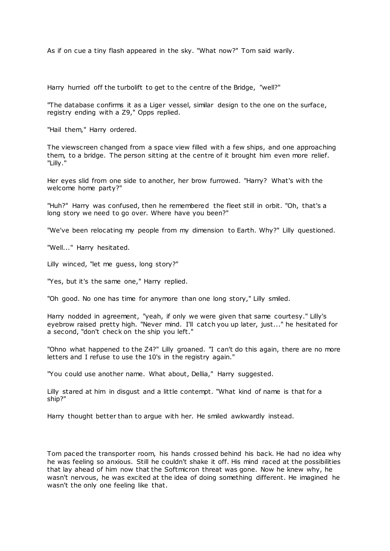As if on cue a tiny flash appeared in the sky. "What now?" Tom said warily.

Harry hurried off the turbolift to get to the centre of the Bridge, "well?"

"The database confirms it as a Liger vessel, similar design to the one on the surface, registry ending with a Z9," Opps replied.

"Hail them," Harry ordered.

The viewscreen changed from a space view filled with a few ships, and one approaching them, to a bridge. The person sitting at the centre of it brought him even more relief. "Lilly."

Her eyes slid from one side to another, her brow furrowed. "Harry? What's with the welcome home party?"

"Huh?" Harry was confused, then he remembered the fleet still in orbit. "Oh, that's a long story we need to go over. Where have you been?"

"We've been relocating my people from my dimension to Earth. Why?" Lilly questioned.

"Well..." Harry hesitated.

Lilly winced, "let me guess, long story?"

"Yes, but it's the same one," Harry replied.

"Oh good. No one has time for anymore than one long story," Lilly smiled.

Harry nodded in agreement, "yeah, if only we were given that same courtesy." Lilly's eyebrow raised pretty high. "Never mind. I'll catch you up later, just..." he hesitated for a second, "don't check on the ship you left."

"Ohno what happened to the Z4?" Lilly groaned. "I can't do this again, there are no more letters and I refuse to use the 10's in the registry again."

"You could use another name. What about, Dellia," Harry suggested.

Lilly stared at him in disgust and a little contempt. "What kind of name is that for a ship?"

Harry thought better than to argue with her. He smiled awkwardly instead.

Tom paced the transporter room, his hands crossed behind his back. He had no idea why he was feeling so anxious. Still he couldn't shake it off. His mind raced at the possibilities that lay ahead of him now that the Softmicron threat was gone. Now he knew why, he wasn't nervous, he was excited at the idea of doing something different. He imagined he wasn't the only one feeling like that.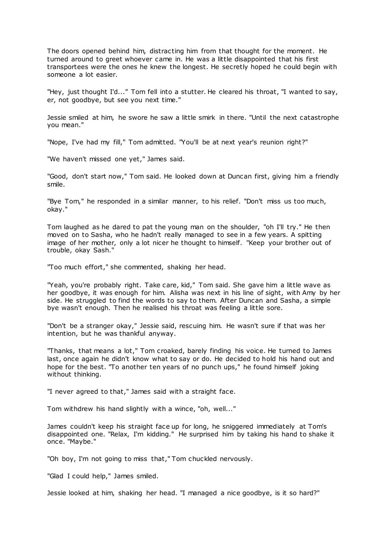The doors opened behind him, distracting him from that thought for the moment. He turned around to greet whoever came in. He was a little disappointed that his first transportees were the ones he knew the longest. He secretly hoped he could begin with someone a lot easier.

"Hey, just thought I'd..." Tom fell into a stutter. He cleared his throat, "I wanted to say, er, not goodbye, but see you next time."

Jessie smiled at him, he swore he saw a little smirk in there. "Until the next catastrophe you mean."

"Nope, I've had my fill," Tom admitted. "You'll be at next year's reunion right?"

"We haven't missed one yet," James said.

"Good, don't start now," Tom said. He looked down at Duncan first, giving him a friendly smile.

"Bye Tom," he responded in a similar manner, to his relief. "Don't miss us too much, okay."

Tom laughed as he dared to pat the young man on the shoulder, "oh I'll try." He then moved on to Sasha, who he hadn't really managed to see in a few years. A spitting image of her mother, only a lot nicer he thought to himself. "Keep your brother out of trouble, okay Sash."

"Too much effort," she commented, shaking her head.

"Yeah, you're probably right. Take care, kid," Tom said. She gave him a little wave as her goodbye, it was enough for him. Alisha was next in his line of sight, with Amy by her side. He struggled to find the words to say to them. After Duncan and Sasha, a simple bye wasn't enough. Then he realised his throat was feeling a little sore.

"Don't be a stranger okay," Jessie said, rescuing him. He wasn't sure if that was her intention, but he was thankful anyway.

"Thanks, that means a lot," Tom croaked, barely finding his voice. He turned to James last, once again he didn't know what to say or do. He decided to hold his hand out and hope for the best. "To another ten years of no punch ups," he found himself joking without thinking.

"I never agreed to that," James said with a straight face.

Tom withdrew his hand slightly with a wince, "oh, well..."

James couldn't keep his straight face up for long, he sniggered immediately at Tom's disappointed one. "Relax, I'm kidding." He surprised him by taking his hand to shake it once. "Maybe."

"Oh boy, I'm not going to miss that," Tom chuckled nervously.

"Glad I could help," James smiled.

Jessie looked at him, shaking her head. "I managed a nice goodbye, is it so hard?"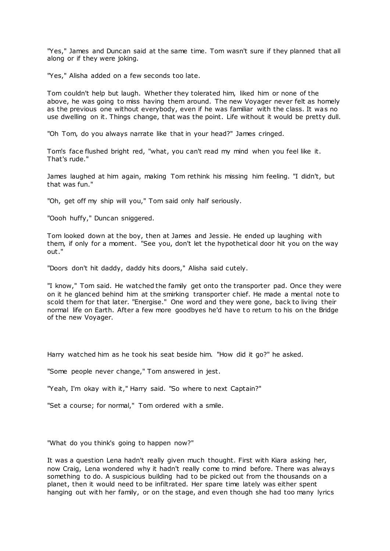"Yes," James and Duncan said at the same time. Tom wasn't sure if they planned that all along or if they were joking.

"Yes," Alisha added on a few seconds too late.

Tom couldn't help but laugh. Whether they tolerated him, liked him or none of the above, he was going to miss having them around. The new Voyager never felt as homely as the previous one without everybody, even if he was familiar with the class. It was no use dwelling on it. Things change, that was the point. Life without it would be pretty dull.

"Oh Tom, do you always narrate like that in your head?" James cringed.

Tom's face flushed bright red, "what, you can't read my mind when you feel like it. That's rude."

James laughed at him again, making Tom rethink his missing him feeling. "I didn't, but that was fun."

"Oh, get off my ship will you," Tom said only half seriously.

"Oooh huffy," Duncan sniggered.

Tom looked down at the boy, then at James and Jessie. He ended up laughing with them, if only for a moment. "See you, don't let the hypothetical door hit you on the way out."

"Doors don't hit daddy, daddy hits doors," Alisha said cutely.

"I know," Tom said. He watched the family get onto the transporter pad. Once they were on it he glanced behind him at the smirking transporter chief. He made a mental note to scold them for that later. "Energise." One word and they were gone, back to living their normal life on Earth. After a few more goodbyes he'd have to return to his on the Bridge of the new Voyager.

Harry watched him as he took his seat beside him. "How did it go?" he asked.

"Some people never change," Tom answered in jest.

"Yeah, I'm okay with it," Harry said. "So where to next Captain?"

"Set a course; for normal," Tom ordered with a smile.

"What do you think's going to happen now?"

It was a question Lena hadn't really given much thought. First with Kiara asking her, now Craig, Lena wondered why it hadn't really come to mind before. There was always something to do. A suspicious building had to be picked out from the thousands on a planet, then it would need to be infiltrated. Her spare time lately was either spent hanging out with her family, or on the stage, and even though she had too many lyrics